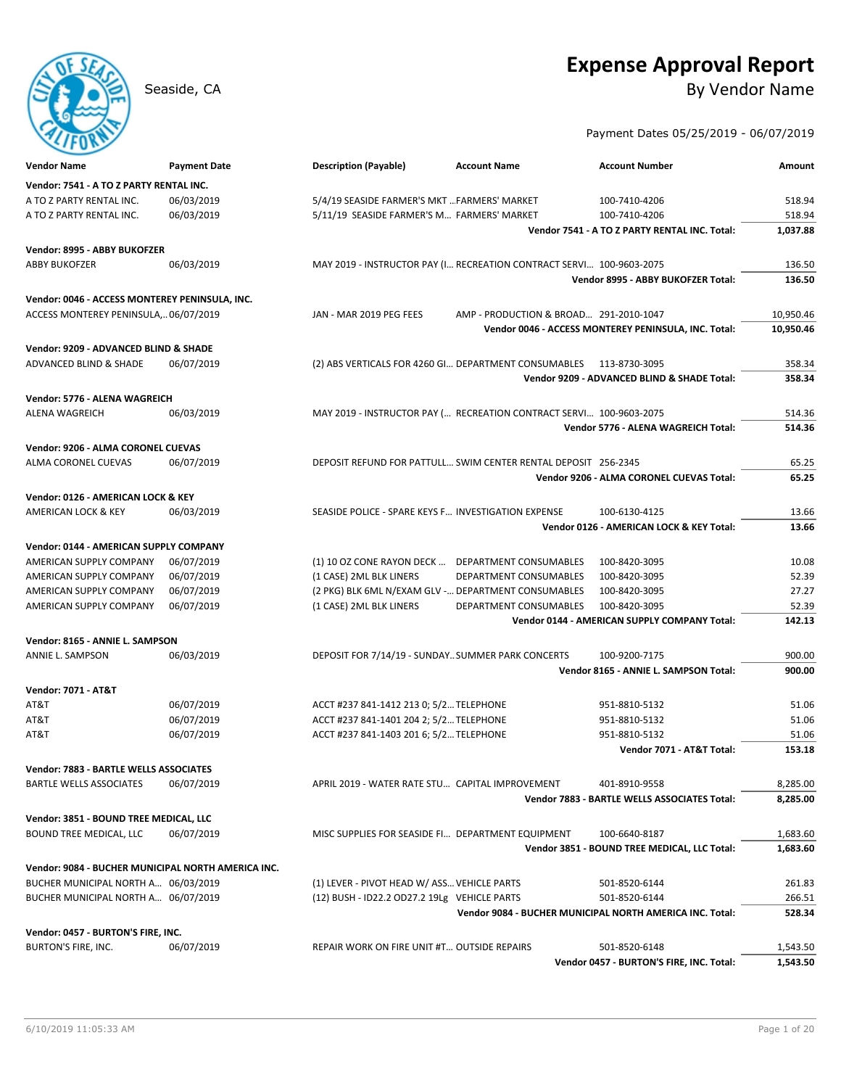# **Expense Approval Report**

## Seaside, CA By Vendor Name

### Payment Dates 05/25/2019 - 06/07/2019

| <b>Vendor Name</b>                                        | <b>Payment Date</b> | <b>Description (Payable)</b>                                         | <b>Account Name</b>                    | <b>Account Number</b>                                    | Amount    |
|-----------------------------------------------------------|---------------------|----------------------------------------------------------------------|----------------------------------------|----------------------------------------------------------|-----------|
| Vendor: 7541 - A TO Z PARTY RENTAL INC.                   |                     |                                                                      |                                        |                                                          |           |
| A TO Z PARTY RENTAL INC.                                  | 06/03/2019          | 5/4/19 SEASIDE FARMER'S MKT  FARMERS' MARKET                         |                                        | 100-7410-4206                                            | 518.94    |
| A TO Z PARTY RENTAL INC.                                  | 06/03/2019          | 5/11/19 SEASIDE FARMER'S M FARMERS' MARKET                           |                                        | 100-7410-4206                                            | 518.94    |
|                                                           |                     |                                                                      |                                        | Vendor 7541 - A TO Z PARTY RENTAL INC. Total:            | 1,037.88  |
| Vendor: 8995 - ABBY BUKOFZER                              |                     |                                                                      |                                        |                                                          |           |
| <b>ABBY BUKOFZER</b>                                      | 06/03/2019          | MAY 2019 - INSTRUCTOR PAY (I RECREATION CONTRACT SERVI 100-9603-2075 |                                        |                                                          | 136.50    |
|                                                           |                     |                                                                      |                                        | Vendor 8995 - ABBY BUKOFZER Total:                       | 136.50    |
| Vendor: 0046 - ACCESS MONTEREY PENINSULA, INC.            |                     |                                                                      |                                        |                                                          |           |
| ACCESS MONTEREY PENINSULA, 06/07/2019                     |                     | JAN - MAR 2019 PEG FEES                                              | AMP - PRODUCTION & BROAD 291-2010-1047 |                                                          | 10,950.46 |
|                                                           |                     |                                                                      |                                        | Vendor 0046 - ACCESS MONTEREY PENINSULA, INC. Total:     | 10,950.46 |
| Vendor: 9209 - ADVANCED BLIND & SHADE                     |                     |                                                                      |                                        |                                                          |           |
| ADVANCED BLIND & SHADE                                    | 06/07/2019          | (2) ABS VERTICALS FOR 4260 GI DEPARTMENT CONSUMABLES                 |                                        | 113-8730-3095                                            | 358.34    |
|                                                           |                     |                                                                      |                                        | Vendor 9209 - ADVANCED BLIND & SHADE Total:              | 358.34    |
| Vendor: 5776 - ALENA WAGREICH                             |                     |                                                                      |                                        |                                                          |           |
| ALENA WAGREICH                                            | 06/03/2019          | MAY 2019 - INSTRUCTOR PAY ( RECREATION CONTRACT SERVI 100-9603-2075  |                                        |                                                          | 514.36    |
|                                                           |                     |                                                                      |                                        | Vendor 5776 - ALENA WAGREICH Total:                      | 514.36    |
| Vendor: 9206 - ALMA CORONEL CUEVAS                        |                     |                                                                      |                                        |                                                          |           |
| ALMA CORONEL CUEVAS                                       | 06/07/2019          | DEPOSIT REFUND FOR PATTULL SWIM CENTER RENTAL DEPOSIT 256-2345       |                                        |                                                          | 65.25     |
|                                                           |                     |                                                                      |                                        | Vendor 9206 - ALMA CORONEL CUEVAS Total:                 | 65.25     |
|                                                           |                     |                                                                      |                                        |                                                          |           |
| Vendor: 0126 - AMERICAN LOCK & KEY<br>AMERICAN LOCK & KEY | 06/03/2019          | SEASIDE POLICE - SPARE KEYS F INVESTIGATION EXPENSE                  |                                        | 100-6130-4125                                            | 13.66     |
|                                                           |                     |                                                                      |                                        | Vendor 0126 - AMERICAN LOCK & KEY Total:                 | 13.66     |
|                                                           |                     |                                                                      |                                        |                                                          |           |
| Vendor: 0144 - AMERICAN SUPPLY COMPANY                    |                     |                                                                      |                                        |                                                          |           |
| AMERICAN SUPPLY COMPANY                                   | 06/07/2019          | (1) 10 OZ CONE RAYON DECK  DEPARTMENT CONSUMABLES                    |                                        | 100-8420-3095                                            | 10.08     |
| AMERICAN SUPPLY COMPANY                                   | 06/07/2019          | (1 CASE) 2ML BLK LINERS                                              | DEPARTMENT CONSUMABLES                 | 100-8420-3095                                            | 52.39     |
| AMERICAN SUPPLY COMPANY                                   | 06/07/2019          | (2 PKG) BLK 6ML N/EXAM GLV - DEPARTMENT CONSUMABLES                  |                                        | 100-8420-3095                                            | 27.27     |
| AMERICAN SUPPLY COMPANY                                   | 06/07/2019          | (1 CASE) 2ML BLK LINERS                                              | DEPARTMENT CONSUMABLES                 | 100-8420-3095                                            | 52.39     |
|                                                           |                     |                                                                      |                                        | Vendor 0144 - AMERICAN SUPPLY COMPANY Total:             | 142.13    |
| Vendor: 8165 - ANNIE L. SAMPSON                           |                     |                                                                      |                                        |                                                          |           |
| ANNIE L. SAMPSON                                          | 06/03/2019          | DEPOSIT FOR 7/14/19 - SUNDAY SUMMER PARK CONCERTS                    |                                        | 100-9200-7175                                            | 900.00    |
|                                                           |                     |                                                                      |                                        | Vendor 8165 - ANNIE L. SAMPSON Total:                    | 900.00    |
| <b>Vendor: 7071 - AT&amp;T</b>                            |                     |                                                                      |                                        |                                                          |           |
| AT&T                                                      | 06/07/2019          | ACCT #237 841-1412 213 0; 5/2 TELEPHONE                              |                                        | 951-8810-5132                                            | 51.06     |
| AT&T                                                      | 06/07/2019          | ACCT #237 841-1401 204 2; 5/2 TELEPHONE                              |                                        | 951-8810-5132                                            | 51.06     |
| AT&T                                                      | 06/07/2019          | ACCT #237 841-1403 201 6; 5/2 TELEPHONE                              |                                        | 951-8810-5132                                            | 51.06     |
|                                                           |                     |                                                                      |                                        | Vendor 7071 - AT&T Total:                                | 153.18    |
| Vendor: 7883 - BARTLE WELLS ASSOCIATES                    |                     |                                                                      |                                        |                                                          |           |
| <b>BARTLE WELLS ASSOCIATES</b>                            | 06/07/2019          | APRIL 2019 - WATER RATE STU CAPITAL IMPROVEMENT                      |                                        | 401-8910-9558                                            | 8,285.00  |
|                                                           |                     |                                                                      |                                        | Vendor 7883 - BARTLE WELLS ASSOCIATES Total:             | 8,285.00  |
| Vendor: 3851 - BOUND TREE MEDICAL, LLC                    |                     |                                                                      |                                        |                                                          |           |
| BOUND TREE MEDICAL, LLC                                   | 06/07/2019          | MISC SUPPLIES FOR SEASIDE FI DEPARTMENT EQUIPMENT                    |                                        | 100-6640-8187                                            | 1,683.60  |
|                                                           |                     |                                                                      |                                        | Vendor 3851 - BOUND TREE MEDICAL, LLC Total:             | 1,683.60  |
| Vendor: 9084 - BUCHER MUNICIPAL NORTH AMERICA INC.        |                     |                                                                      |                                        |                                                          |           |
| BUCHER MUNICIPAL NORTH A 06/03/2019                       |                     | (1) LEVER - PIVOT HEAD W/ ASS VEHICLE PARTS                          |                                        | 501-8520-6144                                            | 261.83    |
| BUCHER MUNICIPAL NORTH A 06/07/2019                       |                     | (12) BUSH - ID22.2 OD27.2 19Lg VEHICLE PARTS                         |                                        | 501-8520-6144                                            | 266.51    |
|                                                           |                     |                                                                      |                                        | Vendor 9084 - BUCHER MUNICIPAL NORTH AMERICA INC. Total: | 528.34    |
|                                                           |                     |                                                                      |                                        |                                                          |           |
| Vendor: 0457 - BURTON'S FIRE, INC.                        |                     |                                                                      |                                        |                                                          |           |
| BURTON'S FIRE, INC.                                       | 06/07/2019          | REPAIR WORK ON FIRE UNIT #T OUTSIDE REPAIRS                          |                                        | 501-8520-6148                                            | 1,543.50  |
|                                                           |                     |                                                                      |                                        | Vendor 0457 - BURTON'S FIRE, INC. Total:                 | 1,543.50  |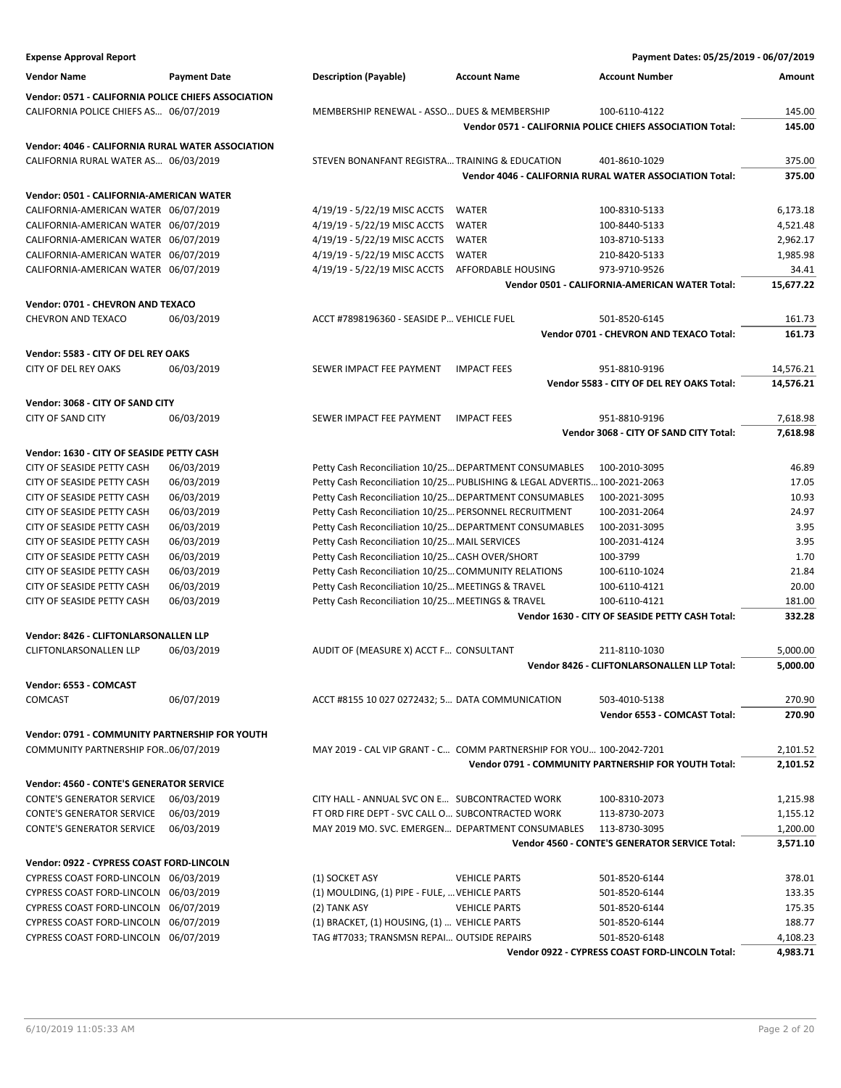| <b>Expense Approval Report</b>                      |                     |                                                        |                                                                           | Payment Dates: 05/25/2019 - 06/07/2019                    |               |
|-----------------------------------------------------|---------------------|--------------------------------------------------------|---------------------------------------------------------------------------|-----------------------------------------------------------|---------------|
| <b>Vendor Name</b>                                  | <b>Payment Date</b> | <b>Description (Payable)</b>                           | <b>Account Name</b>                                                       | <b>Account Number</b>                                     | <b>Amount</b> |
| Vendor: 0571 - CALIFORNIA POLICE CHIEFS ASSOCIATION |                     |                                                        |                                                                           |                                                           |               |
| CALIFORNIA POLICE CHIEFS AS 06/07/2019              |                     | MEMBERSHIP RENEWAL - ASSO DUES & MEMBERSHIP            |                                                                           | 100-6110-4122                                             | 145.00        |
|                                                     |                     |                                                        |                                                                           | Vendor 0571 - CALIFORNIA POLICE CHIEFS ASSOCIATION Total: | 145.00        |
|                                                     |                     |                                                        |                                                                           |                                                           |               |
| Vendor: 4046 - CALIFORNIA RURAL WATER ASSOCIATION   |                     |                                                        |                                                                           |                                                           |               |
| CALIFORNIA RURAL WATER AS 06/03/2019                |                     | STEVEN BONANFANT REGISTRA TRAINING & EDUCATION         |                                                                           | 401-8610-1029                                             | 375.00        |
|                                                     |                     |                                                        |                                                                           | Vendor 4046 - CALIFORNIA RURAL WATER ASSOCIATION Total:   | 375.00        |
| Vendor: 0501 - CALIFORNIA-AMERICAN WATER            |                     |                                                        |                                                                           |                                                           |               |
| CALIFORNIA-AMERICAN WATER 06/07/2019                |                     | 4/19/19 - 5/22/19 MISC ACCTS                           | <b>WATER</b>                                                              | 100-8310-5133                                             | 6,173.18      |
| CALIFORNIA-AMERICAN WATER 06/07/2019                |                     | 4/19/19 - 5/22/19 MISC ACCTS                           | <b>WATER</b>                                                              | 100-8440-5133                                             | 4,521.48      |
| CALIFORNIA-AMERICAN WATER 06/07/2019                |                     | 4/19/19 - 5/22/19 MISC ACCTS                           | <b>WATER</b>                                                              | 103-8710-5133                                             | 2,962.17      |
| CALIFORNIA-AMERICAN WATER 06/07/2019                |                     | 4/19/19 - 5/22/19 MISC ACCTS                           | <b>WATER</b>                                                              | 210-8420-5133                                             | 1,985.98      |
| CALIFORNIA-AMERICAN WATER 06/07/2019                |                     | 4/19/19 - 5/22/19 MISC ACCTS                           | AFFORDABLE HOUSING                                                        | 973-9710-9526                                             | 34.41         |
|                                                     |                     |                                                        |                                                                           | Vendor 0501 - CALIFORNIA-AMERICAN WATER Total:            | 15,677.22     |
|                                                     |                     |                                                        |                                                                           |                                                           |               |
| Vendor: 0701 - CHEVRON AND TEXACO                   |                     |                                                        |                                                                           |                                                           |               |
| <b>CHEVRON AND TEXACO</b>                           | 06/03/2019          | ACCT #7898196360 - SEASIDE P VEHICLE FUEL              |                                                                           | 501-8520-6145                                             | 161.73        |
|                                                     |                     |                                                        |                                                                           | Vendor 0701 - CHEVRON AND TEXACO Total:                   | 161.73        |
| Vendor: 5583 - CITY OF DEL REY OAKS                 |                     |                                                        |                                                                           |                                                           |               |
| <b>CITY OF DEL REY OAKS</b>                         | 06/03/2019          | SEWER IMPACT FEE PAYMENT                               | <b>IMPACT FEES</b>                                                        | 951-8810-9196                                             | 14,576.21     |
|                                                     |                     |                                                        |                                                                           | Vendor 5583 - CITY OF DEL REY OAKS Total:                 | 14,576.21     |
|                                                     |                     |                                                        |                                                                           |                                                           |               |
| Vendor: 3068 - CITY OF SAND CITY                    |                     |                                                        |                                                                           |                                                           |               |
| <b>CITY OF SAND CITY</b>                            | 06/03/2019          | SEWER IMPACT FEE PAYMENT                               | <b>IMPACT FEES</b>                                                        | 951-8810-9196                                             | 7,618.98      |
|                                                     |                     |                                                        |                                                                           | Vendor 3068 - CITY OF SAND CITY Total:                    | 7,618.98      |
| Vendor: 1630 - CITY OF SEASIDE PETTY CASH           |                     |                                                        |                                                                           |                                                           |               |
| CITY OF SEASIDE PETTY CASH                          | 06/03/2019          | Petty Cash Reconciliation 10/25 DEPARTMENT CONSUMABLES |                                                                           | 100-2010-3095                                             | 46.89         |
| CITY OF SEASIDE PETTY CASH                          | 06/03/2019          |                                                        | Petty Cash Reconciliation 10/25 PUBLISHING & LEGAL ADVERTIS 100-2021-2063 |                                                           | 17.05         |
| CITY OF SEASIDE PETTY CASH                          | 06/03/2019          | Petty Cash Reconciliation 10/25 DEPARTMENT CONSUMABLES |                                                                           | 100-2021-3095                                             | 10.93         |
| CITY OF SEASIDE PETTY CASH                          | 06/03/2019          | Petty Cash Reconciliation 10/25 PERSONNEL RECRUITMENT  |                                                                           | 100-2031-2064                                             | 24.97         |
| CITY OF SEASIDE PETTY CASH                          | 06/03/2019          | Petty Cash Reconciliation 10/25 DEPARTMENT CONSUMABLES |                                                                           | 100-2031-3095                                             | 3.95          |
| CITY OF SEASIDE PETTY CASH                          | 06/03/2019          | Petty Cash Reconciliation 10/25 MAIL SERVICES          |                                                                           | 100-2031-4124                                             | 3.95          |
| CITY OF SEASIDE PETTY CASH                          | 06/03/2019          | Petty Cash Reconciliation 10/25 CASH OVER/SHORT        |                                                                           | 100-3799                                                  | 1.70          |
| CITY OF SEASIDE PETTY CASH                          | 06/03/2019          | Petty Cash Reconciliation 10/25 COMMUNITY RELATIONS    |                                                                           | 100-6110-1024                                             | 21.84         |
| CITY OF SEASIDE PETTY CASH                          | 06/03/2019          | Petty Cash Reconciliation 10/25 MEETINGS & TRAVEL      |                                                                           | 100-6110-4121                                             | 20.00         |
| CITY OF SEASIDE PETTY CASH                          | 06/03/2019          | Petty Cash Reconciliation 10/25 MEETINGS & TRAVEL      |                                                                           | 100-6110-4121                                             | 181.00        |
|                                                     |                     |                                                        |                                                                           | Vendor 1630 - CITY OF SEASIDE PETTY CASH Total:           | 332.28        |
|                                                     |                     |                                                        |                                                                           |                                                           |               |
| Vendor: 8426 - CLIFTONLARSONALLEN LLP               |                     |                                                        |                                                                           |                                                           |               |
| <b>CLIFTONLARSONALLEN LLP</b>                       | 06/03/2019          | AUDIT OF (MEASURE X) ACCT F CONSULTANT                 |                                                                           | 211-8110-1030                                             | 5,000.00      |
|                                                     |                     |                                                        |                                                                           | Vendor 8426 - CLIFTONLARSONALLEN LLP Total:               | 5,000.00      |
| Vendor: 6553 - COMCAST                              |                     |                                                        |                                                                           |                                                           |               |
| <b>COMCAST</b>                                      | 06/07/2019          | ACCT #8155 10 027 0272432; 5 DATA COMMUNICATION        |                                                                           | 503-4010-5138                                             | 270.90        |
|                                                     |                     |                                                        |                                                                           | Vendor 6553 - COMCAST Total:                              | 270.90        |
| Vendor: 0791 - COMMUNITY PARTNERSHIP FOR YOUTH      |                     |                                                        |                                                                           |                                                           |               |
|                                                     |                     |                                                        |                                                                           |                                                           |               |
| COMMUNITY PARTNERSHIP FOR06/07/2019                 |                     |                                                        | MAY 2019 - CAL VIP GRANT - C COMM PARTNERSHIP FOR YOU 100-2042-7201       |                                                           | 2,101.52      |
|                                                     |                     |                                                        |                                                                           | Vendor 0791 - COMMUNITY PARTNERSHIP FOR YOUTH Total:      | 2,101.52      |
| Vendor: 4560 - CONTE'S GENERATOR SERVICE            |                     |                                                        |                                                                           |                                                           |               |
| <b>CONTE'S GENERATOR SERVICE</b>                    | 06/03/2019          | CITY HALL - ANNUAL SVC ON E SUBCONTRACTED WORK         |                                                                           | 100-8310-2073                                             | 1,215.98      |
| <b>CONTE'S GENERATOR SERVICE</b>                    | 06/03/2019          | FT ORD FIRE DEPT - SVC CALL O SUBCONTRACTED WORK       |                                                                           | 113-8730-2073                                             | 1,155.12      |
| <b>CONTE'S GENERATOR SERVICE</b>                    | 06/03/2019          | MAY 2019 MO. SVC. EMERGEN DEPARTMENT CONSUMABLES       |                                                                           | 113-8730-3095                                             | 1,200.00      |
|                                                     |                     |                                                        |                                                                           | <b>Vendor 4560 - CONTE'S GENERATOR SERVICE Total:</b>     | 3,571.10      |
|                                                     |                     |                                                        |                                                                           |                                                           |               |
| Vendor: 0922 - CYPRESS COAST FORD-LINCOLN           |                     |                                                        |                                                                           |                                                           |               |
| CYPRESS COAST FORD-LINCOLN 06/03/2019               |                     | (1) SOCKET ASY                                         | <b>VEHICLE PARTS</b>                                                      | 501-8520-6144                                             | 378.01        |
| CYPRESS COAST FORD-LINCOLN 06/03/2019               |                     | (1) MOULDING, (1) PIPE - FULE,  VEHICLE PARTS          |                                                                           | 501-8520-6144                                             | 133.35        |
| CYPRESS COAST FORD-LINCOLN 06/07/2019               |                     | (2) TANK ASY                                           | <b>VEHICLE PARTS</b>                                                      | 501-8520-6144                                             | 175.35        |
| CYPRESS COAST FORD-LINCOLN 06/07/2019               |                     | (1) BRACKET, (1) HOUSING, (1)  VEHICLE PARTS           |                                                                           | 501-8520-6144                                             | 188.77        |
| CYPRESS COAST FORD-LINCOLN 06/07/2019               |                     | TAG #T7033; TRANSMSN REPAI OUTSIDE REPAIRS             |                                                                           | 501-8520-6148                                             | 4,108.23      |
|                                                     |                     |                                                        |                                                                           | Vendor 0922 - CYPRESS COAST FORD-LINCOLN Total:           | 4,983.71      |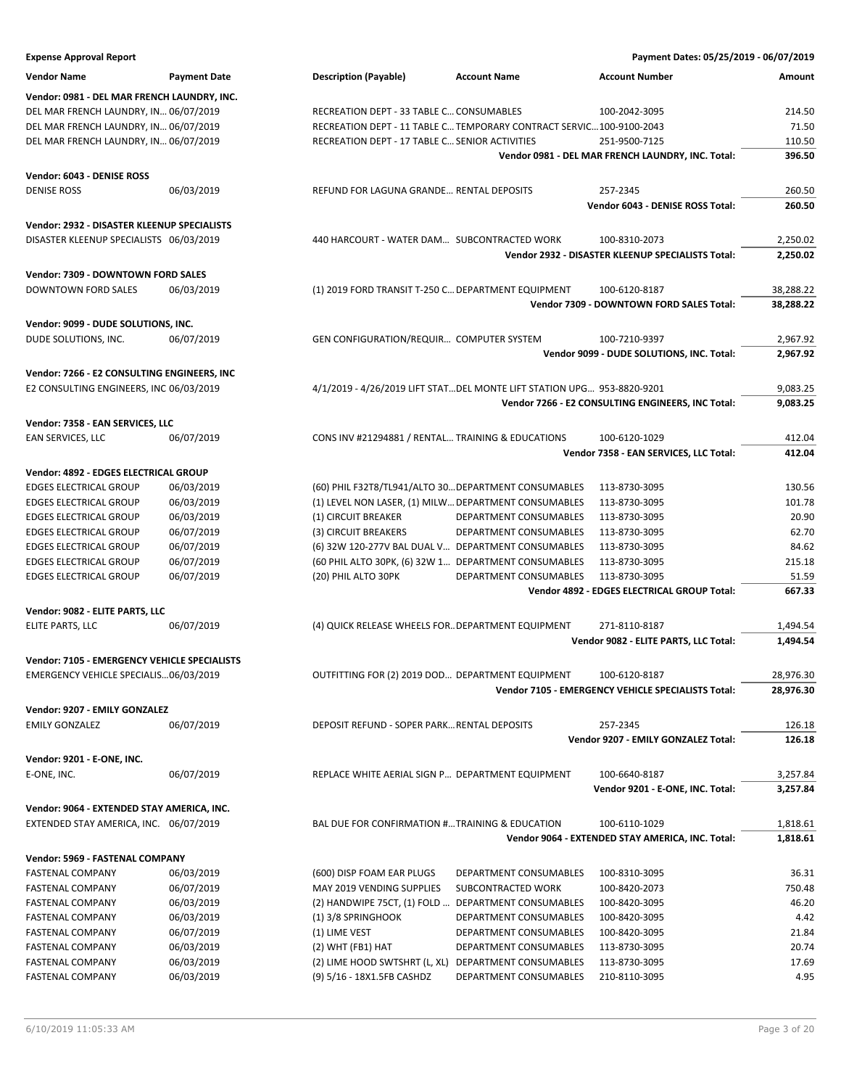### **Expense Approval Report Payment Dates: 05/25/2019 - 06/07/2019 Vendor Name Payment Date Description (Payable) Account Name Account Number Amount Vendor: 0981 - DEL MAR FRENCH LAUNDRY, INC.** DEL MAR FRENCH LAUNDRY, IN... 06/07/2019 RECREATION DEPT - 33 TABLE C... CONSUMABLES 100-2042-3095 214.50 DEL MAR FRENCH LAUNDRY, IN… 06/07/2019 RECREATION DEPT - 11 TABLE C…TEMPORARY CONTRACT SERVIC…100-9100-2043 71.50 DEL MAR FRENCH LAUNDRY, IN… 06/07/2019 RECREATION DEPT - 17 TABLE C…SENIOR ACTIVITIES 251-9500-7125 110.50 **Vendor 0981 - DEL MAR FRENCH LAUNDRY, INC. Total: 396.50 Vendor: 6043 - DENISE ROSS** DENISE ROSS 06/03/2019 REFUND FOR LAGUNA GRANDE… RENTAL DEPOSITS 257-2345 260.50 **Vendor 6043 - DENISE ROSS Total: 260.50 Vendor: 2932 - DISASTER KLEENUP SPECIALISTS** DISASTER KLEENUP SPECIALISTS 06/03/2019 440 HARCOURT - WATER DAM… SUBCONTRACTED WORK 100-8310-2073 2,250.02 **Vendor 2932 - DISASTER KLEENUP SPECIALISTS Total: 2,250.02 Vendor: 7309 - DOWNTOWN FORD SALES** DOWNTOWN FORD SALES 06/03/2019 (1) 2019 FORD TRANSIT T-250 C…DEPARTMENT EQUIPMENT 100-6120-8187 38,288.22 **Vendor 7309 - DOWNTOWN FORD SALES Total: 38,288.22 Vendor: 9099 - DUDE SOLUTIONS, INC.** DUDE SOLUTIONS. INC. 06/07/2019 GEN CONFIGURATION/REQUIR... COMPUTER SYSTEM 100-7210-9397 2,967.92 **Vendor 9099 - DUDE SOLUTIONS, INC. Total: 2,967.92 Vendor: 7266 - E2 CONSULTING ENGINEERS, INC** E2 CONSULTING ENGINEERS, INC 06/03/2019 4/1/2019 - 4/26/2019 LIFT STAT…DEL MONTE LIFT STATION UPG… 953-8820-9201 9,083.25 **Vendor 7266 - E2 CONSULTING ENGINEERS, INC Total: 9,083.25 Vendor: 7358 - EAN SERVICES, LLC** EAN SERVICES, LLC 06/07/2019 CONS INV #21294881 / RENTAL… TRAINING & EDUCATIONS 100-6120-1029 412.04 **Vendor 7358 - EAN SERVICES, LLC Total: 412.04 Vendor: 4892 - EDGES ELECTRICAL GROUP** EDGES ELECTRICAL GROUP 06/03/2019 (60) PHIL F32T8/TL941/ALTO 30…DEPARTMENT CONSUMABLES 113-8730-3095 130.56 EDGES ELECTRICAL GROUP 06/03/2019 (1) LEVEL NON LASER, (1) MILW…DEPARTMENT CONSUMABLES 113-8730-3095 101.78 EDGES ELECTRICAL GROUP 06/03/2019 (1) CIRCUIT BREAKER DEPARTMENT CONSUMABLES 113-8730-3095 20.90 EDGES ELECTRICAL GROUP 06/07/2019 (3) CIRCUIT BREAKERS DEPARTMENT CONSUMABLES 113-8730-3095 62.70 EDGES ELECTRICAL GROUP 06/07/2019 (6) 32W 120-277V BAL DUAL V… DEPARTMENT CONSUMABLES 113-8730-3095 84.62 EDGES ELECTRICAL GROUP 06/07/2019 (60 PHIL ALTO 30PK, (6) 32W 1… DEPARTMENT CONSUMABLES 113-8730-3095 215.18 EDGES ELECTRICAL GROUP 06/07/2019 (20) PHIL ALTO 30PK DEPARTMENT CONSUMABLES 113-8730-3095 51.59 **Vendor 4892 - EDGES ELECTRICAL GROUP Total: 667.33 Vendor: 9082 - ELITE PARTS, LLC** ELITE PARTS, LLC 06/07/2019 (4) QUICK RELEASE WHEELS FOR…DEPARTMENT EQUIPMENT 271-8110-8187 1,494.54 **Vendor 9082 - ELITE PARTS, LLC Total: 1,494.54 Vendor: 7105 - EMERGENCY VEHICLE SPECIALISTS** EMERGENCY VEHICLE SPECIALIS…06/03/2019 OUTFITTING FOR (2) 2019 DOD… DEPARTMENT EQUIPMENT 100-6120-8187 28,976.30 **Vendor 7105 - EMERGENCY VEHICLE SPECIALISTS Total: 28,976.30 Vendor: 9207 - EMILY GONZALEZ** EMILY GONZALEZ 06/07/2019 DEPOSIT REFUND - SOPER PARK...RENTAL DEPOSITS 257-2345 257-2345 257-2345 **Vendor 9207 - EMILY GONZALEZ Total: 126.18 Vendor: 9201 - E-ONE, INC.** E-ONE, INC. 66/07/2019 REPLACE WHITE AERIAL SIGN P... DEPARTMENT EQUIPMENT 100-6640-8187 3,257.84 **Vendor 9201 - E-ONE, INC. Total: 3,257.84 Vendor: 9064 - EXTENDED STAY AMERICA, INC.** EXTENDED STAY AMERICA, INC. 06/07/2019 BAL DUE FOR CONFIRMATION #…TRAINING & EDUCATION 100-6110-1029 1,818.61 **Vendor 9064 - EXTENDED STAY AMERICA, INC. Total: 1,818.61 Vendor: 5969 - FASTENAL COMPANY** FASTENAL COMPANY 06/03/2019 (600) DISP FOAM EAR PLUGS DEPARTMENT CONSUMABLES 100-8310-3095 36.31 FASTENAL COMPANY 06/07/2019 MAY 2019 VENDING SUPPLIES SUBCONTRACTED WORK 100-8420-2073 750.48 FASTENAL COMPANY 06/03/2019 (2) HANDWIPE 75CT, (1) FOLD … DEPARTMENT CONSUMABLES 100-8420-3095 46.20 FASTENAL COMPANY 06/03/2019 (1) 3/8 SPRINGHOOK DEPARTMENT CONSUMABLES 100-8420-3095 4.42 FASTENAL COMPANY 06/07/2019 (1) LIME VEST DEPARTMENT CONSUMABLES 100-8420-3095 21.84 FASTENAL COMPANY 06/03/2019 (2) WHT (FB1) HAT DEPARTMENT CONSUMABLES 113-8730-3095 20.74 FASTENAL COMPANY 06/03/2019 (2) LIME HOOD SWTSHRT (L, XL) DEPARTMENT CONSUMABLES 113-8730-3095 17.69

FASTENAL COMPANY 06/03/2019 (9) 5/16 - 18X1.5FB CASHDZ DEPARTMENT CONSUMABLES 210-8110-3095 4.95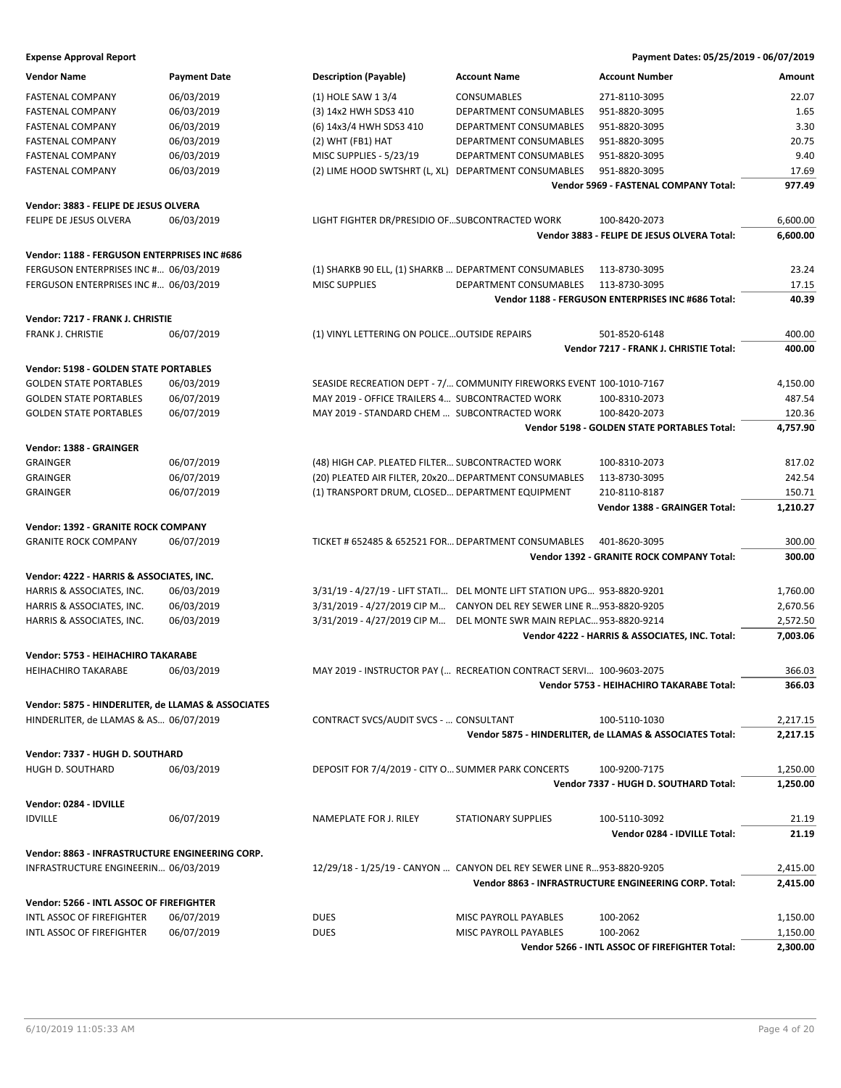| 06/03/2019<br>(1) HOLE SAW 1 3/4<br>22.07<br><b>FASTENAL COMPANY</b><br><b>CONSUMABLES</b><br>271-8110-3095<br>1.65<br>06/03/2019<br>(3) 14x2 HWH SDS3 410<br><b>DEPARTMENT CONSUMABLES</b><br>951-8820-3095<br><b>FASTENAL COMPANY</b><br>06/03/2019<br>3.30<br><b>FASTENAL COMPANY</b><br>(6) 14x3/4 HWH SDS3 410<br>DEPARTMENT CONSUMABLES<br>951-8820-3095<br>06/03/2019<br>20.75<br><b>FASTENAL COMPANY</b><br>$(2)$ WHT (FB1) HAT<br>DEPARTMENT CONSUMABLES<br>951-8820-3095<br>06/03/2019<br>MISC SUPPLIES - 5/23/19<br>9.40<br><b>FASTENAL COMPANY</b><br>DEPARTMENT CONSUMABLES<br>951-8820-3095<br>06/03/2019<br>17.69<br><b>FASTENAL COMPANY</b><br>(2) LIME HOOD SWTSHRT (L, XL) DEPARTMENT CONSUMABLES<br>951-8820-3095<br>977.49<br>Vendor 5969 - FASTENAL COMPANY Total:<br>Vendor: 3883 - FELIPE DE JESUS OLVERA<br>FELIPE DE JESUS OLVERA<br>06/03/2019<br>LIGHT FIGHTER DR/PRESIDIO OFSUBCONTRACTED WORK<br>100-8420-2073<br>6,600.00<br>Vendor 3883 - FELIPE DE JESUS OLVERA Total:<br>6,600.00<br>Vendor: 1188 - FERGUSON ENTERPRISES INC #686<br>FERGUSON ENTERPRISES INC # 06/03/2019<br>(1) SHARKB 90 ELL, (1) SHARKB  DEPARTMENT CONSUMABLES<br>113-8730-3095<br>23.24<br>FERGUSON ENTERPRISES INC # 06/03/2019<br><b>MISC SUPPLIES</b><br>DEPARTMENT CONSUMABLES<br>17.15<br>113-8730-3095<br>40.39<br>Vendor 1188 - FERGUSON ENTERPRISES INC #686 Total:<br>Vendor: 7217 - FRANK J. CHRISTIE<br>FRANK J. CHRISTIE<br>06/07/2019<br>(1) VINYL LETTERING ON POLICE OUTSIDE REPAIRS<br>501-8520-6148<br>400.00<br>400.00<br>Vendor 7217 - FRANK J. CHRISTIE Total:<br>Vendor: 5198 - GOLDEN STATE PORTABLES<br><b>GOLDEN STATE PORTABLES</b><br>06/03/2019<br>SEASIDE RECREATION DEPT - 7/ COMMUNITY FIREWORKS EVENT 100-1010-7167<br>4,150.00<br>06/07/2019<br>487.54<br><b>GOLDEN STATE PORTABLES</b><br>MAY 2019 - OFFICE TRAILERS 4 SUBCONTRACTED WORK<br>100-8310-2073<br>06/07/2019<br>MAY 2019 - STANDARD CHEM  SUBCONTRACTED WORK<br><b>GOLDEN STATE PORTABLES</b><br>100-8420-2073<br>120.36<br>Vendor 5198 - GOLDEN STATE PORTABLES Total:<br>4,757.90<br>Vendor: 1388 - GRAINGER<br>817.02<br><b>GRAINGER</b><br>06/07/2019<br>(48) HIGH CAP. PLEATED FILTER SUBCONTRACTED WORK<br>100-8310-2073<br>06/07/2019<br>(20) PLEATED AIR FILTER, 20x20 DEPARTMENT CONSUMABLES<br>242.54<br><b>GRAINGER</b><br>113-8730-3095<br>06/07/2019<br><b>GRAINGER</b><br>(1) TRANSPORT DRUM, CLOSED DEPARTMENT EQUIPMENT<br>210-8110-8187<br>150.71<br>Vendor 1388 - GRAINGER Total:<br>1,210.27<br>Vendor: 1392 - GRANITE ROCK COMPANY<br>TICKET # 652485 & 652521 FOR DEPARTMENT CONSUMABLES<br>300.00<br><b>GRANITE ROCK COMPANY</b><br>06/07/2019<br>401-8620-3095<br>Vendor 1392 - GRANITE ROCK COMPANY Total:<br>300.00<br>Vendor: 4222 - HARRIS & ASSOCIATES, INC.<br>06/03/2019<br>3/31/19 - 4/27/19 - LIFT STATI DEL MONTE LIFT STATION UPG 953-8820-9201<br>1,760.00<br>HARRIS & ASSOCIATES, INC.<br>06/03/2019<br>3/31/2019 - 4/27/2019 CIP M CANYON DEL REY SEWER LINE R953-8820-9205<br>2,670.56<br>HARRIS & ASSOCIATES, INC.<br>06/03/2019<br>HARRIS & ASSOCIATES, INC.<br>3/31/2019 - 4/27/2019 CIP M DEL MONTE SWR MAIN REPLAC 953-8820-9214<br>2,572.50<br>Vendor 4222 - HARRIS & ASSOCIATES, INC. Total:<br>7,003.06<br>Vendor: 5753 - HEIHACHIRO TAKARABE<br><b>HEIHACHIRO TAKARABE</b><br>06/03/2019<br>MAY 2019 - INSTRUCTOR PAY ( RECREATION CONTRACT SERVI 100-9603-2075<br>366.03<br>Vendor 5753 - HEIHACHIRO TAKARABE Total:<br>366.03<br>Vendor: 5875 - HINDERLITER, de LLAMAS & ASSOCIATES<br>HINDERLITER, de LLAMAS & AS 06/07/2019<br>CONTRACT SVCS/AUDIT SVCS -  CONSULTANT<br>100-5110-1030<br>2,217.15<br>Vendor 5875 - HINDERLITER, de LLAMAS & ASSOCIATES Total:<br>2,217.15<br>Vendor: 7337 - HUGH D. SOUTHARD<br>06/03/2019<br>DEPOSIT FOR 7/4/2019 - CITY O SUMMER PARK CONCERTS<br>HUGH D. SOUTHARD<br>100-9200-7175<br>1,250.00<br>Vendor 7337 - HUGH D. SOUTHARD Total:<br>Vendor: 0284 - IDVILLE<br><b>IDVILLE</b><br>06/07/2019<br><b>STATIONARY SUPPLIES</b><br>100-5110-3092<br><b>NAMEPLATE FOR J. RILEY</b><br>21.19<br>Vendor 0284 - IDVILLE Total:<br>21.19<br>Vendor: 8863 - INFRASTRUCTURE ENGINEERING CORP.<br>12/29/18 - 1/25/19 - CANYON  CANYON DEL REY SEWER LINE R953-8820-9205<br>INFRASTRUCTURE ENGINEERIN 06/03/2019<br>2,415.00<br>Vendor 8863 - INFRASTRUCTURE ENGINEERING CORP. Total:<br>2,415.00<br>Vendor: 5266 - INTL ASSOC OF FIREFIGHTER<br>06/07/2019<br><b>DUES</b><br>100-2062<br>INTL ASSOC OF FIREFIGHTER<br>MISC PAYROLL PAYABLES<br>1,150.00<br>06/07/2019<br>INTL ASSOC OF FIREFIGHTER<br><b>DUES</b><br>MISC PAYROLL PAYABLES<br>100-2062<br>1,150.00<br>Vendor 5266 - INTL ASSOC OF FIREFIGHTER Total:<br>2,300.00 | <b>Vendor Name</b> | <b>Payment Date</b> | <b>Description (Payable)</b> | <b>Account Name</b> | <b>Account Number</b> | Amount |
|---------------------------------------------------------------------------------------------------------------------------------------------------------------------------------------------------------------------------------------------------------------------------------------------------------------------------------------------------------------------------------------------------------------------------------------------------------------------------------------------------------------------------------------------------------------------------------------------------------------------------------------------------------------------------------------------------------------------------------------------------------------------------------------------------------------------------------------------------------------------------------------------------------------------------------------------------------------------------------------------------------------------------------------------------------------------------------------------------------------------------------------------------------------------------------------------------------------------------------------------------------------------------------------------------------------------------------------------------------------------------------------------------------------------------------------------------------------------------------------------------------------------------------------------------------------------------------------------------------------------------------------------------------------------------------------------------------------------------------------------------------------------------------------------------------------------------------------------------------------------------------------------------------------------------------------------------------------------------------------------------------------------------------------------------------------------------------------------------------------------------------------------------------------------------------------------------------------------------------------------------------------------------------------------------------------------------------------------------------------------------------------------------------------------------------------------------------------------------------------------------------------------------------------------------------------------------------------------------------------------------------------------------------------------------------------------------------------------------------------------------------------------------------------------------------------------------------------------------------------------------------------------------------------------------------------------------------------------------------------------------------------------------------------------------------------------------------------------------------------------------------------------------------------------------------------------------------------------------------------------------------------------------------------------------------------------------------------------------------------------------------------------------------------------------------------------------------------------------------------------------------------------------------------------------------------------------------------------------------------------------------------------------------------------------------------------------------------------------------------------------------------------------------------------------------------------------------------------------------------------------------------------------------------------------------------------------------------------------------------------------------------------------------------------------------------------------------------------------------------------------------------------------------------------------------------------------------------------------------------------------------------------------------------------------------------------------------------------------------------------------------------------------------------------------------------------------------------------------------------------------------------------------------------------------------------------------------------------------------------------------------------------------------------------------------------------------------------------|--------------------|---------------------|------------------------------|---------------------|-----------------------|--------|
| 1,250.00                                                                                                                                                                                                                                                                                                                                                                                                                                                                                                                                                                                                                                                                                                                                                                                                                                                                                                                                                                                                                                                                                                                                                                                                                                                                                                                                                                                                                                                                                                                                                                                                                                                                                                                                                                                                                                                                                                                                                                                                                                                                                                                                                                                                                                                                                                                                                                                                                                                                                                                                                                                                                                                                                                                                                                                                                                                                                                                                                                                                                                                                                                                                                                                                                                                                                                                                                                                                                                                                                                                                                                                                                                                                                                                                                                                                                                                                                                                                                                                                                                                                                                                                                                                                                                                                                                                                                                                                                                                                                                                                                                                                                                                                                                            |                    |                     |                              |                     |                       |        |
|                                                                                                                                                                                                                                                                                                                                                                                                                                                                                                                                                                                                                                                                                                                                                                                                                                                                                                                                                                                                                                                                                                                                                                                                                                                                                                                                                                                                                                                                                                                                                                                                                                                                                                                                                                                                                                                                                                                                                                                                                                                                                                                                                                                                                                                                                                                                                                                                                                                                                                                                                                                                                                                                                                                                                                                                                                                                                                                                                                                                                                                                                                                                                                                                                                                                                                                                                                                                                                                                                                                                                                                                                                                                                                                                                                                                                                                                                                                                                                                                                                                                                                                                                                                                                                                                                                                                                                                                                                                                                                                                                                                                                                                                                                                     |                    |                     |                              |                     |                       |        |
|                                                                                                                                                                                                                                                                                                                                                                                                                                                                                                                                                                                                                                                                                                                                                                                                                                                                                                                                                                                                                                                                                                                                                                                                                                                                                                                                                                                                                                                                                                                                                                                                                                                                                                                                                                                                                                                                                                                                                                                                                                                                                                                                                                                                                                                                                                                                                                                                                                                                                                                                                                                                                                                                                                                                                                                                                                                                                                                                                                                                                                                                                                                                                                                                                                                                                                                                                                                                                                                                                                                                                                                                                                                                                                                                                                                                                                                                                                                                                                                                                                                                                                                                                                                                                                                                                                                                                                                                                                                                                                                                                                                                                                                                                                                     |                    |                     |                              |                     |                       |        |
|                                                                                                                                                                                                                                                                                                                                                                                                                                                                                                                                                                                                                                                                                                                                                                                                                                                                                                                                                                                                                                                                                                                                                                                                                                                                                                                                                                                                                                                                                                                                                                                                                                                                                                                                                                                                                                                                                                                                                                                                                                                                                                                                                                                                                                                                                                                                                                                                                                                                                                                                                                                                                                                                                                                                                                                                                                                                                                                                                                                                                                                                                                                                                                                                                                                                                                                                                                                                                                                                                                                                                                                                                                                                                                                                                                                                                                                                                                                                                                                                                                                                                                                                                                                                                                                                                                                                                                                                                                                                                                                                                                                                                                                                                                                     |                    |                     |                              |                     |                       |        |
|                                                                                                                                                                                                                                                                                                                                                                                                                                                                                                                                                                                                                                                                                                                                                                                                                                                                                                                                                                                                                                                                                                                                                                                                                                                                                                                                                                                                                                                                                                                                                                                                                                                                                                                                                                                                                                                                                                                                                                                                                                                                                                                                                                                                                                                                                                                                                                                                                                                                                                                                                                                                                                                                                                                                                                                                                                                                                                                                                                                                                                                                                                                                                                                                                                                                                                                                                                                                                                                                                                                                                                                                                                                                                                                                                                                                                                                                                                                                                                                                                                                                                                                                                                                                                                                                                                                                                                                                                                                                                                                                                                                                                                                                                                                     |                    |                     |                              |                     |                       |        |
|                                                                                                                                                                                                                                                                                                                                                                                                                                                                                                                                                                                                                                                                                                                                                                                                                                                                                                                                                                                                                                                                                                                                                                                                                                                                                                                                                                                                                                                                                                                                                                                                                                                                                                                                                                                                                                                                                                                                                                                                                                                                                                                                                                                                                                                                                                                                                                                                                                                                                                                                                                                                                                                                                                                                                                                                                                                                                                                                                                                                                                                                                                                                                                                                                                                                                                                                                                                                                                                                                                                                                                                                                                                                                                                                                                                                                                                                                                                                                                                                                                                                                                                                                                                                                                                                                                                                                                                                                                                                                                                                                                                                                                                                                                                     |                    |                     |                              |                     |                       |        |
|                                                                                                                                                                                                                                                                                                                                                                                                                                                                                                                                                                                                                                                                                                                                                                                                                                                                                                                                                                                                                                                                                                                                                                                                                                                                                                                                                                                                                                                                                                                                                                                                                                                                                                                                                                                                                                                                                                                                                                                                                                                                                                                                                                                                                                                                                                                                                                                                                                                                                                                                                                                                                                                                                                                                                                                                                                                                                                                                                                                                                                                                                                                                                                                                                                                                                                                                                                                                                                                                                                                                                                                                                                                                                                                                                                                                                                                                                                                                                                                                                                                                                                                                                                                                                                                                                                                                                                                                                                                                                                                                                                                                                                                                                                                     |                    |                     |                              |                     |                       |        |
|                                                                                                                                                                                                                                                                                                                                                                                                                                                                                                                                                                                                                                                                                                                                                                                                                                                                                                                                                                                                                                                                                                                                                                                                                                                                                                                                                                                                                                                                                                                                                                                                                                                                                                                                                                                                                                                                                                                                                                                                                                                                                                                                                                                                                                                                                                                                                                                                                                                                                                                                                                                                                                                                                                                                                                                                                                                                                                                                                                                                                                                                                                                                                                                                                                                                                                                                                                                                                                                                                                                                                                                                                                                                                                                                                                                                                                                                                                                                                                                                                                                                                                                                                                                                                                                                                                                                                                                                                                                                                                                                                                                                                                                                                                                     |                    |                     |                              |                     |                       |        |
|                                                                                                                                                                                                                                                                                                                                                                                                                                                                                                                                                                                                                                                                                                                                                                                                                                                                                                                                                                                                                                                                                                                                                                                                                                                                                                                                                                                                                                                                                                                                                                                                                                                                                                                                                                                                                                                                                                                                                                                                                                                                                                                                                                                                                                                                                                                                                                                                                                                                                                                                                                                                                                                                                                                                                                                                                                                                                                                                                                                                                                                                                                                                                                                                                                                                                                                                                                                                                                                                                                                                                                                                                                                                                                                                                                                                                                                                                                                                                                                                                                                                                                                                                                                                                                                                                                                                                                                                                                                                                                                                                                                                                                                                                                                     |                    |                     |                              |                     |                       |        |
|                                                                                                                                                                                                                                                                                                                                                                                                                                                                                                                                                                                                                                                                                                                                                                                                                                                                                                                                                                                                                                                                                                                                                                                                                                                                                                                                                                                                                                                                                                                                                                                                                                                                                                                                                                                                                                                                                                                                                                                                                                                                                                                                                                                                                                                                                                                                                                                                                                                                                                                                                                                                                                                                                                                                                                                                                                                                                                                                                                                                                                                                                                                                                                                                                                                                                                                                                                                                                                                                                                                                                                                                                                                                                                                                                                                                                                                                                                                                                                                                                                                                                                                                                                                                                                                                                                                                                                                                                                                                                                                                                                                                                                                                                                                     |                    |                     |                              |                     |                       |        |
|                                                                                                                                                                                                                                                                                                                                                                                                                                                                                                                                                                                                                                                                                                                                                                                                                                                                                                                                                                                                                                                                                                                                                                                                                                                                                                                                                                                                                                                                                                                                                                                                                                                                                                                                                                                                                                                                                                                                                                                                                                                                                                                                                                                                                                                                                                                                                                                                                                                                                                                                                                                                                                                                                                                                                                                                                                                                                                                                                                                                                                                                                                                                                                                                                                                                                                                                                                                                                                                                                                                                                                                                                                                                                                                                                                                                                                                                                                                                                                                                                                                                                                                                                                                                                                                                                                                                                                                                                                                                                                                                                                                                                                                                                                                     |                    |                     |                              |                     |                       |        |
|                                                                                                                                                                                                                                                                                                                                                                                                                                                                                                                                                                                                                                                                                                                                                                                                                                                                                                                                                                                                                                                                                                                                                                                                                                                                                                                                                                                                                                                                                                                                                                                                                                                                                                                                                                                                                                                                                                                                                                                                                                                                                                                                                                                                                                                                                                                                                                                                                                                                                                                                                                                                                                                                                                                                                                                                                                                                                                                                                                                                                                                                                                                                                                                                                                                                                                                                                                                                                                                                                                                                                                                                                                                                                                                                                                                                                                                                                                                                                                                                                                                                                                                                                                                                                                                                                                                                                                                                                                                                                                                                                                                                                                                                                                                     |                    |                     |                              |                     |                       |        |
|                                                                                                                                                                                                                                                                                                                                                                                                                                                                                                                                                                                                                                                                                                                                                                                                                                                                                                                                                                                                                                                                                                                                                                                                                                                                                                                                                                                                                                                                                                                                                                                                                                                                                                                                                                                                                                                                                                                                                                                                                                                                                                                                                                                                                                                                                                                                                                                                                                                                                                                                                                                                                                                                                                                                                                                                                                                                                                                                                                                                                                                                                                                                                                                                                                                                                                                                                                                                                                                                                                                                                                                                                                                                                                                                                                                                                                                                                                                                                                                                                                                                                                                                                                                                                                                                                                                                                                                                                                                                                                                                                                                                                                                                                                                     |                    |                     |                              |                     |                       |        |
|                                                                                                                                                                                                                                                                                                                                                                                                                                                                                                                                                                                                                                                                                                                                                                                                                                                                                                                                                                                                                                                                                                                                                                                                                                                                                                                                                                                                                                                                                                                                                                                                                                                                                                                                                                                                                                                                                                                                                                                                                                                                                                                                                                                                                                                                                                                                                                                                                                                                                                                                                                                                                                                                                                                                                                                                                                                                                                                                                                                                                                                                                                                                                                                                                                                                                                                                                                                                                                                                                                                                                                                                                                                                                                                                                                                                                                                                                                                                                                                                                                                                                                                                                                                                                                                                                                                                                                                                                                                                                                                                                                                                                                                                                                                     |                    |                     |                              |                     |                       |        |
|                                                                                                                                                                                                                                                                                                                                                                                                                                                                                                                                                                                                                                                                                                                                                                                                                                                                                                                                                                                                                                                                                                                                                                                                                                                                                                                                                                                                                                                                                                                                                                                                                                                                                                                                                                                                                                                                                                                                                                                                                                                                                                                                                                                                                                                                                                                                                                                                                                                                                                                                                                                                                                                                                                                                                                                                                                                                                                                                                                                                                                                                                                                                                                                                                                                                                                                                                                                                                                                                                                                                                                                                                                                                                                                                                                                                                                                                                                                                                                                                                                                                                                                                                                                                                                                                                                                                                                                                                                                                                                                                                                                                                                                                                                                     |                    |                     |                              |                     |                       |        |
|                                                                                                                                                                                                                                                                                                                                                                                                                                                                                                                                                                                                                                                                                                                                                                                                                                                                                                                                                                                                                                                                                                                                                                                                                                                                                                                                                                                                                                                                                                                                                                                                                                                                                                                                                                                                                                                                                                                                                                                                                                                                                                                                                                                                                                                                                                                                                                                                                                                                                                                                                                                                                                                                                                                                                                                                                                                                                                                                                                                                                                                                                                                                                                                                                                                                                                                                                                                                                                                                                                                                                                                                                                                                                                                                                                                                                                                                                                                                                                                                                                                                                                                                                                                                                                                                                                                                                                                                                                                                                                                                                                                                                                                                                                                     |                    |                     |                              |                     |                       |        |
|                                                                                                                                                                                                                                                                                                                                                                                                                                                                                                                                                                                                                                                                                                                                                                                                                                                                                                                                                                                                                                                                                                                                                                                                                                                                                                                                                                                                                                                                                                                                                                                                                                                                                                                                                                                                                                                                                                                                                                                                                                                                                                                                                                                                                                                                                                                                                                                                                                                                                                                                                                                                                                                                                                                                                                                                                                                                                                                                                                                                                                                                                                                                                                                                                                                                                                                                                                                                                                                                                                                                                                                                                                                                                                                                                                                                                                                                                                                                                                                                                                                                                                                                                                                                                                                                                                                                                                                                                                                                                                                                                                                                                                                                                                                     |                    |                     |                              |                     |                       |        |
|                                                                                                                                                                                                                                                                                                                                                                                                                                                                                                                                                                                                                                                                                                                                                                                                                                                                                                                                                                                                                                                                                                                                                                                                                                                                                                                                                                                                                                                                                                                                                                                                                                                                                                                                                                                                                                                                                                                                                                                                                                                                                                                                                                                                                                                                                                                                                                                                                                                                                                                                                                                                                                                                                                                                                                                                                                                                                                                                                                                                                                                                                                                                                                                                                                                                                                                                                                                                                                                                                                                                                                                                                                                                                                                                                                                                                                                                                                                                                                                                                                                                                                                                                                                                                                                                                                                                                                                                                                                                                                                                                                                                                                                                                                                     |                    |                     |                              |                     |                       |        |
|                                                                                                                                                                                                                                                                                                                                                                                                                                                                                                                                                                                                                                                                                                                                                                                                                                                                                                                                                                                                                                                                                                                                                                                                                                                                                                                                                                                                                                                                                                                                                                                                                                                                                                                                                                                                                                                                                                                                                                                                                                                                                                                                                                                                                                                                                                                                                                                                                                                                                                                                                                                                                                                                                                                                                                                                                                                                                                                                                                                                                                                                                                                                                                                                                                                                                                                                                                                                                                                                                                                                                                                                                                                                                                                                                                                                                                                                                                                                                                                                                                                                                                                                                                                                                                                                                                                                                                                                                                                                                                                                                                                                                                                                                                                     |                    |                     |                              |                     |                       |        |
|                                                                                                                                                                                                                                                                                                                                                                                                                                                                                                                                                                                                                                                                                                                                                                                                                                                                                                                                                                                                                                                                                                                                                                                                                                                                                                                                                                                                                                                                                                                                                                                                                                                                                                                                                                                                                                                                                                                                                                                                                                                                                                                                                                                                                                                                                                                                                                                                                                                                                                                                                                                                                                                                                                                                                                                                                                                                                                                                                                                                                                                                                                                                                                                                                                                                                                                                                                                                                                                                                                                                                                                                                                                                                                                                                                                                                                                                                                                                                                                                                                                                                                                                                                                                                                                                                                                                                                                                                                                                                                                                                                                                                                                                                                                     |                    |                     |                              |                     |                       |        |
|                                                                                                                                                                                                                                                                                                                                                                                                                                                                                                                                                                                                                                                                                                                                                                                                                                                                                                                                                                                                                                                                                                                                                                                                                                                                                                                                                                                                                                                                                                                                                                                                                                                                                                                                                                                                                                                                                                                                                                                                                                                                                                                                                                                                                                                                                                                                                                                                                                                                                                                                                                                                                                                                                                                                                                                                                                                                                                                                                                                                                                                                                                                                                                                                                                                                                                                                                                                                                                                                                                                                                                                                                                                                                                                                                                                                                                                                                                                                                                                                                                                                                                                                                                                                                                                                                                                                                                                                                                                                                                                                                                                                                                                                                                                     |                    |                     |                              |                     |                       |        |
|                                                                                                                                                                                                                                                                                                                                                                                                                                                                                                                                                                                                                                                                                                                                                                                                                                                                                                                                                                                                                                                                                                                                                                                                                                                                                                                                                                                                                                                                                                                                                                                                                                                                                                                                                                                                                                                                                                                                                                                                                                                                                                                                                                                                                                                                                                                                                                                                                                                                                                                                                                                                                                                                                                                                                                                                                                                                                                                                                                                                                                                                                                                                                                                                                                                                                                                                                                                                                                                                                                                                                                                                                                                                                                                                                                                                                                                                                                                                                                                                                                                                                                                                                                                                                                                                                                                                                                                                                                                                                                                                                                                                                                                                                                                     |                    |                     |                              |                     |                       |        |
|                                                                                                                                                                                                                                                                                                                                                                                                                                                                                                                                                                                                                                                                                                                                                                                                                                                                                                                                                                                                                                                                                                                                                                                                                                                                                                                                                                                                                                                                                                                                                                                                                                                                                                                                                                                                                                                                                                                                                                                                                                                                                                                                                                                                                                                                                                                                                                                                                                                                                                                                                                                                                                                                                                                                                                                                                                                                                                                                                                                                                                                                                                                                                                                                                                                                                                                                                                                                                                                                                                                                                                                                                                                                                                                                                                                                                                                                                                                                                                                                                                                                                                                                                                                                                                                                                                                                                                                                                                                                                                                                                                                                                                                                                                                     |                    |                     |                              |                     |                       |        |
|                                                                                                                                                                                                                                                                                                                                                                                                                                                                                                                                                                                                                                                                                                                                                                                                                                                                                                                                                                                                                                                                                                                                                                                                                                                                                                                                                                                                                                                                                                                                                                                                                                                                                                                                                                                                                                                                                                                                                                                                                                                                                                                                                                                                                                                                                                                                                                                                                                                                                                                                                                                                                                                                                                                                                                                                                                                                                                                                                                                                                                                                                                                                                                                                                                                                                                                                                                                                                                                                                                                                                                                                                                                                                                                                                                                                                                                                                                                                                                                                                                                                                                                                                                                                                                                                                                                                                                                                                                                                                                                                                                                                                                                                                                                     |                    |                     |                              |                     |                       |        |
|                                                                                                                                                                                                                                                                                                                                                                                                                                                                                                                                                                                                                                                                                                                                                                                                                                                                                                                                                                                                                                                                                                                                                                                                                                                                                                                                                                                                                                                                                                                                                                                                                                                                                                                                                                                                                                                                                                                                                                                                                                                                                                                                                                                                                                                                                                                                                                                                                                                                                                                                                                                                                                                                                                                                                                                                                                                                                                                                                                                                                                                                                                                                                                                                                                                                                                                                                                                                                                                                                                                                                                                                                                                                                                                                                                                                                                                                                                                                                                                                                                                                                                                                                                                                                                                                                                                                                                                                                                                                                                                                                                                                                                                                                                                     |                    |                     |                              |                     |                       |        |
|                                                                                                                                                                                                                                                                                                                                                                                                                                                                                                                                                                                                                                                                                                                                                                                                                                                                                                                                                                                                                                                                                                                                                                                                                                                                                                                                                                                                                                                                                                                                                                                                                                                                                                                                                                                                                                                                                                                                                                                                                                                                                                                                                                                                                                                                                                                                                                                                                                                                                                                                                                                                                                                                                                                                                                                                                                                                                                                                                                                                                                                                                                                                                                                                                                                                                                                                                                                                                                                                                                                                                                                                                                                                                                                                                                                                                                                                                                                                                                                                                                                                                                                                                                                                                                                                                                                                                                                                                                                                                                                                                                                                                                                                                                                     |                    |                     |                              |                     |                       |        |
|                                                                                                                                                                                                                                                                                                                                                                                                                                                                                                                                                                                                                                                                                                                                                                                                                                                                                                                                                                                                                                                                                                                                                                                                                                                                                                                                                                                                                                                                                                                                                                                                                                                                                                                                                                                                                                                                                                                                                                                                                                                                                                                                                                                                                                                                                                                                                                                                                                                                                                                                                                                                                                                                                                                                                                                                                                                                                                                                                                                                                                                                                                                                                                                                                                                                                                                                                                                                                                                                                                                                                                                                                                                                                                                                                                                                                                                                                                                                                                                                                                                                                                                                                                                                                                                                                                                                                                                                                                                                                                                                                                                                                                                                                                                     |                    |                     |                              |                     |                       |        |
|                                                                                                                                                                                                                                                                                                                                                                                                                                                                                                                                                                                                                                                                                                                                                                                                                                                                                                                                                                                                                                                                                                                                                                                                                                                                                                                                                                                                                                                                                                                                                                                                                                                                                                                                                                                                                                                                                                                                                                                                                                                                                                                                                                                                                                                                                                                                                                                                                                                                                                                                                                                                                                                                                                                                                                                                                                                                                                                                                                                                                                                                                                                                                                                                                                                                                                                                                                                                                                                                                                                                                                                                                                                                                                                                                                                                                                                                                                                                                                                                                                                                                                                                                                                                                                                                                                                                                                                                                                                                                                                                                                                                                                                                                                                     |                    |                     |                              |                     |                       |        |
|                                                                                                                                                                                                                                                                                                                                                                                                                                                                                                                                                                                                                                                                                                                                                                                                                                                                                                                                                                                                                                                                                                                                                                                                                                                                                                                                                                                                                                                                                                                                                                                                                                                                                                                                                                                                                                                                                                                                                                                                                                                                                                                                                                                                                                                                                                                                                                                                                                                                                                                                                                                                                                                                                                                                                                                                                                                                                                                                                                                                                                                                                                                                                                                                                                                                                                                                                                                                                                                                                                                                                                                                                                                                                                                                                                                                                                                                                                                                                                                                                                                                                                                                                                                                                                                                                                                                                                                                                                                                                                                                                                                                                                                                                                                     |                    |                     |                              |                     |                       |        |
|                                                                                                                                                                                                                                                                                                                                                                                                                                                                                                                                                                                                                                                                                                                                                                                                                                                                                                                                                                                                                                                                                                                                                                                                                                                                                                                                                                                                                                                                                                                                                                                                                                                                                                                                                                                                                                                                                                                                                                                                                                                                                                                                                                                                                                                                                                                                                                                                                                                                                                                                                                                                                                                                                                                                                                                                                                                                                                                                                                                                                                                                                                                                                                                                                                                                                                                                                                                                                                                                                                                                                                                                                                                                                                                                                                                                                                                                                                                                                                                                                                                                                                                                                                                                                                                                                                                                                                                                                                                                                                                                                                                                                                                                                                                     |                    |                     |                              |                     |                       |        |
|                                                                                                                                                                                                                                                                                                                                                                                                                                                                                                                                                                                                                                                                                                                                                                                                                                                                                                                                                                                                                                                                                                                                                                                                                                                                                                                                                                                                                                                                                                                                                                                                                                                                                                                                                                                                                                                                                                                                                                                                                                                                                                                                                                                                                                                                                                                                                                                                                                                                                                                                                                                                                                                                                                                                                                                                                                                                                                                                                                                                                                                                                                                                                                                                                                                                                                                                                                                                                                                                                                                                                                                                                                                                                                                                                                                                                                                                                                                                                                                                                                                                                                                                                                                                                                                                                                                                                                                                                                                                                                                                                                                                                                                                                                                     |                    |                     |                              |                     |                       |        |
|                                                                                                                                                                                                                                                                                                                                                                                                                                                                                                                                                                                                                                                                                                                                                                                                                                                                                                                                                                                                                                                                                                                                                                                                                                                                                                                                                                                                                                                                                                                                                                                                                                                                                                                                                                                                                                                                                                                                                                                                                                                                                                                                                                                                                                                                                                                                                                                                                                                                                                                                                                                                                                                                                                                                                                                                                                                                                                                                                                                                                                                                                                                                                                                                                                                                                                                                                                                                                                                                                                                                                                                                                                                                                                                                                                                                                                                                                                                                                                                                                                                                                                                                                                                                                                                                                                                                                                                                                                                                                                                                                                                                                                                                                                                     |                    |                     |                              |                     |                       |        |
|                                                                                                                                                                                                                                                                                                                                                                                                                                                                                                                                                                                                                                                                                                                                                                                                                                                                                                                                                                                                                                                                                                                                                                                                                                                                                                                                                                                                                                                                                                                                                                                                                                                                                                                                                                                                                                                                                                                                                                                                                                                                                                                                                                                                                                                                                                                                                                                                                                                                                                                                                                                                                                                                                                                                                                                                                                                                                                                                                                                                                                                                                                                                                                                                                                                                                                                                                                                                                                                                                                                                                                                                                                                                                                                                                                                                                                                                                                                                                                                                                                                                                                                                                                                                                                                                                                                                                                                                                                                                                                                                                                                                                                                                                                                     |                    |                     |                              |                     |                       |        |
|                                                                                                                                                                                                                                                                                                                                                                                                                                                                                                                                                                                                                                                                                                                                                                                                                                                                                                                                                                                                                                                                                                                                                                                                                                                                                                                                                                                                                                                                                                                                                                                                                                                                                                                                                                                                                                                                                                                                                                                                                                                                                                                                                                                                                                                                                                                                                                                                                                                                                                                                                                                                                                                                                                                                                                                                                                                                                                                                                                                                                                                                                                                                                                                                                                                                                                                                                                                                                                                                                                                                                                                                                                                                                                                                                                                                                                                                                                                                                                                                                                                                                                                                                                                                                                                                                                                                                                                                                                                                                                                                                                                                                                                                                                                     |                    |                     |                              |                     |                       |        |
|                                                                                                                                                                                                                                                                                                                                                                                                                                                                                                                                                                                                                                                                                                                                                                                                                                                                                                                                                                                                                                                                                                                                                                                                                                                                                                                                                                                                                                                                                                                                                                                                                                                                                                                                                                                                                                                                                                                                                                                                                                                                                                                                                                                                                                                                                                                                                                                                                                                                                                                                                                                                                                                                                                                                                                                                                                                                                                                                                                                                                                                                                                                                                                                                                                                                                                                                                                                                                                                                                                                                                                                                                                                                                                                                                                                                                                                                                                                                                                                                                                                                                                                                                                                                                                                                                                                                                                                                                                                                                                                                                                                                                                                                                                                     |                    |                     |                              |                     |                       |        |
|                                                                                                                                                                                                                                                                                                                                                                                                                                                                                                                                                                                                                                                                                                                                                                                                                                                                                                                                                                                                                                                                                                                                                                                                                                                                                                                                                                                                                                                                                                                                                                                                                                                                                                                                                                                                                                                                                                                                                                                                                                                                                                                                                                                                                                                                                                                                                                                                                                                                                                                                                                                                                                                                                                                                                                                                                                                                                                                                                                                                                                                                                                                                                                                                                                                                                                                                                                                                                                                                                                                                                                                                                                                                                                                                                                                                                                                                                                                                                                                                                                                                                                                                                                                                                                                                                                                                                                                                                                                                                                                                                                                                                                                                                                                     |                    |                     |                              |                     |                       |        |
|                                                                                                                                                                                                                                                                                                                                                                                                                                                                                                                                                                                                                                                                                                                                                                                                                                                                                                                                                                                                                                                                                                                                                                                                                                                                                                                                                                                                                                                                                                                                                                                                                                                                                                                                                                                                                                                                                                                                                                                                                                                                                                                                                                                                                                                                                                                                                                                                                                                                                                                                                                                                                                                                                                                                                                                                                                                                                                                                                                                                                                                                                                                                                                                                                                                                                                                                                                                                                                                                                                                                                                                                                                                                                                                                                                                                                                                                                                                                                                                                                                                                                                                                                                                                                                                                                                                                                                                                                                                                                                                                                                                                                                                                                                                     |                    |                     |                              |                     |                       |        |
|                                                                                                                                                                                                                                                                                                                                                                                                                                                                                                                                                                                                                                                                                                                                                                                                                                                                                                                                                                                                                                                                                                                                                                                                                                                                                                                                                                                                                                                                                                                                                                                                                                                                                                                                                                                                                                                                                                                                                                                                                                                                                                                                                                                                                                                                                                                                                                                                                                                                                                                                                                                                                                                                                                                                                                                                                                                                                                                                                                                                                                                                                                                                                                                                                                                                                                                                                                                                                                                                                                                                                                                                                                                                                                                                                                                                                                                                                                                                                                                                                                                                                                                                                                                                                                                                                                                                                                                                                                                                                                                                                                                                                                                                                                                     |                    |                     |                              |                     |                       |        |
|                                                                                                                                                                                                                                                                                                                                                                                                                                                                                                                                                                                                                                                                                                                                                                                                                                                                                                                                                                                                                                                                                                                                                                                                                                                                                                                                                                                                                                                                                                                                                                                                                                                                                                                                                                                                                                                                                                                                                                                                                                                                                                                                                                                                                                                                                                                                                                                                                                                                                                                                                                                                                                                                                                                                                                                                                                                                                                                                                                                                                                                                                                                                                                                                                                                                                                                                                                                                                                                                                                                                                                                                                                                                                                                                                                                                                                                                                                                                                                                                                                                                                                                                                                                                                                                                                                                                                                                                                                                                                                                                                                                                                                                                                                                     |                    |                     |                              |                     |                       |        |
|                                                                                                                                                                                                                                                                                                                                                                                                                                                                                                                                                                                                                                                                                                                                                                                                                                                                                                                                                                                                                                                                                                                                                                                                                                                                                                                                                                                                                                                                                                                                                                                                                                                                                                                                                                                                                                                                                                                                                                                                                                                                                                                                                                                                                                                                                                                                                                                                                                                                                                                                                                                                                                                                                                                                                                                                                                                                                                                                                                                                                                                                                                                                                                                                                                                                                                                                                                                                                                                                                                                                                                                                                                                                                                                                                                                                                                                                                                                                                                                                                                                                                                                                                                                                                                                                                                                                                                                                                                                                                                                                                                                                                                                                                                                     |                    |                     |                              |                     |                       |        |
|                                                                                                                                                                                                                                                                                                                                                                                                                                                                                                                                                                                                                                                                                                                                                                                                                                                                                                                                                                                                                                                                                                                                                                                                                                                                                                                                                                                                                                                                                                                                                                                                                                                                                                                                                                                                                                                                                                                                                                                                                                                                                                                                                                                                                                                                                                                                                                                                                                                                                                                                                                                                                                                                                                                                                                                                                                                                                                                                                                                                                                                                                                                                                                                                                                                                                                                                                                                                                                                                                                                                                                                                                                                                                                                                                                                                                                                                                                                                                                                                                                                                                                                                                                                                                                                                                                                                                                                                                                                                                                                                                                                                                                                                                                                     |                    |                     |                              |                     |                       |        |
|                                                                                                                                                                                                                                                                                                                                                                                                                                                                                                                                                                                                                                                                                                                                                                                                                                                                                                                                                                                                                                                                                                                                                                                                                                                                                                                                                                                                                                                                                                                                                                                                                                                                                                                                                                                                                                                                                                                                                                                                                                                                                                                                                                                                                                                                                                                                                                                                                                                                                                                                                                                                                                                                                                                                                                                                                                                                                                                                                                                                                                                                                                                                                                                                                                                                                                                                                                                                                                                                                                                                                                                                                                                                                                                                                                                                                                                                                                                                                                                                                                                                                                                                                                                                                                                                                                                                                                                                                                                                                                                                                                                                                                                                                                                     |                    |                     |                              |                     |                       |        |
|                                                                                                                                                                                                                                                                                                                                                                                                                                                                                                                                                                                                                                                                                                                                                                                                                                                                                                                                                                                                                                                                                                                                                                                                                                                                                                                                                                                                                                                                                                                                                                                                                                                                                                                                                                                                                                                                                                                                                                                                                                                                                                                                                                                                                                                                                                                                                                                                                                                                                                                                                                                                                                                                                                                                                                                                                                                                                                                                                                                                                                                                                                                                                                                                                                                                                                                                                                                                                                                                                                                                                                                                                                                                                                                                                                                                                                                                                                                                                                                                                                                                                                                                                                                                                                                                                                                                                                                                                                                                                                                                                                                                                                                                                                                     |                    |                     |                              |                     |                       |        |
|                                                                                                                                                                                                                                                                                                                                                                                                                                                                                                                                                                                                                                                                                                                                                                                                                                                                                                                                                                                                                                                                                                                                                                                                                                                                                                                                                                                                                                                                                                                                                                                                                                                                                                                                                                                                                                                                                                                                                                                                                                                                                                                                                                                                                                                                                                                                                                                                                                                                                                                                                                                                                                                                                                                                                                                                                                                                                                                                                                                                                                                                                                                                                                                                                                                                                                                                                                                                                                                                                                                                                                                                                                                                                                                                                                                                                                                                                                                                                                                                                                                                                                                                                                                                                                                                                                                                                                                                                                                                                                                                                                                                                                                                                                                     |                    |                     |                              |                     |                       |        |
|                                                                                                                                                                                                                                                                                                                                                                                                                                                                                                                                                                                                                                                                                                                                                                                                                                                                                                                                                                                                                                                                                                                                                                                                                                                                                                                                                                                                                                                                                                                                                                                                                                                                                                                                                                                                                                                                                                                                                                                                                                                                                                                                                                                                                                                                                                                                                                                                                                                                                                                                                                                                                                                                                                                                                                                                                                                                                                                                                                                                                                                                                                                                                                                                                                                                                                                                                                                                                                                                                                                                                                                                                                                                                                                                                                                                                                                                                                                                                                                                                                                                                                                                                                                                                                                                                                                                                                                                                                                                                                                                                                                                                                                                                                                     |                    |                     |                              |                     |                       |        |
|                                                                                                                                                                                                                                                                                                                                                                                                                                                                                                                                                                                                                                                                                                                                                                                                                                                                                                                                                                                                                                                                                                                                                                                                                                                                                                                                                                                                                                                                                                                                                                                                                                                                                                                                                                                                                                                                                                                                                                                                                                                                                                                                                                                                                                                                                                                                                                                                                                                                                                                                                                                                                                                                                                                                                                                                                                                                                                                                                                                                                                                                                                                                                                                                                                                                                                                                                                                                                                                                                                                                                                                                                                                                                                                                                                                                                                                                                                                                                                                                                                                                                                                                                                                                                                                                                                                                                                                                                                                                                                                                                                                                                                                                                                                     |                    |                     |                              |                     |                       |        |
|                                                                                                                                                                                                                                                                                                                                                                                                                                                                                                                                                                                                                                                                                                                                                                                                                                                                                                                                                                                                                                                                                                                                                                                                                                                                                                                                                                                                                                                                                                                                                                                                                                                                                                                                                                                                                                                                                                                                                                                                                                                                                                                                                                                                                                                                                                                                                                                                                                                                                                                                                                                                                                                                                                                                                                                                                                                                                                                                                                                                                                                                                                                                                                                                                                                                                                                                                                                                                                                                                                                                                                                                                                                                                                                                                                                                                                                                                                                                                                                                                                                                                                                                                                                                                                                                                                                                                                                                                                                                                                                                                                                                                                                                                                                     |                    |                     |                              |                     |                       |        |
|                                                                                                                                                                                                                                                                                                                                                                                                                                                                                                                                                                                                                                                                                                                                                                                                                                                                                                                                                                                                                                                                                                                                                                                                                                                                                                                                                                                                                                                                                                                                                                                                                                                                                                                                                                                                                                                                                                                                                                                                                                                                                                                                                                                                                                                                                                                                                                                                                                                                                                                                                                                                                                                                                                                                                                                                                                                                                                                                                                                                                                                                                                                                                                                                                                                                                                                                                                                                                                                                                                                                                                                                                                                                                                                                                                                                                                                                                                                                                                                                                                                                                                                                                                                                                                                                                                                                                                                                                                                                                                                                                                                                                                                                                                                     |                    |                     |                              |                     |                       |        |
|                                                                                                                                                                                                                                                                                                                                                                                                                                                                                                                                                                                                                                                                                                                                                                                                                                                                                                                                                                                                                                                                                                                                                                                                                                                                                                                                                                                                                                                                                                                                                                                                                                                                                                                                                                                                                                                                                                                                                                                                                                                                                                                                                                                                                                                                                                                                                                                                                                                                                                                                                                                                                                                                                                                                                                                                                                                                                                                                                                                                                                                                                                                                                                                                                                                                                                                                                                                                                                                                                                                                                                                                                                                                                                                                                                                                                                                                                                                                                                                                                                                                                                                                                                                                                                                                                                                                                                                                                                                                                                                                                                                                                                                                                                                     |                    |                     |                              |                     |                       |        |
|                                                                                                                                                                                                                                                                                                                                                                                                                                                                                                                                                                                                                                                                                                                                                                                                                                                                                                                                                                                                                                                                                                                                                                                                                                                                                                                                                                                                                                                                                                                                                                                                                                                                                                                                                                                                                                                                                                                                                                                                                                                                                                                                                                                                                                                                                                                                                                                                                                                                                                                                                                                                                                                                                                                                                                                                                                                                                                                                                                                                                                                                                                                                                                                                                                                                                                                                                                                                                                                                                                                                                                                                                                                                                                                                                                                                                                                                                                                                                                                                                                                                                                                                                                                                                                                                                                                                                                                                                                                                                                                                                                                                                                                                                                                     |                    |                     |                              |                     |                       |        |
|                                                                                                                                                                                                                                                                                                                                                                                                                                                                                                                                                                                                                                                                                                                                                                                                                                                                                                                                                                                                                                                                                                                                                                                                                                                                                                                                                                                                                                                                                                                                                                                                                                                                                                                                                                                                                                                                                                                                                                                                                                                                                                                                                                                                                                                                                                                                                                                                                                                                                                                                                                                                                                                                                                                                                                                                                                                                                                                                                                                                                                                                                                                                                                                                                                                                                                                                                                                                                                                                                                                                                                                                                                                                                                                                                                                                                                                                                                                                                                                                                                                                                                                                                                                                                                                                                                                                                                                                                                                                                                                                                                                                                                                                                                                     |                    |                     |                              |                     |                       |        |
|                                                                                                                                                                                                                                                                                                                                                                                                                                                                                                                                                                                                                                                                                                                                                                                                                                                                                                                                                                                                                                                                                                                                                                                                                                                                                                                                                                                                                                                                                                                                                                                                                                                                                                                                                                                                                                                                                                                                                                                                                                                                                                                                                                                                                                                                                                                                                                                                                                                                                                                                                                                                                                                                                                                                                                                                                                                                                                                                                                                                                                                                                                                                                                                                                                                                                                                                                                                                                                                                                                                                                                                                                                                                                                                                                                                                                                                                                                                                                                                                                                                                                                                                                                                                                                                                                                                                                                                                                                                                                                                                                                                                                                                                                                                     |                    |                     |                              |                     |                       |        |
|                                                                                                                                                                                                                                                                                                                                                                                                                                                                                                                                                                                                                                                                                                                                                                                                                                                                                                                                                                                                                                                                                                                                                                                                                                                                                                                                                                                                                                                                                                                                                                                                                                                                                                                                                                                                                                                                                                                                                                                                                                                                                                                                                                                                                                                                                                                                                                                                                                                                                                                                                                                                                                                                                                                                                                                                                                                                                                                                                                                                                                                                                                                                                                                                                                                                                                                                                                                                                                                                                                                                                                                                                                                                                                                                                                                                                                                                                                                                                                                                                                                                                                                                                                                                                                                                                                                                                                                                                                                                                                                                                                                                                                                                                                                     |                    |                     |                              |                     |                       |        |
|                                                                                                                                                                                                                                                                                                                                                                                                                                                                                                                                                                                                                                                                                                                                                                                                                                                                                                                                                                                                                                                                                                                                                                                                                                                                                                                                                                                                                                                                                                                                                                                                                                                                                                                                                                                                                                                                                                                                                                                                                                                                                                                                                                                                                                                                                                                                                                                                                                                                                                                                                                                                                                                                                                                                                                                                                                                                                                                                                                                                                                                                                                                                                                                                                                                                                                                                                                                                                                                                                                                                                                                                                                                                                                                                                                                                                                                                                                                                                                                                                                                                                                                                                                                                                                                                                                                                                                                                                                                                                                                                                                                                                                                                                                                     |                    |                     |                              |                     |                       |        |
|                                                                                                                                                                                                                                                                                                                                                                                                                                                                                                                                                                                                                                                                                                                                                                                                                                                                                                                                                                                                                                                                                                                                                                                                                                                                                                                                                                                                                                                                                                                                                                                                                                                                                                                                                                                                                                                                                                                                                                                                                                                                                                                                                                                                                                                                                                                                                                                                                                                                                                                                                                                                                                                                                                                                                                                                                                                                                                                                                                                                                                                                                                                                                                                                                                                                                                                                                                                                                                                                                                                                                                                                                                                                                                                                                                                                                                                                                                                                                                                                                                                                                                                                                                                                                                                                                                                                                                                                                                                                                                                                                                                                                                                                                                                     |                    |                     |                              |                     |                       |        |
|                                                                                                                                                                                                                                                                                                                                                                                                                                                                                                                                                                                                                                                                                                                                                                                                                                                                                                                                                                                                                                                                                                                                                                                                                                                                                                                                                                                                                                                                                                                                                                                                                                                                                                                                                                                                                                                                                                                                                                                                                                                                                                                                                                                                                                                                                                                                                                                                                                                                                                                                                                                                                                                                                                                                                                                                                                                                                                                                                                                                                                                                                                                                                                                                                                                                                                                                                                                                                                                                                                                                                                                                                                                                                                                                                                                                                                                                                                                                                                                                                                                                                                                                                                                                                                                                                                                                                                                                                                                                                                                                                                                                                                                                                                                     |                    |                     |                              |                     |                       |        |
|                                                                                                                                                                                                                                                                                                                                                                                                                                                                                                                                                                                                                                                                                                                                                                                                                                                                                                                                                                                                                                                                                                                                                                                                                                                                                                                                                                                                                                                                                                                                                                                                                                                                                                                                                                                                                                                                                                                                                                                                                                                                                                                                                                                                                                                                                                                                                                                                                                                                                                                                                                                                                                                                                                                                                                                                                                                                                                                                                                                                                                                                                                                                                                                                                                                                                                                                                                                                                                                                                                                                                                                                                                                                                                                                                                                                                                                                                                                                                                                                                                                                                                                                                                                                                                                                                                                                                                                                                                                                                                                                                                                                                                                                                                                     |                    |                     |                              |                     |                       |        |
|                                                                                                                                                                                                                                                                                                                                                                                                                                                                                                                                                                                                                                                                                                                                                                                                                                                                                                                                                                                                                                                                                                                                                                                                                                                                                                                                                                                                                                                                                                                                                                                                                                                                                                                                                                                                                                                                                                                                                                                                                                                                                                                                                                                                                                                                                                                                                                                                                                                                                                                                                                                                                                                                                                                                                                                                                                                                                                                                                                                                                                                                                                                                                                                                                                                                                                                                                                                                                                                                                                                                                                                                                                                                                                                                                                                                                                                                                                                                                                                                                                                                                                                                                                                                                                                                                                                                                                                                                                                                                                                                                                                                                                                                                                                     |                    |                     |                              |                     |                       |        |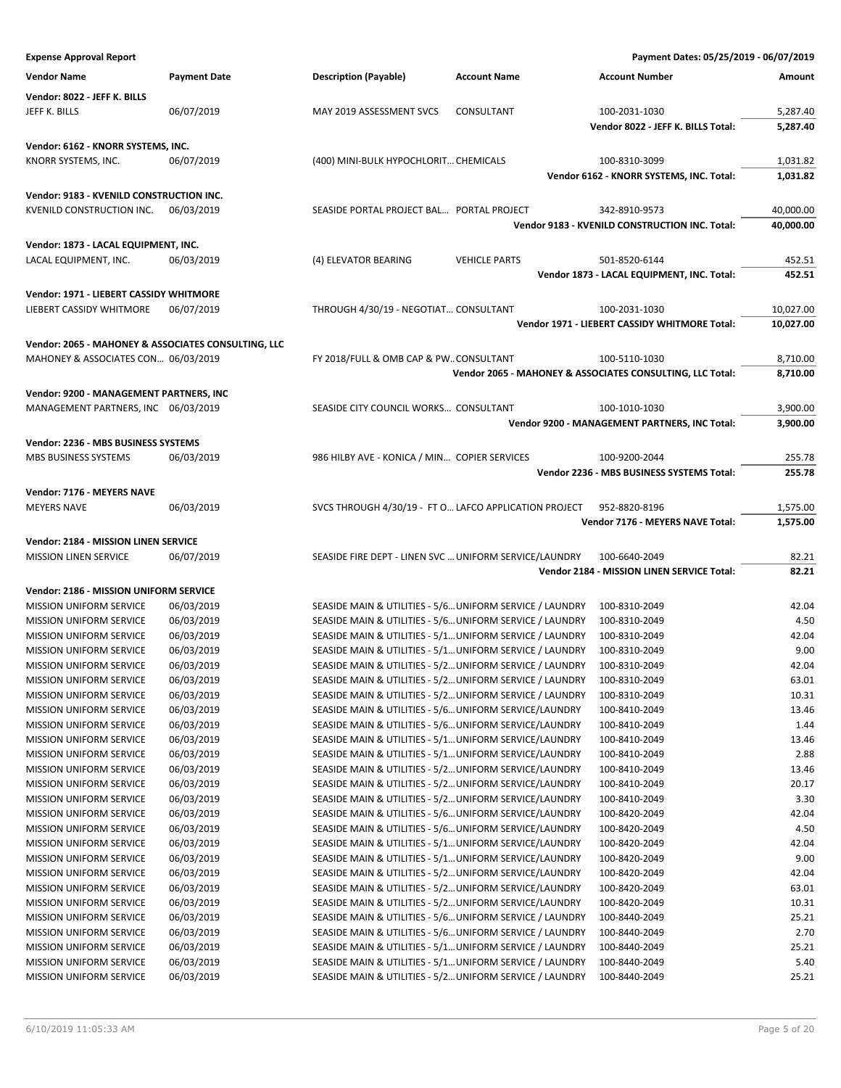| <b>Expense Approval Report</b>                      |                     |                                                          |                                                          | Payment Dates: 05/25/2019 - 06/07/2019                    |                  |
|-----------------------------------------------------|---------------------|----------------------------------------------------------|----------------------------------------------------------|-----------------------------------------------------------|------------------|
| <b>Vendor Name</b>                                  | <b>Payment Date</b> | <b>Description (Payable)</b>                             | <b>Account Name</b>                                      | <b>Account Number</b>                                     | Amount           |
|                                                     |                     |                                                          |                                                          |                                                           |                  |
| Vendor: 8022 - JEFF K. BILLS                        |                     |                                                          |                                                          |                                                           |                  |
| JEFF K. BILLS                                       | 06/07/2019          | MAY 2019 ASSESSMENT SVCS                                 | CONSULTANT                                               | 100-2031-1030                                             | 5,287.40         |
|                                                     |                     |                                                          |                                                          | Vendor 8022 - JEFF K. BILLS Total:                        | 5,287.40         |
| Vendor: 6162 - KNORR SYSTEMS, INC.                  |                     |                                                          |                                                          |                                                           |                  |
| KNORR SYSTEMS, INC.                                 | 06/07/2019          | (400) MINI-BULK HYPOCHLORIT CHEMICALS                    |                                                          | 100-8310-3099                                             | 1,031.82         |
|                                                     |                     |                                                          |                                                          | Vendor 6162 - KNORR SYSTEMS, INC. Total:                  | 1,031.82         |
| Vendor: 9183 - KVENILD CONSTRUCTION INC.            |                     |                                                          |                                                          |                                                           |                  |
| KVENILD CONSTRUCTION INC.                           | 06/03/2019          | SEASIDE PORTAL PROJECT BAL PORTAL PROJECT                |                                                          | 342-8910-9573                                             | 40,000.00        |
|                                                     |                     |                                                          |                                                          | Vendor 9183 - KVENILD CONSTRUCTION INC. Total:            | 40,000.00        |
| Vendor: 1873 - LACAL EQUIPMENT, INC.                |                     |                                                          |                                                          |                                                           |                  |
| LACAL EQUIPMENT, INC.                               | 06/03/2019          | (4) ELEVATOR BEARING                                     | <b>VEHICLE PARTS</b>                                     | 501-8520-6144                                             | 452.51           |
|                                                     |                     |                                                          |                                                          | Vendor 1873 - LACAL EQUIPMENT, INC. Total:                | 452.51           |
|                                                     |                     |                                                          |                                                          |                                                           |                  |
| Vendor: 1971 - LIEBERT CASSIDY WHITMORE             |                     |                                                          |                                                          |                                                           |                  |
| LIEBERT CASSIDY WHITMORE                            | 06/07/2019          | THROUGH 4/30/19 - NEGOTIAT CONSULTANT                    |                                                          | 100-2031-1030                                             | 10,027.00        |
|                                                     |                     |                                                          |                                                          | Vendor 1971 - LIEBERT CASSIDY WHITMORE Total:             | 10,027.00        |
| Vendor: 2065 - MAHONEY & ASSOCIATES CONSULTING, LLC |                     |                                                          |                                                          |                                                           |                  |
| MAHONEY & ASSOCIATES CON 06/03/2019                 |                     | FY 2018/FULL & OMB CAP & PWCONSULTANT                    |                                                          | 100-5110-1030                                             | 8,710.00         |
|                                                     |                     |                                                          |                                                          | Vendor 2065 - MAHONEY & ASSOCIATES CONSULTING, LLC Total: | 8,710.00         |
| Vendor: 9200 - MANAGEMENT PARTNERS, INC             |                     |                                                          |                                                          |                                                           |                  |
| MANAGEMENT PARTNERS, INC 06/03/2019                 |                     | SEASIDE CITY COUNCIL WORKS CONSULTANT                    |                                                          | 100-1010-1030                                             | 3,900.00         |
|                                                     |                     |                                                          |                                                          | Vendor 9200 - MANAGEMENT PARTNERS, INC Total:             | 3,900.00         |
|                                                     |                     |                                                          |                                                          |                                                           |                  |
| Vendor: 2236 - MBS BUSINESS SYSTEMS                 |                     |                                                          |                                                          | 100-9200-2044                                             |                  |
| MBS BUSINESS SYSTEMS                                | 06/03/2019          | 986 HILBY AVE - KONICA / MIN COPIER SERVICES             |                                                          | Vendor 2236 - MBS BUSINESS SYSTEMS Total:                 | 255.78<br>255.78 |
|                                                     |                     |                                                          |                                                          |                                                           |                  |
| Vendor: 7176 - MEYERS NAVE                          |                     |                                                          |                                                          |                                                           |                  |
| <b>MEYERS NAVE</b>                                  | 06/03/2019          | SVCS THROUGH 4/30/19 - FT O LAFCO APPLICATION PROJECT    |                                                          | 952-8820-8196                                             | 1,575.00         |
|                                                     |                     |                                                          |                                                          | Vendor 7176 - MEYERS NAVE Total:                          | 1,575.00         |
| Vendor: 2184 - MISSION LINEN SERVICE                |                     |                                                          |                                                          |                                                           |                  |
| <b>MISSION LINEN SERVICE</b>                        | 06/07/2019          | SEASIDE FIRE DEPT - LINEN SVC  UNIFORM SERVICE/LAUNDRY   |                                                          | 100-6640-2049                                             | 82.21            |
|                                                     |                     |                                                          |                                                          | Vendor 2184 - MISSION LINEN SERVICE Total:                | 82.21            |
| Vendor: 2186 - MISSION UNIFORM SERVICE              |                     |                                                          |                                                          |                                                           |                  |
| <b>MISSION UNIFORM SERVICE</b>                      | 06/03/2019          | SEASIDE MAIN & UTILITIES - 5/6 UNIFORM SERVICE / LAUNDRY |                                                          | 100-8310-2049                                             | 42.04            |
| <b>MISSION UNIFORM SERVICE</b>                      | 06/03/2019          | SEASIDE MAIN & UTILITIES - 5/6 UNIFORM SERVICE / LAUNDRY |                                                          | 100-8310-2049                                             | 4.50             |
| <b>MISSION UNIFORM SERVICE</b>                      | 06/03/2019          | SEASIDE MAIN & UTILITIES - 5/1 UNIFORM SERVICE / LAUNDRY |                                                          | 100-8310-2049                                             | 42.04            |
| <b>MISSION UNIFORM SERVICE</b>                      | 06/03/2019          | SEASIDE MAIN & UTILITIES - 5/1 UNIFORM SERVICE / LAUNDRY |                                                          | 100-8310-2049                                             | 9.00             |
| MISSION UNIFORM SERVICE                             | 06/03/2019          | SEASIDE MAIN & UTILITIES - 5/2 UNIFORM SERVICE / LAUNDRY |                                                          | 100-8310-2049                                             | 42.04            |
| <b>MISSION UNIFORM SERVICE</b>                      | 06/03/2019          | SEASIDE MAIN & UTILITIES - 5/2 UNIFORM SERVICE / LAUNDRY |                                                          | 100-8310-2049                                             | 63.01            |
| <b>MISSION UNIFORM SERVICE</b>                      | 06/03/2019          | SEASIDE MAIN & UTILITIES - 5/2 UNIFORM SERVICE / LAUNDRY |                                                          | 100-8310-2049                                             | 10.31            |
| <b>MISSION UNIFORM SERVICE</b>                      | 06/03/2019          | SEASIDE MAIN & UTILITIES - 5/6 UNIFORM SERVICE/LAUNDRY   |                                                          | 100-8410-2049                                             | 13.46            |
| MISSION UNIFORM SERVICE                             | 06/03/2019          | SEASIDE MAIN & UTILITIES - 5/6 UNIFORM SERVICE/LAUNDRY   |                                                          | 100-8410-2049                                             | 1.44             |
| <b>MISSION UNIFORM SERVICE</b>                      | 06/03/2019          | SEASIDE MAIN & UTILITIES - 5/1 UNIFORM SERVICE/LAUNDRY   |                                                          | 100-8410-2049                                             | 13.46            |
| MISSION UNIFORM SERVICE                             | 06/03/2019          | SEASIDE MAIN & UTILITIES - 5/1 UNIFORM SERVICE/LAUNDRY   |                                                          | 100-8410-2049                                             | 2.88             |
| MISSION UNIFORM SERVICE                             | 06/03/2019          | SEASIDE MAIN & UTILITIES - 5/2 UNIFORM SERVICE/LAUNDRY   |                                                          | 100-8410-2049                                             | 13.46            |
| MISSION UNIFORM SERVICE                             | 06/03/2019          | SEASIDE MAIN & UTILITIES - 5/2 UNIFORM SERVICE/LAUNDRY   |                                                          | 100-8410-2049                                             | 20.17            |
| MISSION UNIFORM SERVICE                             | 06/03/2019          | SEASIDE MAIN & UTILITIES - 5/2 UNIFORM SERVICE/LAUNDRY   |                                                          | 100-8410-2049                                             | 3.30             |
| MISSION UNIFORM SERVICE                             | 06/03/2019          | SEASIDE MAIN & UTILITIES - 5/6 UNIFORM SERVICE/LAUNDRY   |                                                          | 100-8420-2049                                             | 42.04            |
| <b>MISSION UNIFORM SERVICE</b>                      | 06/03/2019          | SEASIDE MAIN & UTILITIES - 5/6 UNIFORM SERVICE/LAUNDRY   |                                                          | 100-8420-2049                                             | 4.50             |
| MISSION UNIFORM SERVICE                             | 06/03/2019          | SEASIDE MAIN & UTILITIES - 5/1 UNIFORM SERVICE/LAUNDRY   |                                                          | 100-8420-2049                                             | 42.04            |
| MISSION UNIFORM SERVICE                             | 06/03/2019          | SEASIDE MAIN & UTILITIES - 5/1 UNIFORM SERVICE/LAUNDRY   |                                                          | 100-8420-2049                                             | 9.00             |
| MISSION UNIFORM SERVICE                             | 06/03/2019          | SEASIDE MAIN & UTILITIES - 5/2 UNIFORM SERVICE/LAUNDRY   |                                                          | 100-8420-2049                                             | 42.04            |
| <b>MISSION UNIFORM SERVICE</b>                      | 06/03/2019          | SEASIDE MAIN & UTILITIES - 5/2 UNIFORM SERVICE/LAUNDRY   |                                                          | 100-8420-2049                                             | 63.01            |
| MISSION UNIFORM SERVICE                             | 06/03/2019          | SEASIDE MAIN & UTILITIES - 5/2 UNIFORM SERVICE/LAUNDRY   |                                                          | 100-8420-2049                                             | 10.31            |
| MISSION UNIFORM SERVICE                             | 06/03/2019          | SEASIDE MAIN & UTILITIES - 5/6 UNIFORM SERVICE / LAUNDRY |                                                          | 100-8440-2049                                             | 25.21            |
| <b>MISSION UNIFORM SERVICE</b>                      | 06/03/2019          | SEASIDE MAIN & UTILITIES - 5/6 UNIFORM SERVICE / LAUNDRY |                                                          | 100-8440-2049                                             | 2.70             |
| MISSION UNIFORM SERVICE                             | 06/03/2019          | SEASIDE MAIN & UTILITIES - 5/1 UNIFORM SERVICE / LAUNDRY |                                                          | 100-8440-2049                                             | 25.21            |
| MISSION UNIFORM SERVICE                             | 06/03/2019          | SEASIDE MAIN & UTILITIES - 5/1 UNIFORM SERVICE / LAUNDRY |                                                          | 100-8440-2049                                             | 5.40             |
| MISSION UNIFORM SERVICE                             | 06/03/2019          |                                                          | SEASIDE MAIN & UTILITIES - 5/2 UNIFORM SERVICE / LAUNDRY | 100-8440-2049                                             | 25.21            |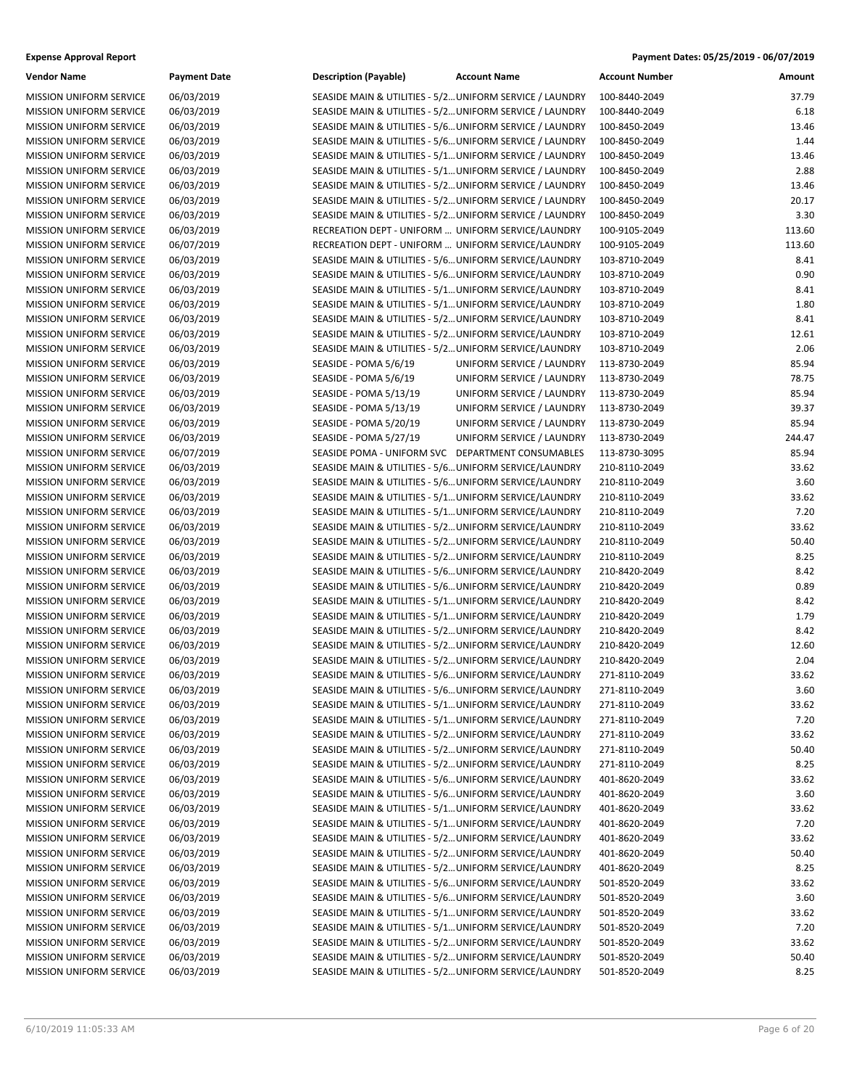| Vendor Name                    | <b>Payment Date</b> | <b>Description (Payable)</b>                             | <b>Account Name</b>       | <b>Account Number</b> | Amount         |
|--------------------------------|---------------------|----------------------------------------------------------|---------------------------|-----------------------|----------------|
| <b>MISSION UNIFORM SERVICE</b> | 06/03/2019          | SEASIDE MAIN & UTILITIES - 5/2 UNIFORM SERVICE / LAUNDRY |                           | 100-8440-2049         | 37.79          |
| MISSION UNIFORM SERVICE        | 06/03/2019          | SEASIDE MAIN & UTILITIES - 5/2 UNIFORM SERVICE / LAUNDRY |                           | 100-8440-2049         | 6.18           |
| MISSION UNIFORM SERVICE        | 06/03/2019          | SEASIDE MAIN & UTILITIES - 5/6 UNIFORM SERVICE / LAUNDRY |                           | 100-8450-2049         | 13.46          |
| MISSION UNIFORM SERVICE        | 06/03/2019          | SEASIDE MAIN & UTILITIES - 5/6 UNIFORM SERVICE / LAUNDRY |                           | 100-8450-2049         | 1.44           |
| <b>MISSION UNIFORM SERVICE</b> | 06/03/2019          | SEASIDE MAIN & UTILITIES - 5/1 UNIFORM SERVICE / LAUNDRY |                           | 100-8450-2049         | 13.46          |
| <b>MISSION UNIFORM SERVICE</b> | 06/03/2019          | SEASIDE MAIN & UTILITIES - 5/1 UNIFORM SERVICE / LAUNDRY |                           | 100-8450-2049         | 2.88           |
| MISSION UNIFORM SERVICE        | 06/03/2019          | SEASIDE MAIN & UTILITIES - 5/2 UNIFORM SERVICE / LAUNDRY |                           | 100-8450-2049         | 13.46          |
| MISSION UNIFORM SERVICE        | 06/03/2019          | SEASIDE MAIN & UTILITIES - 5/2 UNIFORM SERVICE / LAUNDRY |                           | 100-8450-2049         | 20.17          |
| MISSION UNIFORM SERVICE        | 06/03/2019          | SEASIDE MAIN & UTILITIES - 5/2 UNIFORM SERVICE / LAUNDRY |                           | 100-8450-2049         | 3.30           |
| <b>MISSION UNIFORM SERVICE</b> | 06/03/2019          | RECREATION DEPT - UNIFORM  UNIFORM SERVICE/LAUNDRY       |                           | 100-9105-2049         | 113.60         |
| <b>MISSION UNIFORM SERVICE</b> | 06/07/2019          | RECREATION DEPT - UNIFORM  UNIFORM SERVICE/LAUNDRY       |                           | 100-9105-2049         | 113.60         |
| MISSION UNIFORM SERVICE        | 06/03/2019          | SEASIDE MAIN & UTILITIES - 5/6 UNIFORM SERVICE/LAUNDRY   |                           | 103-8710-2049         | 8.41           |
| MISSION UNIFORM SERVICE        | 06/03/2019          | SEASIDE MAIN & UTILITIES - 5/6 UNIFORM SERVICE/LAUNDRY   |                           | 103-8710-2049         | 0.90           |
| MISSION UNIFORM SERVICE        | 06/03/2019          | SEASIDE MAIN & UTILITIES - 5/1 UNIFORM SERVICE/LAUNDRY   |                           | 103-8710-2049         | 8.41           |
| <b>MISSION UNIFORM SERVICE</b> | 06/03/2019          | SEASIDE MAIN & UTILITIES - 5/1 UNIFORM SERVICE/LAUNDRY   |                           | 103-8710-2049         | 1.80           |
| <b>MISSION UNIFORM SERVICE</b> | 06/03/2019          | SEASIDE MAIN & UTILITIES - 5/2 UNIFORM SERVICE/LAUNDRY   |                           | 103-8710-2049         | 8.41           |
| MISSION UNIFORM SERVICE        | 06/03/2019          | SEASIDE MAIN & UTILITIES - 5/2 UNIFORM SERVICE/LAUNDRY   |                           | 103-8710-2049         | 12.61          |
| MISSION UNIFORM SERVICE        | 06/03/2019          | SEASIDE MAIN & UTILITIES - 5/2 UNIFORM SERVICE/LAUNDRY   |                           | 103-8710-2049         | 2.06           |
| MISSION UNIFORM SERVICE        | 06/03/2019          | SEASIDE - POMA 5/6/19                                    | UNIFORM SERVICE / LAUNDRY | 113-8730-2049         | 85.94          |
| MISSION UNIFORM SERVICE        | 06/03/2019          | SEASIDE - POMA 5/6/19                                    | UNIFORM SERVICE / LAUNDRY | 113-8730-2049         | 78.75          |
| <b>MISSION UNIFORM SERVICE</b> | 06/03/2019          | SEASIDE - POMA 5/13/19                                   | UNIFORM SERVICE / LAUNDRY | 113-8730-2049         | 85.94          |
| MISSION UNIFORM SERVICE        | 06/03/2019          | SEASIDE - POMA 5/13/19                                   | UNIFORM SERVICE / LAUNDRY | 113-8730-2049         | 39.37          |
| MISSION UNIFORM SERVICE        | 06/03/2019          | SEASIDE - POMA 5/20/19                                   | UNIFORM SERVICE / LAUNDRY | 113-8730-2049         | 85.94          |
|                                | 06/03/2019          | SEASIDE - POMA 5/27/19                                   | UNIFORM SERVICE / LAUNDRY |                       | 244.47         |
| MISSION UNIFORM SERVICE        | 06/07/2019          |                                                          |                           | 113-8730-2049         |                |
| <b>MISSION UNIFORM SERVICE</b> |                     | SEASIDE POMA - UNIFORM SVC DEPARTMENT CONSUMABLES        |                           | 113-8730-3095         | 85.94<br>33.62 |
| MISSION UNIFORM SERVICE        | 06/03/2019          | SEASIDE MAIN & UTILITIES - 5/6 UNIFORM SERVICE/LAUNDRY   |                           | 210-8110-2049         |                |
| MISSION UNIFORM SERVICE        | 06/03/2019          | SEASIDE MAIN & UTILITIES - 5/6 UNIFORM SERVICE/LAUNDRY   |                           | 210-8110-2049         | 3.60           |
| MISSION UNIFORM SERVICE        | 06/03/2019          | SEASIDE MAIN & UTILITIES - 5/1 UNIFORM SERVICE/LAUNDRY   |                           | 210-8110-2049         | 33.62          |
| MISSION UNIFORM SERVICE        | 06/03/2019          | SEASIDE MAIN & UTILITIES - 5/1 UNIFORM SERVICE/LAUNDRY   |                           | 210-8110-2049         | 7.20           |
| <b>MISSION UNIFORM SERVICE</b> | 06/03/2019          | SEASIDE MAIN & UTILITIES - 5/2 UNIFORM SERVICE/LAUNDRY   |                           | 210-8110-2049         | 33.62          |
| <b>MISSION UNIFORM SERVICE</b> | 06/03/2019          | SEASIDE MAIN & UTILITIES - 5/2 UNIFORM SERVICE/LAUNDRY   |                           | 210-8110-2049         | 50.40          |
| MISSION UNIFORM SERVICE        | 06/03/2019          | SEASIDE MAIN & UTILITIES - 5/2 UNIFORM SERVICE/LAUNDRY   |                           | 210-8110-2049         | 8.25           |
| MISSION UNIFORM SERVICE        | 06/03/2019          | SEASIDE MAIN & UTILITIES - 5/6 UNIFORM SERVICE/LAUNDRY   |                           | 210-8420-2049         | 8.42           |
| MISSION UNIFORM SERVICE        | 06/03/2019          | SEASIDE MAIN & UTILITIES - 5/6 UNIFORM SERVICE/LAUNDRY   |                           | 210-8420-2049         | 0.89           |
| <b>MISSION UNIFORM SERVICE</b> | 06/03/2019          | SEASIDE MAIN & UTILITIES - 5/1 UNIFORM SERVICE/LAUNDRY   |                           | 210-8420-2049         | 8.42           |
| MISSION UNIFORM SERVICE        | 06/03/2019          | SEASIDE MAIN & UTILITIES - 5/1 UNIFORM SERVICE/LAUNDRY   |                           | 210-8420-2049         | 1.79           |
| MISSION UNIFORM SERVICE        | 06/03/2019          | SEASIDE MAIN & UTILITIES - 5/2 UNIFORM SERVICE/LAUNDRY   |                           | 210-8420-2049         | 8.42           |
| MISSION UNIFORM SERVICE        | 06/03/2019          | SEASIDE MAIN & UTILITIES - 5/2 UNIFORM SERVICE/LAUNDRY   |                           | 210-8420-2049         | 12.60          |
| MISSION UNIFORM SERVICE        | 06/03/2019          | SEASIDE MAIN & UTILITIES - 5/2 UNIFORM SERVICE/LAUNDRY   |                           | 210-8420-2049         | 2.04           |
| <b>MISSION UNIFORM SERVICE</b> | 06/03/2019          | SEASIDE MAIN & UTILITIES - 5/6 UNIFORM SERVICE/LAUNDRY   |                           | 271-8110-2049         | 33.62          |
| MISSION UNIFORM SERVICE        | 06/03/2019          | SEASIDE MAIN & UTILITIES - 5/6 UNIFORM SERVICE/LAUNDRY   |                           | 271-8110-2049         | $3.60\,$       |
| <b>MISSION UNIFORM SERVICE</b> | 06/03/2019          | SEASIDE MAIN & UTILITIES - 5/1 UNIFORM SERVICE/LAUNDRY   |                           | 271-8110-2049         | 33.62          |
| MISSION UNIFORM SERVICE        | 06/03/2019          | SEASIDE MAIN & UTILITIES - 5/1 UNIFORM SERVICE/LAUNDRY   |                           | 271-8110-2049         | 7.20           |
| MISSION UNIFORM SERVICE        | 06/03/2019          | SEASIDE MAIN & UTILITIES - 5/2 UNIFORM SERVICE/LAUNDRY   |                           | 271-8110-2049         | 33.62          |
| MISSION UNIFORM SERVICE        | 06/03/2019          | SEASIDE MAIN & UTILITIES - 5/2 UNIFORM SERVICE/LAUNDRY   |                           | 271-8110-2049         | 50.40          |
| MISSION UNIFORM SERVICE        | 06/03/2019          | SEASIDE MAIN & UTILITIES - 5/2 UNIFORM SERVICE/LAUNDRY   |                           | 271-8110-2049         | 8.25           |
| MISSION UNIFORM SERVICE        | 06/03/2019          | SEASIDE MAIN & UTILITIES - 5/6 UNIFORM SERVICE/LAUNDRY   |                           | 401-8620-2049         | 33.62          |
| MISSION UNIFORM SERVICE        | 06/03/2019          | SEASIDE MAIN & UTILITIES - 5/6 UNIFORM SERVICE/LAUNDRY   |                           | 401-8620-2049         | 3.60           |
| <b>MISSION UNIFORM SERVICE</b> | 06/03/2019          | SEASIDE MAIN & UTILITIES - 5/1 UNIFORM SERVICE/LAUNDRY   |                           | 401-8620-2049         | 33.62          |
| MISSION UNIFORM SERVICE        | 06/03/2019          | SEASIDE MAIN & UTILITIES - 5/1 UNIFORM SERVICE/LAUNDRY   |                           | 401-8620-2049         | 7.20           |
| MISSION UNIFORM SERVICE        | 06/03/2019          | SEASIDE MAIN & UTILITIES - 5/2 UNIFORM SERVICE/LAUNDRY   |                           | 401-8620-2049         | 33.62          |
| MISSION UNIFORM SERVICE        | 06/03/2019          | SEASIDE MAIN & UTILITIES - 5/2 UNIFORM SERVICE/LAUNDRY   |                           | 401-8620-2049         | 50.40          |
| MISSION UNIFORM SERVICE        | 06/03/2019          | SEASIDE MAIN & UTILITIES - 5/2 UNIFORM SERVICE/LAUNDRY   |                           | 401-8620-2049         | 8.25           |
| MISSION UNIFORM SERVICE        | 06/03/2019          | SEASIDE MAIN & UTILITIES - 5/6 UNIFORM SERVICE/LAUNDRY   |                           | 501-8520-2049         | 33.62          |
| MISSION UNIFORM SERVICE        | 06/03/2019          | SEASIDE MAIN & UTILITIES - 5/6 UNIFORM SERVICE/LAUNDRY   |                           | 501-8520-2049         | 3.60           |
| <b>MISSION UNIFORM SERVICE</b> | 06/03/2019          | SEASIDE MAIN & UTILITIES - 5/1 UNIFORM SERVICE/LAUNDRY   |                           | 501-8520-2049         | 33.62          |
| MISSION UNIFORM SERVICE        | 06/03/2019          | SEASIDE MAIN & UTILITIES - 5/1 UNIFORM SERVICE/LAUNDRY   |                           | 501-8520-2049         | 7.20           |
| MISSION UNIFORM SERVICE        | 06/03/2019          | SEASIDE MAIN & UTILITIES - 5/2 UNIFORM SERVICE/LAUNDRY   |                           | 501-8520-2049         | 33.62          |
| MISSION UNIFORM SERVICE        | 06/03/2019          | SEASIDE MAIN & UTILITIES - 5/2 UNIFORM SERVICE/LAUNDRY   |                           | 501-8520-2049         | 50.40          |
| MISSION UNIFORM SERVICE        | 06/03/2019          | SEASIDE MAIN & UTILITIES - 5/2 UNIFORM SERVICE/LAUNDRY   |                           | 501-8520-2049         | 8.25           |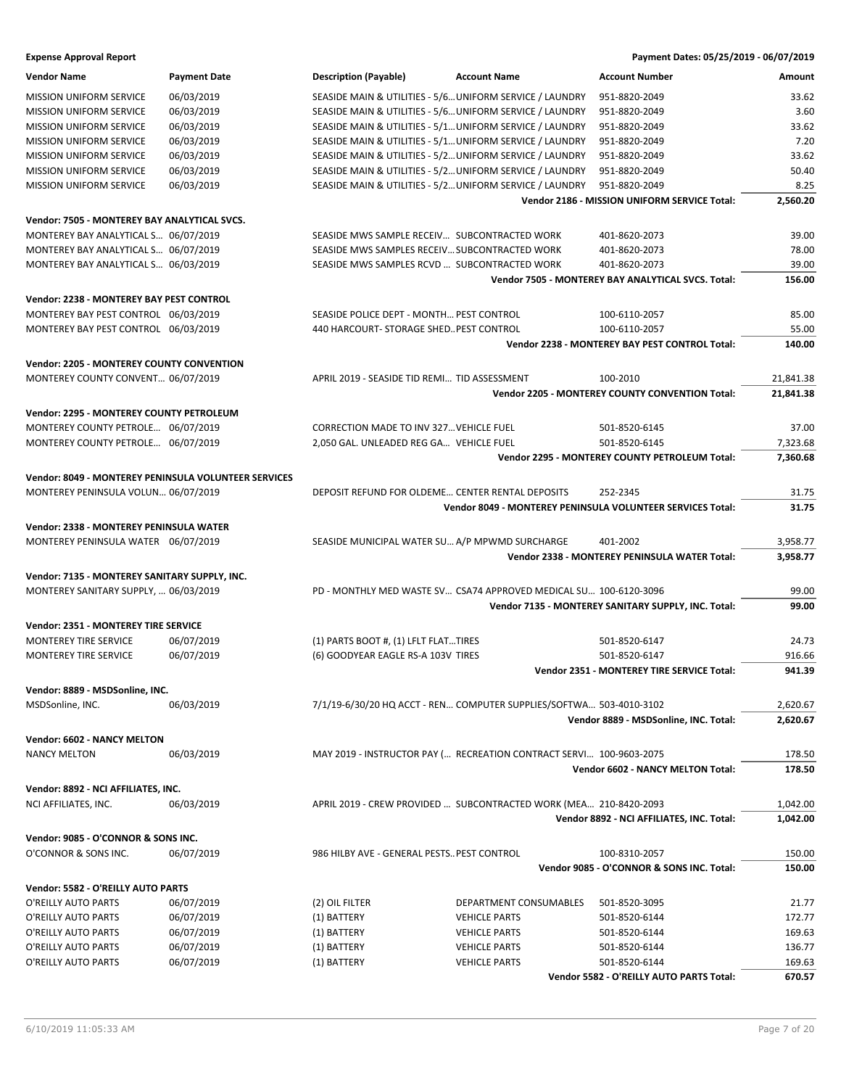| Vendor Name                                          | <b>Payment Date</b> | Description (Payable)                            | <b>Account Name</b>                                                 | <b>Account Number</b>                                      | Amount    |
|------------------------------------------------------|---------------------|--------------------------------------------------|---------------------------------------------------------------------|------------------------------------------------------------|-----------|
| <b>MISSION UNIFORM SERVICE</b>                       | 06/03/2019          |                                                  | SEASIDE MAIN & UTILITIES - 5/6 UNIFORM SERVICE / LAUNDRY            | 951-8820-2049                                              | 33.62     |
| MISSION UNIFORM SERVICE                              | 06/03/2019          |                                                  | SEASIDE MAIN & UTILITIES - 5/6 UNIFORM SERVICE / LAUNDRY            | 951-8820-2049                                              | 3.60      |
| MISSION UNIFORM SERVICE                              | 06/03/2019          |                                                  | SEASIDE MAIN & UTILITIES - 5/1 UNIFORM SERVICE / LAUNDRY            | 951-8820-2049                                              | 33.62     |
| <b>MISSION UNIFORM SERVICE</b>                       | 06/03/2019          |                                                  | SEASIDE MAIN & UTILITIES - 5/1 UNIFORM SERVICE / LAUNDRY            | 951-8820-2049                                              | 7.20      |
| <b>MISSION UNIFORM SERVICE</b>                       | 06/03/2019          |                                                  | SEASIDE MAIN & UTILITIES - 5/2 UNIFORM SERVICE / LAUNDRY            | 951-8820-2049                                              | 33.62     |
| <b>MISSION UNIFORM SERVICE</b>                       | 06/03/2019          |                                                  | SEASIDE MAIN & UTILITIES - 5/2 UNIFORM SERVICE / LAUNDRY            | 951-8820-2049                                              | 50.40     |
| MISSION UNIFORM SERVICE                              | 06/03/2019          |                                                  | SEASIDE MAIN & UTILITIES - 5/2 UNIFORM SERVICE / LAUNDRY            | 951-8820-2049                                              | 8.25      |
|                                                      |                     |                                                  |                                                                     | Vendor 2186 - MISSION UNIFORM SERVICE Total:               | 2,560.20  |
| Vendor: 7505 - MONTEREY BAY ANALYTICAL SVCS.         |                     |                                                  |                                                                     |                                                            |           |
| MONTEREY BAY ANALYTICAL S 06/07/2019                 |                     | SEASIDE MWS SAMPLE RECEIV SUBCONTRACTED WORK     |                                                                     | 401-8620-2073                                              | 39.00     |
| MONTEREY BAY ANALYTICAL S 06/07/2019                 |                     | SEASIDE MWS SAMPLES RECEIV SUBCONTRACTED WORK    |                                                                     | 401-8620-2073                                              | 78.00     |
|                                                      |                     |                                                  |                                                                     | 401-8620-2073                                              | 39.00     |
| MONTEREY BAY ANALYTICAL S 06/03/2019                 |                     | SEASIDE MWS SAMPLES RCVD  SUBCONTRACTED WORK     |                                                                     | Vendor 7505 - MONTEREY BAY ANALYTICAL SVCS. Total:         | 156.00    |
| Vendor: 2238 - MONTEREY BAY PEST CONTROL             |                     |                                                  |                                                                     |                                                            |           |
|                                                      |                     |                                                  |                                                                     |                                                            | 85.00     |
| MONTEREY BAY PEST CONTROL 06/03/2019                 |                     | SEASIDE POLICE DEPT - MONTH PEST CONTROL         |                                                                     | 100-6110-2057                                              |           |
| MONTEREY BAY PEST CONTROL 06/03/2019                 |                     | 440 HARCOURT- STORAGE SHED PEST CONTROL          |                                                                     | 100-6110-2057                                              | 55.00     |
|                                                      |                     |                                                  |                                                                     | Vendor 2238 - MONTEREY BAY PEST CONTROL Total:             | 140.00    |
| <b>Vendor: 2205 - MONTEREY COUNTY CONVENTION</b>     |                     |                                                  |                                                                     |                                                            |           |
| MONTEREY COUNTY CONVENT 06/07/2019                   |                     | APRIL 2019 - SEASIDE TID REMI TID ASSESSMENT     |                                                                     | 100-2010                                                   | 21,841.38 |
|                                                      |                     |                                                  |                                                                     | Vendor 2205 - MONTEREY COUNTY CONVENTION Total:            | 21,841.38 |
| <b>Vendor: 2295 - MONTEREY COUNTY PETROLEUM</b>      |                     |                                                  |                                                                     |                                                            |           |
| MONTEREY COUNTY PETROLE 06/07/2019                   |                     | <b>CORRECTION MADE TO INV 327 VEHICLE FUEL</b>   |                                                                     | 501-8520-6145                                              | 37.00     |
| MONTEREY COUNTY PETROLE 06/07/2019                   |                     | 2,050 GAL. UNLEADED REG GA VEHICLE FUEL          |                                                                     | 501-8520-6145                                              | 7,323.68  |
|                                                      |                     |                                                  |                                                                     | <b>Vendor 2295 - MONTEREY COUNTY PETROLEUM Total:</b>      | 7,360.68  |
| Vendor: 8049 - MONTEREY PENINSULA VOLUNTEER SERVICES |                     |                                                  |                                                                     |                                                            |           |
| MONTEREY PENINSULA VOLUN 06/07/2019                  |                     | DEPOSIT REFUND FOR OLDEME CENTER RENTAL DEPOSITS |                                                                     | 252-2345                                                   | 31.75     |
|                                                      |                     |                                                  |                                                                     | Vendor 8049 - MONTEREY PENINSULA VOLUNTEER SERVICES Total: | 31.75     |
|                                                      |                     |                                                  |                                                                     |                                                            |           |
| Vendor: 2338 - MONTEREY PENINSULA WATER              |                     |                                                  |                                                                     |                                                            |           |
| MONTEREY PENINSULA WATER 06/07/2019                  |                     | SEASIDE MUNICIPAL WATER SU A/P MPWMD SURCHARGE   |                                                                     | 401-2002                                                   | 3,958.77  |
|                                                      |                     |                                                  |                                                                     | Vendor 2338 - MONTEREY PENINSULA WATER Total:              | 3,958.77  |
| Vendor: 7135 - MONTEREY SANITARY SUPPLY, INC.        |                     |                                                  |                                                                     |                                                            |           |
| MONTEREY SANITARY SUPPLY,  06/03/2019                |                     |                                                  | PD - MONTHLY MED WASTE SV CSA74 APPROVED MEDICAL SU 100-6120-3096   |                                                            | 99.00     |
|                                                      |                     |                                                  |                                                                     | Vendor 7135 - MONTEREY SANITARY SUPPLY, INC. Total:        | 99.00     |
| <b>Vendor: 2351 - MONTEREY TIRE SERVICE</b>          |                     |                                                  |                                                                     |                                                            |           |
| MONTEREY TIRE SERVICE                                | 06/07/2019          | (1) PARTS BOOT #, (1) LFLT FLATTIRES             |                                                                     | 501-8520-6147                                              | 24.73     |
| MONTEREY TIRE SERVICE                                | 06/07/2019          | (6) GOODYEAR EAGLE RS-A 103V TIRES               |                                                                     | 501-8520-6147                                              | 916.66    |
|                                                      |                     |                                                  |                                                                     | Vendor 2351 - MONTEREY TIRE SERVICE Total:                 | 941.39    |
| Vendor: 8889 - MSDSonline, INC.                      |                     |                                                  |                                                                     |                                                            |           |
| MSDSonline, INC.                                     | 06/03/2019          |                                                  | 7/1/19-6/30/20 HQ ACCT - REN COMPUTER SUPPLIES/SOFTWA 503-4010-3102 |                                                            | 2,620.67  |
|                                                      |                     |                                                  |                                                                     | Vendor 8889 - MSDSonline, INC. Total:                      | 2,620.67  |
| Vendor: 6602 - NANCY MELTON                          |                     |                                                  |                                                                     |                                                            |           |
| <b>NANCY MELTON</b>                                  | 06/03/2019          |                                                  | MAY 2019 - INSTRUCTOR PAY ( RECREATION CONTRACT SERVI 100-9603-2075 |                                                            | 178.50    |
|                                                      |                     |                                                  |                                                                     | <b>Vendor 6602 - NANCY MELTON Total:</b>                   | 178.50    |
|                                                      |                     |                                                  |                                                                     |                                                            |           |
| Vendor: 8892 - NCI AFFILIATES, INC.                  |                     |                                                  |                                                                     |                                                            |           |
| NCI AFFILIATES, INC.                                 | 06/03/2019          |                                                  | APRIL 2019 - CREW PROVIDED  SUBCONTRACTED WORK (MEA 210-8420-2093   |                                                            | 1,042.00  |
|                                                      |                     |                                                  |                                                                     | Vendor 8892 - NCI AFFILIATES, INC. Total:                  | 1,042.00  |
| Vendor: 9085 - O'CONNOR & SONS INC.                  |                     |                                                  |                                                                     |                                                            |           |
| O'CONNOR & SONS INC.                                 | 06/07/2019          | 986 HILBY AVE - GENERAL PESTS PEST CONTROL       |                                                                     | 100-8310-2057                                              | 150.00    |
|                                                      |                     |                                                  |                                                                     | Vendor 9085 - O'CONNOR & SONS INC. Total:                  | 150.00    |
| Vendor: 5582 - O'REILLY AUTO PARTS                   |                     |                                                  |                                                                     |                                                            |           |
| O'REILLY AUTO PARTS                                  | 06/07/2019          | (2) OIL FILTER                                   | DEPARTMENT CONSUMABLES                                              | 501-8520-3095                                              | 21.77     |
| O'REILLY AUTO PARTS                                  | 06/07/2019          | (1) BATTERY                                      | <b>VEHICLE PARTS</b>                                                | 501-8520-6144                                              | 172.77    |
| O'REILLY AUTO PARTS                                  | 06/07/2019          | (1) BATTERY                                      | <b>VEHICLE PARTS</b>                                                | 501-8520-6144                                              | 169.63    |
| O'REILLY AUTO PARTS                                  | 06/07/2019          | (1) BATTERY                                      | <b>VEHICLE PARTS</b>                                                | 501-8520-6144                                              | 136.77    |
| O'REILLY AUTO PARTS                                  | 06/07/2019          | (1) BATTERY                                      | <b>VEHICLE PARTS</b>                                                | 501-8520-6144                                              | 169.63    |
|                                                      |                     |                                                  |                                                                     | Vendor 5582 - O'REILLY AUTO PARTS Total:                   | 670.57    |
|                                                      |                     |                                                  |                                                                     |                                                            |           |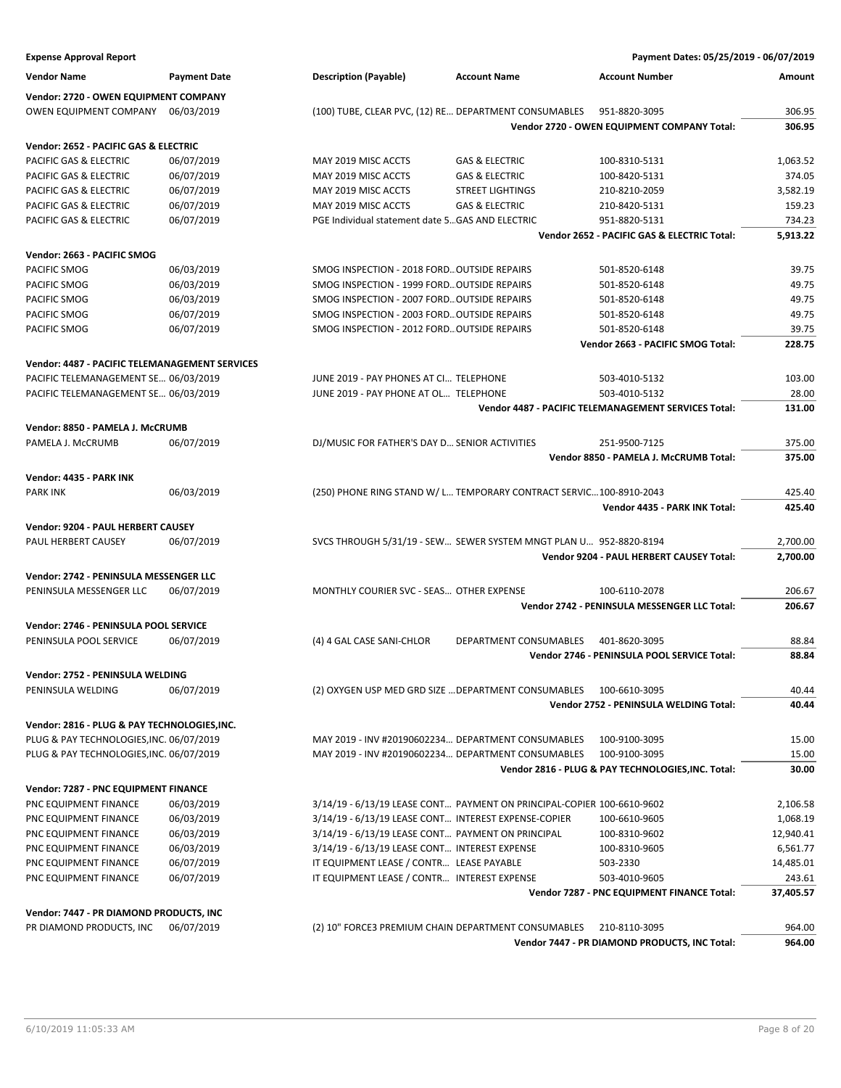| <b>Expense Approval Report</b>                 |                     |                                                                        |                               | Payment Dates: 05/25/2019 - 06/07/2019               |           |
|------------------------------------------------|---------------------|------------------------------------------------------------------------|-------------------------------|------------------------------------------------------|-----------|
| <b>Vendor Name</b>                             | <b>Payment Date</b> | <b>Description (Payable)</b>                                           | <b>Account Name</b>           | <b>Account Number</b>                                | Amount    |
| Vendor: 2720 - OWEN EQUIPMENT COMPANY          |                     |                                                                        |                               |                                                      |           |
| OWEN EQUIPMENT COMPANY                         | 06/03/2019          | (100) TUBE, CLEAR PVC, (12) RE DEPARTMENT CONSUMABLES                  |                               | 951-8820-3095                                        | 306.95    |
|                                                |                     |                                                                        |                               | Vendor 2720 - OWEN EQUIPMENT COMPANY Total:          | 306.95    |
| Vendor: 2652 - PACIFIC GAS & ELECTRIC          |                     |                                                                        |                               |                                                      |           |
| PACIFIC GAS & ELECTRIC                         | 06/07/2019          | MAY 2019 MISC ACCTS                                                    | <b>GAS &amp; ELECTRIC</b>     | 100-8310-5131                                        | 1,063.52  |
| PACIFIC GAS & ELECTRIC                         | 06/07/2019          | MAY 2019 MISC ACCTS                                                    | <b>GAS &amp; ELECTRIC</b>     | 100-8420-5131                                        | 374.05    |
| PACIFIC GAS & ELECTRIC                         | 06/07/2019          | MAY 2019 MISC ACCTS                                                    | <b>STREET LIGHTINGS</b>       | 210-8210-2059                                        | 3,582.19  |
| PACIFIC GAS & ELECTRIC                         | 06/07/2019          | MAY 2019 MISC ACCTS                                                    | <b>GAS &amp; ELECTRIC</b>     | 210-8420-5131                                        | 159.23    |
| PACIFIC GAS & ELECTRIC                         | 06/07/2019          | PGE Individual statement date 5 GAS AND ELECTRIC                       |                               | 951-8820-5131                                        | 734.23    |
|                                                |                     |                                                                        |                               | Vendor 2652 - PACIFIC GAS & ELECTRIC Total:          | 5,913.22  |
| Vendor: 2663 - PACIFIC SMOG                    |                     |                                                                        |                               |                                                      |           |
| PACIFIC SMOG                                   | 06/03/2019          | SMOG INSPECTION - 2018 FORD OUTSIDE REPAIRS                            |                               | 501-8520-6148                                        | 39.75     |
| PACIFIC SMOG                                   | 06/03/2019          | SMOG INSPECTION - 1999 FORD OUTSIDE REPAIRS                            |                               | 501-8520-6148                                        | 49.75     |
| PACIFIC SMOG                                   | 06/03/2019          | SMOG INSPECTION - 2007 FORD OUTSIDE REPAIRS                            |                               | 501-8520-6148                                        | 49.75     |
| PACIFIC SMOG                                   | 06/07/2019          | SMOG INSPECTION - 2003 FORD OUTSIDE REPAIRS                            |                               | 501-8520-6148                                        | 49.75     |
| PACIFIC SMOG                                   | 06/07/2019          | SMOG INSPECTION - 2012 FORD OUTSIDE REPAIRS                            |                               | 501-8520-6148                                        | 39.75     |
|                                                |                     |                                                                        |                               | Vendor 2663 - PACIFIC SMOG Total:                    | 228.75    |
| Vendor: 4487 - PACIFIC TELEMANAGEMENT SERVICES |                     |                                                                        |                               |                                                      |           |
| PACIFIC TELEMANAGEMENT SE 06/03/2019           |                     | JUNE 2019 - PAY PHONES AT CI TELEPHONE                                 |                               | 503-4010-5132                                        | 103.00    |
| PACIFIC TELEMANAGEMENT SE 06/03/2019           |                     | JUNE 2019 - PAY PHONE AT OL TELEPHONE                                  |                               | 503-4010-5132                                        | 28.00     |
|                                                |                     |                                                                        |                               | Vendor 4487 - PACIFIC TELEMANAGEMENT SERVICES Total: | 131.00    |
| Vendor: 8850 - PAMELA J. McCRUMB               |                     |                                                                        |                               |                                                      |           |
| PAMELA J. McCRUMB                              | 06/07/2019          | DJ/MUSIC FOR FATHER'S DAY D SENIOR ACTIVITIES                          |                               | 251-9500-7125                                        | 375.00    |
|                                                |                     |                                                                        |                               | Vendor 8850 - PAMELA J. McCRUMB Total:               | 375.00    |
| Vendor: 4435 - PARK INK                        |                     |                                                                        |                               |                                                      |           |
| <b>PARK INK</b>                                | 06/03/2019          | (250) PHONE RING STAND W/ L TEMPORARY CONTRACT SERVIC100-8910-2043     |                               |                                                      | 425.40    |
|                                                |                     |                                                                        |                               | Vendor 4435 - PARK INK Total:                        | 425.40    |
| Vendor: 9204 - PAUL HERBERT CAUSEY             |                     |                                                                        |                               |                                                      |           |
| PAUL HERBERT CAUSEY                            | 06/07/2019          | SVCS THROUGH 5/31/19 - SEW SEWER SYSTEM MNGT PLAN U 952-8820-8194      |                               |                                                      | 2,700.00  |
|                                                |                     |                                                                        |                               | Vendor 9204 - PAUL HERBERT CAUSEY Total:             | 2,700.00  |
| Vendor: 2742 - PENINSULA MESSENGER LLC         |                     |                                                                        |                               |                                                      |           |
| PENINSULA MESSENGER LLC                        | 06/07/2019          | MONTHLY COURIER SVC - SEAS OTHER EXPENSE                               |                               | 100-6110-2078                                        | 206.67    |
|                                                |                     |                                                                        |                               | Vendor 2742 - PENINSULA MESSENGER LLC Total:         | 206.67    |
| Vendor: 2746 - PENINSULA POOL SERVICE          |                     |                                                                        |                               |                                                      |           |
| PENINSULA POOL SERVICE                         | 06/07/2019          | (4) 4 GAL CASE SANI-CHLOR                                              | <b>DEPARTMENT CONSUMABLES</b> | 401-8620-3095                                        | 88.84     |
|                                                |                     |                                                                        |                               | Vendor 2746 - PENINSULA POOL SERVICE Total:          | 88.84     |
| Vendor: 2752 - PENINSULA WELDING               |                     |                                                                        |                               |                                                      |           |
| PENINSULA WELDING                              | 06/07/2019          | (2) OXYGEN USP MED GRD SIZE  DEPARTMENT CONSUMABLES                    |                               | 100-6610-3095                                        | 40.44     |
|                                                |                     |                                                                        |                               | Vendor 2752 - PENINSULA WELDING Total:               | 40.44     |
| Vendor: 2816 - PLUG & PAY TECHNOLOGIES, INC.   |                     |                                                                        |                               |                                                      |           |
| PLUG & PAY TECHNOLOGIES, INC. 06/07/2019       |                     | MAY 2019 - INV #20190602234 DEPARTMENT CONSUMABLES                     |                               | 100-9100-3095                                        | 15.00     |
| PLUG & PAY TECHNOLOGIES, INC. 06/07/2019       |                     | MAY 2019 - INV #20190602234 DEPARTMENT CONSUMABLES                     |                               | 100-9100-3095                                        | 15.00     |
|                                                |                     |                                                                        |                               | Vendor 2816 - PLUG & PAY TECHNOLOGIES, INC. Total:   | 30.00     |
| Vendor: 7287 - PNC EQUIPMENT FINANCE           |                     |                                                                        |                               |                                                      |           |
| PNC EQUIPMENT FINANCE                          | 06/03/2019          | 3/14/19 - 6/13/19 LEASE CONT PAYMENT ON PRINCIPAL-COPIER 100-6610-9602 |                               |                                                      | 2,106.58  |
| PNC EQUIPMENT FINANCE                          | 06/03/2019          | 3/14/19 - 6/13/19 LEASE CONT INTEREST EXPENSE-COPIER                   |                               | 100-6610-9605                                        | 1,068.19  |
|                                                |                     |                                                                        |                               | 100-8310-9602                                        |           |
| PNC EQUIPMENT FINANCE                          | 06/03/2019          | 3/14/19 - 6/13/19 LEASE CONT PAYMENT ON PRINCIPAL                      |                               |                                                      | 12,940.41 |
| PNC EQUIPMENT FINANCE                          | 06/03/2019          | 3/14/19 - 6/13/19 LEASE CONT INTEREST EXPENSE                          |                               | 100-8310-9605                                        | 6,561.77  |
| PNC EQUIPMENT FINANCE                          | 06/07/2019          | IT EQUIPMENT LEASE / CONTR LEASE PAYABLE                               |                               | 503-2330                                             | 14,485.01 |
| PNC EQUIPMENT FINANCE                          | 06/07/2019          | IT EQUIPMENT LEASE / CONTR INTEREST EXPENSE                            |                               | 503-4010-9605                                        | 243.61    |
|                                                |                     |                                                                        |                               | Vendor 7287 - PNC EQUIPMENT FINANCE Total:           | 37,405.57 |
| Vendor: 7447 - PR DIAMOND PRODUCTS, INC        |                     |                                                                        |                               |                                                      |           |
| PR DIAMOND PRODUCTS, INC                       | 06/07/2019          | (2) 10" FORCE3 PREMIUM CHAIN DEPARTMENT CONSUMABLES                    |                               | 210-8110-3095                                        | 964.00    |
|                                                |                     |                                                                        |                               | Vendor 7447 - PR DIAMOND PRODUCTS, INC Total:        | 964.00    |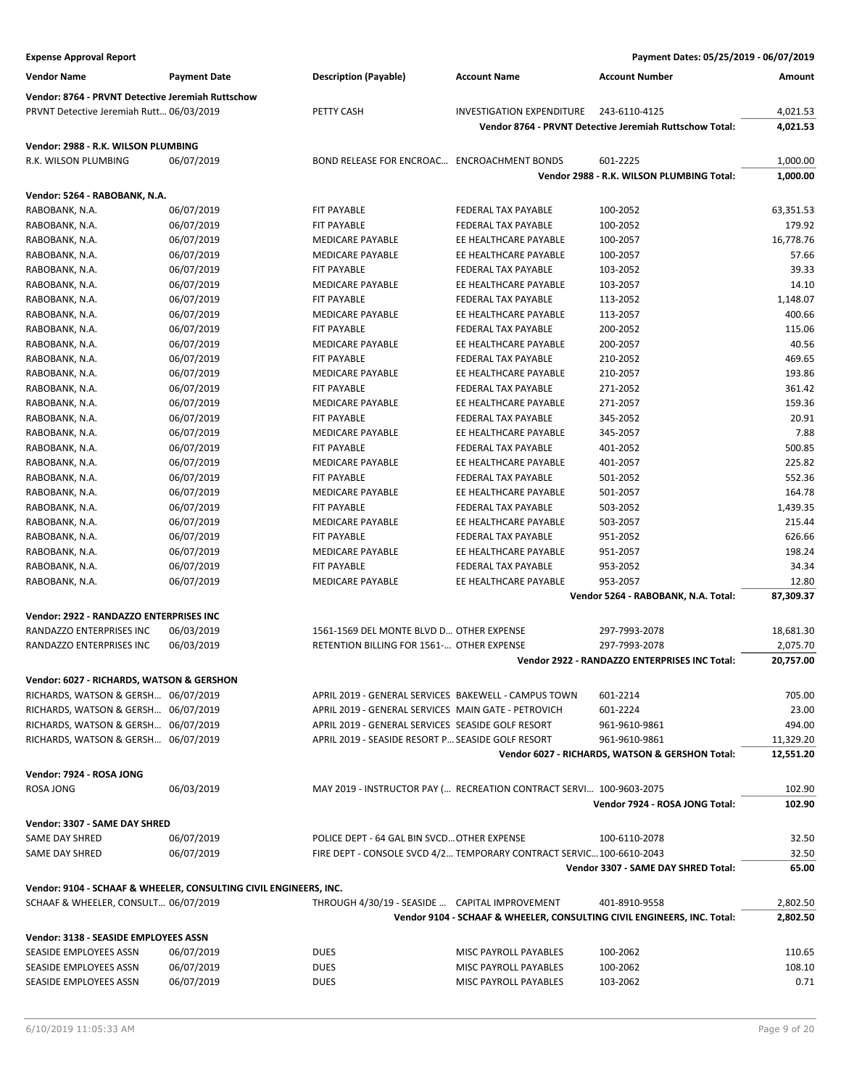| <b>Vendor Name</b>                                                | <b>Payment Date</b> | <b>Description (Payable)</b>                         | <b>Account Name</b>                                                     | <b>Account Number</b>                                   | Amount    |
|-------------------------------------------------------------------|---------------------|------------------------------------------------------|-------------------------------------------------------------------------|---------------------------------------------------------|-----------|
| Vendor: 8764 - PRVNT Detective Jeremiah Ruttschow                 |                     |                                                      |                                                                         |                                                         |           |
| PRVNT Detective Jeremiah Rutt 06/03/2019                          |                     | PETTY CASH                                           | <b>INVESTIGATION EXPENDITURE</b>                                        | 243-6110-4125                                           | 4,021.53  |
|                                                                   |                     |                                                      |                                                                         | Vendor 8764 - PRVNT Detective Jeremiah Ruttschow Total: | 4,021.53  |
| Vendor: 2988 - R.K. WILSON PLUMBING                               |                     |                                                      |                                                                         |                                                         |           |
| R.K. WILSON PLUMBING                                              | 06/07/2019          | BOND RELEASE FOR ENCROAC ENCROACHMENT BONDS          |                                                                         | 601-2225                                                | 1,000.00  |
|                                                                   |                     |                                                      |                                                                         | Vendor 2988 - R.K. WILSON PLUMBING Total:               | 1,000.00  |
| Vendor: 5264 - RABOBANK, N.A.                                     |                     |                                                      |                                                                         |                                                         |           |
| RABOBANK, N.A.                                                    | 06/07/2019          | <b>FIT PAYABLE</b>                                   | FEDERAL TAX PAYABLE                                                     | 100-2052                                                | 63,351.53 |
| RABOBANK, N.A.                                                    | 06/07/2019          | <b>FIT PAYABLE</b>                                   | FEDERAL TAX PAYABLE                                                     | 100-2052                                                | 179.92    |
| RABOBANK, N.A.                                                    | 06/07/2019          | <b>MEDICARE PAYABLE</b>                              | EE HEALTHCARE PAYABLE                                                   | 100-2057                                                | 16,778.76 |
| RABOBANK, N.A.                                                    | 06/07/2019          | <b>MEDICARE PAYABLE</b>                              | EE HEALTHCARE PAYABLE                                                   | 100-2057                                                | 57.66     |
| RABOBANK, N.A.                                                    | 06/07/2019          | FIT PAYABLE                                          | FEDERAL TAX PAYABLE                                                     | 103-2052                                                | 39.33     |
| RABOBANK, N.A.                                                    | 06/07/2019          | <b>MEDICARE PAYABLE</b>                              | EE HEALTHCARE PAYABLE                                                   | 103-2057                                                | 14.10     |
| RABOBANK, N.A.                                                    | 06/07/2019          | <b>FIT PAYABLE</b>                                   | FEDERAL TAX PAYABLE                                                     | 113-2052                                                | 1,148.07  |
| RABOBANK, N.A.                                                    | 06/07/2019          | <b>MEDICARE PAYABLE</b>                              | EE HEALTHCARE PAYABLE                                                   | 113-2057                                                | 400.66    |
| RABOBANK, N.A.                                                    | 06/07/2019          | <b>FIT PAYABLE</b>                                   | FEDERAL TAX PAYABLE                                                     | 200-2052                                                | 115.06    |
| RABOBANK, N.A.                                                    | 06/07/2019          | <b>MEDICARE PAYABLE</b>                              | EE HEALTHCARE PAYABLE                                                   | 200-2057                                                | 40.56     |
| RABOBANK, N.A.                                                    | 06/07/2019          | <b>FIT PAYABLE</b>                                   | FEDERAL TAX PAYABLE                                                     | 210-2052                                                | 469.65    |
| RABOBANK, N.A.                                                    | 06/07/2019          | <b>MEDICARE PAYABLE</b>                              | EE HEALTHCARE PAYABLE                                                   | 210-2057                                                | 193.86    |
| RABOBANK, N.A.                                                    | 06/07/2019          | <b>FIT PAYABLE</b>                                   | FEDERAL TAX PAYABLE                                                     | 271-2052                                                | 361.42    |
| RABOBANK, N.A.                                                    | 06/07/2019          | MEDICARE PAYABLE                                     | EE HEALTHCARE PAYABLE                                                   | 271-2057                                                | 159.36    |
| RABOBANK, N.A.                                                    | 06/07/2019          | <b>FIT PAYABLE</b>                                   | <b>FEDERAL TAX PAYABLE</b>                                              | 345-2052                                                | 20.91     |
| RABOBANK, N.A.                                                    | 06/07/2019          | <b>MEDICARE PAYABLE</b>                              | EE HEALTHCARE PAYABLE                                                   | 345-2057                                                | 7.88      |
| RABOBANK, N.A.                                                    | 06/07/2019          | <b>FIT PAYABLE</b>                                   | FEDERAL TAX PAYABLE                                                     | 401-2052                                                | 500.85    |
| RABOBANK, N.A.                                                    | 06/07/2019          | <b>MEDICARE PAYABLE</b>                              | EE HEALTHCARE PAYABLE                                                   | 401-2057                                                | 225.82    |
| RABOBANK, N.A.                                                    | 06/07/2019          | <b>FIT PAYABLE</b>                                   | FEDERAL TAX PAYABLE                                                     | 501-2052                                                | 552.36    |
| RABOBANK, N.A.                                                    | 06/07/2019          | MEDICARE PAYABLE                                     | EE HEALTHCARE PAYABLE                                                   | 501-2057                                                | 164.78    |
| RABOBANK, N.A.                                                    | 06/07/2019          | <b>FIT PAYABLE</b>                                   | FEDERAL TAX PAYABLE                                                     | 503-2052                                                | 1,439.35  |
| RABOBANK, N.A.                                                    | 06/07/2019          | MEDICARE PAYABLE                                     | EE HEALTHCARE PAYABLE                                                   | 503-2057                                                | 215.44    |
| RABOBANK, N.A.                                                    | 06/07/2019          | FIT PAYABLE                                          | FEDERAL TAX PAYABLE                                                     | 951-2052                                                | 626.66    |
| RABOBANK, N.A.                                                    | 06/07/2019          | MEDICARE PAYABLE                                     | EE HEALTHCARE PAYABLE                                                   | 951-2057                                                | 198.24    |
| RABOBANK, N.A.                                                    | 06/07/2019          | FIT PAYABLE                                          | FEDERAL TAX PAYABLE                                                     | 953-2052                                                | 34.34     |
| RABOBANK, N.A.                                                    | 06/07/2019          | <b>MEDICARE PAYABLE</b>                              | EE HEALTHCARE PAYABLE                                                   | 953-2057                                                | 12.80     |
|                                                                   |                     |                                                      |                                                                         | Vendor 5264 - RABOBANK, N.A. Total:                     | 87,309.37 |
| Vendor: 2922 - RANDAZZO ENTERPRISES INC                           |                     |                                                      |                                                                         |                                                         |           |
| RANDAZZO ENTERPRISES INC                                          | 06/03/2019          | 1561-1569 DEL MONTE BLVD D OTHER EXPENSE             |                                                                         | 297-7993-2078                                           | 18,681.30 |
| RANDAZZO ENTERPRISES INC                                          | 06/03/2019          | RETENTION BILLING FOR 1561- OTHER EXPENSE            |                                                                         | 297-7993-2078                                           | 2,075.70  |
|                                                                   |                     |                                                      |                                                                         | Vendor 2922 - RANDAZZO ENTERPRISES INC Total:           | 20,757.00 |
| Vendor: 6027 - RICHARDS, WATSON & GERSHON                         |                     |                                                      |                                                                         |                                                         |           |
| RICHARDS, WATSON & GERSH 06/07/2019                               |                     | APRIL 2019 - GENERAL SERVICES BAKEWELL - CAMPUS TOWN |                                                                         | 601-2214                                                | 705.00    |
| RICHARDS, WATSON & GERSH 06/07/2019                               |                     | APRIL 2019 - GENERAL SERVICES MAIN GATE - PETROVICH  |                                                                         | 601-2224                                                | 23.00     |
| RICHARDS, WATSON & GERSH 06/07/2019                               |                     | APRIL 2019 - GENERAL SERVICES SEASIDE GOLF RESORT    |                                                                         | 961-9610-9861                                           | 494.00    |
| RICHARDS, WATSON & GERSH 06/07/2019                               |                     | APRIL 2019 - SEASIDE RESORT P SEASIDE GOLF RESORT    |                                                                         | 961-9610-9861                                           | 11,329.20 |
|                                                                   |                     |                                                      |                                                                         | Vendor 6027 - RICHARDS, WATSON & GERSHON Total:         | 12,551.20 |
|                                                                   |                     |                                                      |                                                                         |                                                         |           |
| Vendor: 7924 - ROSA JONG                                          |                     |                                                      |                                                                         |                                                         |           |
| ROSA JONG                                                         | 06/03/2019          |                                                      | MAY 2019 - INSTRUCTOR PAY ( RECREATION CONTRACT SERVI 100-9603-2075     | Vendor 7924 - ROSA JONG Total:                          | 102.90    |
|                                                                   |                     |                                                      |                                                                         |                                                         | 102.90    |
| Vendor: 3307 - SAME DAY SHRED                                     |                     |                                                      |                                                                         |                                                         |           |
| SAME DAY SHRED                                                    | 06/07/2019          | POLICE DEPT - 64 GAL BIN SVCD OTHER EXPENSE          |                                                                         | 100-6110-2078                                           | 32.50     |
| SAME DAY SHRED                                                    | 06/07/2019          |                                                      | FIRE DEPT - CONSOLE SVCD 4/2 TEMPORARY CONTRACT SERVIC 100-6610-2043    |                                                         | 32.50     |
|                                                                   |                     |                                                      |                                                                         | Vendor 3307 - SAME DAY SHRED Total:                     | 65.00     |
| Vendor: 9104 - SCHAAF & WHEELER, CONSULTING CIVIL ENGINEERS, INC. |                     |                                                      |                                                                         |                                                         |           |
| SCHAAF & WHEELER, CONSULT 06/07/2019                              |                     | THROUGH 4/30/19 - SEASIDE  CAPITAL IMPROVEMENT       |                                                                         | 401-8910-9558                                           | 2,802.50  |
|                                                                   |                     |                                                      | Vendor 9104 - SCHAAF & WHEELER, CONSULTING CIVIL ENGINEERS, INC. Total: |                                                         | 2,802.50  |
| Vendor: 3138 - SEASIDE EMPLOYEES ASSN                             |                     |                                                      |                                                                         |                                                         |           |
| SEASIDE EMPLOYEES ASSN                                            | 06/07/2019          | <b>DUES</b>                                          | MISC PAYROLL PAYABLES                                                   | 100-2062                                                | 110.65    |
| SEASIDE EMPLOYEES ASSN                                            | 06/07/2019          | <b>DUES</b>                                          | MISC PAYROLL PAYABLES                                                   | 100-2062                                                | 108.10    |
| SEASIDE EMPLOYEES ASSN                                            | 06/07/2019          | <b>DUES</b>                                          | MISC PAYROLL PAYABLES                                                   | 103-2062                                                | 0.71      |
|                                                                   |                     |                                                      |                                                                         |                                                         |           |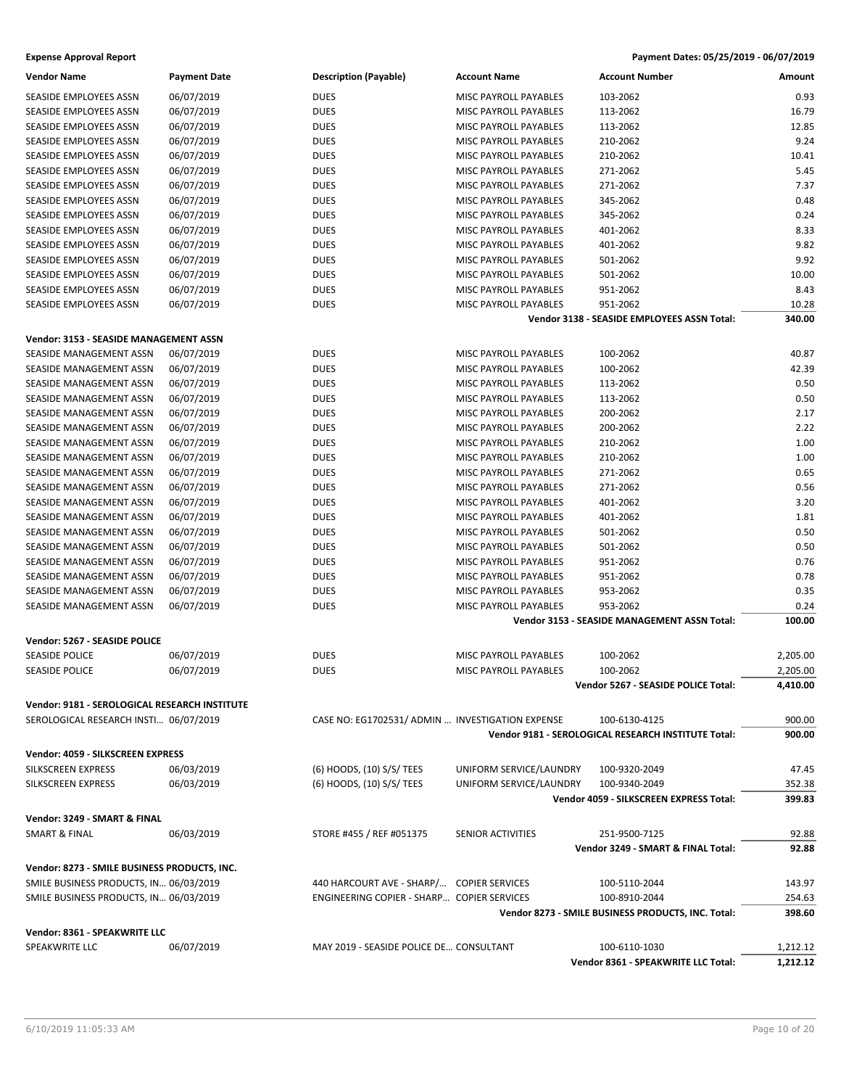| <b>Vendor Name</b>                            | <b>Payment Date</b> | <b>Description (Payable)</b>                     | <b>Account Name</b>          | <b>Account Number</b>                               | Amount   |
|-----------------------------------------------|---------------------|--------------------------------------------------|------------------------------|-----------------------------------------------------|----------|
| SEASIDE EMPLOYEES ASSN                        | 06/07/2019          | <b>DUES</b>                                      | MISC PAYROLL PAYABLES        | 103-2062                                            | 0.93     |
| SEASIDE EMPLOYEES ASSN                        | 06/07/2019          | <b>DUES</b>                                      | MISC PAYROLL PAYABLES        | 113-2062                                            | 16.79    |
| SEASIDE EMPLOYEES ASSN                        | 06/07/2019          | <b>DUES</b>                                      | MISC PAYROLL PAYABLES        | 113-2062                                            | 12.85    |
| SEASIDE EMPLOYEES ASSN                        | 06/07/2019          | <b>DUES</b>                                      | MISC PAYROLL PAYABLES        | 210-2062                                            | 9.24     |
| SEASIDE EMPLOYEES ASSN                        | 06/07/2019          | <b>DUES</b>                                      | <b>MISC PAYROLL PAYABLES</b> | 210-2062                                            | 10.41    |
| SEASIDE EMPLOYEES ASSN                        | 06/07/2019          | <b>DUES</b>                                      | MISC PAYROLL PAYABLES        | 271-2062                                            | 5.45     |
| SEASIDE EMPLOYEES ASSN                        | 06/07/2019          | <b>DUES</b>                                      | MISC PAYROLL PAYABLES        | 271-2062                                            | 7.37     |
| SEASIDE EMPLOYEES ASSN                        | 06/07/2019          | <b>DUES</b>                                      | MISC PAYROLL PAYABLES        | 345-2062                                            | 0.48     |
| SEASIDE EMPLOYEES ASSN                        | 06/07/2019          | <b>DUES</b>                                      | MISC PAYROLL PAYABLES        | 345-2062                                            | 0.24     |
| <b>SEASIDE EMPLOYEES ASSN</b>                 | 06/07/2019          | <b>DUES</b>                                      | MISC PAYROLL PAYABLES        | 401-2062                                            | 8.33     |
| SEASIDE EMPLOYEES ASSN                        | 06/07/2019          | <b>DUES</b>                                      | MISC PAYROLL PAYABLES        | 401-2062                                            | 9.82     |
| SEASIDE EMPLOYEES ASSN                        | 06/07/2019          | <b>DUES</b>                                      | MISC PAYROLL PAYABLES        | 501-2062                                            | 9.92     |
| SEASIDE EMPLOYEES ASSN                        | 06/07/2019          | <b>DUES</b>                                      | MISC PAYROLL PAYABLES        | 501-2062                                            | 10.00    |
| SEASIDE EMPLOYEES ASSN                        | 06/07/2019          | <b>DUES</b>                                      | MISC PAYROLL PAYABLES        | 951-2062                                            | 8.43     |
| SEASIDE EMPLOYEES ASSN                        |                     | <b>DUES</b>                                      | MISC PAYROLL PAYABLES        | 951-2062                                            | 10.28    |
|                                               | 06/07/2019          |                                                  |                              | Vendor 3138 - SEASIDE EMPLOYEES ASSN Total:         | 340.00   |
|                                               |                     |                                                  |                              |                                                     |          |
| Vendor: 3153 - SEASIDE MANAGEMENT ASSN        |                     |                                                  |                              |                                                     |          |
| SEASIDE MANAGEMENT ASSN                       | 06/07/2019          | <b>DUES</b>                                      | MISC PAYROLL PAYABLES        | 100-2062                                            | 40.87    |
| SEASIDE MANAGEMENT ASSN                       | 06/07/2019          | <b>DUES</b>                                      | <b>MISC PAYROLL PAYABLES</b> | 100-2062                                            | 42.39    |
| SEASIDE MANAGEMENT ASSN                       | 06/07/2019          | <b>DUES</b>                                      | MISC PAYROLL PAYABLES        | 113-2062                                            | 0.50     |
| <b>SEASIDE MANAGEMENT ASSN</b>                | 06/07/2019          | <b>DUES</b>                                      | MISC PAYROLL PAYABLES        | 113-2062                                            | 0.50     |
| SEASIDE MANAGEMENT ASSN                       | 06/07/2019          | <b>DUES</b>                                      | MISC PAYROLL PAYABLES        | 200-2062                                            | 2.17     |
| SEASIDE MANAGEMENT ASSN                       | 06/07/2019          | <b>DUES</b>                                      | MISC PAYROLL PAYABLES        | 200-2062                                            | 2.22     |
| SEASIDE MANAGEMENT ASSN                       | 06/07/2019          | <b>DUES</b>                                      | <b>MISC PAYROLL PAYABLES</b> | 210-2062                                            | 1.00     |
| SEASIDE MANAGEMENT ASSN                       | 06/07/2019          | <b>DUES</b>                                      | MISC PAYROLL PAYABLES        | 210-2062                                            | 1.00     |
| SEASIDE MANAGEMENT ASSN                       | 06/07/2019          | <b>DUES</b>                                      | MISC PAYROLL PAYABLES        | 271-2062                                            | 0.65     |
| SEASIDE MANAGEMENT ASSN                       | 06/07/2019          | <b>DUES</b>                                      | MISC PAYROLL PAYABLES        | 271-2062                                            | 0.56     |
| SEASIDE MANAGEMENT ASSN                       | 06/07/2019          | <b>DUES</b>                                      | MISC PAYROLL PAYABLES        | 401-2062                                            | 3.20     |
| SEASIDE MANAGEMENT ASSN                       | 06/07/2019          | <b>DUES</b>                                      | MISC PAYROLL PAYABLES        | 401-2062                                            | 1.81     |
| SEASIDE MANAGEMENT ASSN                       | 06/07/2019          | <b>DUES</b>                                      | MISC PAYROLL PAYABLES        | 501-2062                                            | 0.50     |
| SEASIDE MANAGEMENT ASSN                       | 06/07/2019          | <b>DUES</b>                                      | MISC PAYROLL PAYABLES        | 501-2062                                            | 0.50     |
| SEASIDE MANAGEMENT ASSN                       | 06/07/2019          | <b>DUES</b>                                      | MISC PAYROLL PAYABLES        | 951-2062                                            | 0.76     |
| SEASIDE MANAGEMENT ASSN                       | 06/07/2019          | <b>DUES</b>                                      | MISC PAYROLL PAYABLES        | 951-2062                                            | 0.78     |
| SEASIDE MANAGEMENT ASSN                       | 06/07/2019          | <b>DUES</b>                                      | MISC PAYROLL PAYABLES        | 953-2062                                            | 0.35     |
| SEASIDE MANAGEMENT ASSN                       | 06/07/2019          | <b>DUES</b>                                      | MISC PAYROLL PAYABLES        | 953-2062                                            | 0.24     |
|                                               |                     |                                                  |                              | Vendor 3153 - SEASIDE MANAGEMENT ASSN Total:        | 100.00   |
|                                               |                     |                                                  |                              |                                                     |          |
| Vendor: 5267 - SEASIDE POLICE                 |                     |                                                  |                              |                                                     |          |
| <b>SEASIDE POLICE</b>                         | 06/07/2019          | <b>DUES</b>                                      | MISC PAYROLL PAYABLES        | 100-2062                                            | 2,205.00 |
| <b>SEASIDE POLICE</b>                         | 06/07/2019          | <b>DUES</b>                                      | MISC PAYROLL PAYABLES        | 100-2062                                            | 2,205.00 |
|                                               |                     |                                                  |                              | Vendor 5267 - SEASIDE POLICE Total:                 | 4,410.00 |
| Vendor: 9181 - SEROLOGICAL RESEARCH INSTITUTE |                     |                                                  |                              |                                                     |          |
| SEROLOGICAL RESEARCH INSTI 06/07/2019         |                     | CASE NO: EG1702531/ ADMIN  INVESTIGATION EXPENSE |                              | 100-6130-4125                                       | 900.00   |
|                                               |                     |                                                  |                              | Vendor 9181 - SEROLOGICAL RESEARCH INSTITUTE Total: | 900.00   |
| Vendor: 4059 - SILKSCREEN EXPRESS             |                     |                                                  |                              |                                                     |          |
| SILKSCREEN EXPRESS                            | 06/03/2019          | (6) HOODS, (10) S/S/ TEES                        | UNIFORM SERVICE/LAUNDRY      | 100-9320-2049                                       | 47.45    |
| SILKSCREEN EXPRESS                            | 06/03/2019          | (6) HOODS, (10) S/S/ TEES                        | UNIFORM SERVICE/LAUNDRY      | 100-9340-2049                                       | 352.38   |
|                                               |                     |                                                  |                              | Vendor 4059 - SILKSCREEN EXPRESS Total:             | 399.83   |
|                                               |                     |                                                  |                              |                                                     |          |
| Vendor: 3249 - SMART & FINAL                  |                     |                                                  |                              |                                                     |          |
| <b>SMART &amp; FINAL</b>                      | 06/03/2019          | STORE #455 / REF #051375                         | <b>SENIOR ACTIVITIES</b>     | 251-9500-7125                                       | 92.88    |
|                                               |                     |                                                  |                              | Vendor 3249 - SMART & FINAL Total:                  | 92.88    |
| Vendor: 8273 - SMILE BUSINESS PRODUCTS, INC.  |                     |                                                  |                              |                                                     |          |
| SMILE BUSINESS PRODUCTS, IN 06/03/2019        |                     | 440 HARCOURT AVE - SHARP/ COPIER SERVICES        |                              | 100-5110-2044                                       | 143.97   |
| SMILE BUSINESS PRODUCTS, IN 06/03/2019        |                     | ENGINEERING COPIER - SHARP COPIER SERVICES       |                              | 100-8910-2044                                       | 254.63   |
|                                               |                     |                                                  |                              | Vendor 8273 - SMILE BUSINESS PRODUCTS, INC. Total:  | 398.60   |
| Vendor: 8361 - SPEAKWRITE LLC                 |                     |                                                  |                              |                                                     |          |
| SPEAKWRITE LLC                                | 06/07/2019          | MAY 2019 - SEASIDE POLICE DE CONSULTANT          |                              | 100-6110-1030                                       | 1,212.12 |
|                                               |                     |                                                  |                              | Vendor 8361 - SPEAKWRITE LLC Total:                 | 1,212.12 |
|                                               |                     |                                                  |                              |                                                     |          |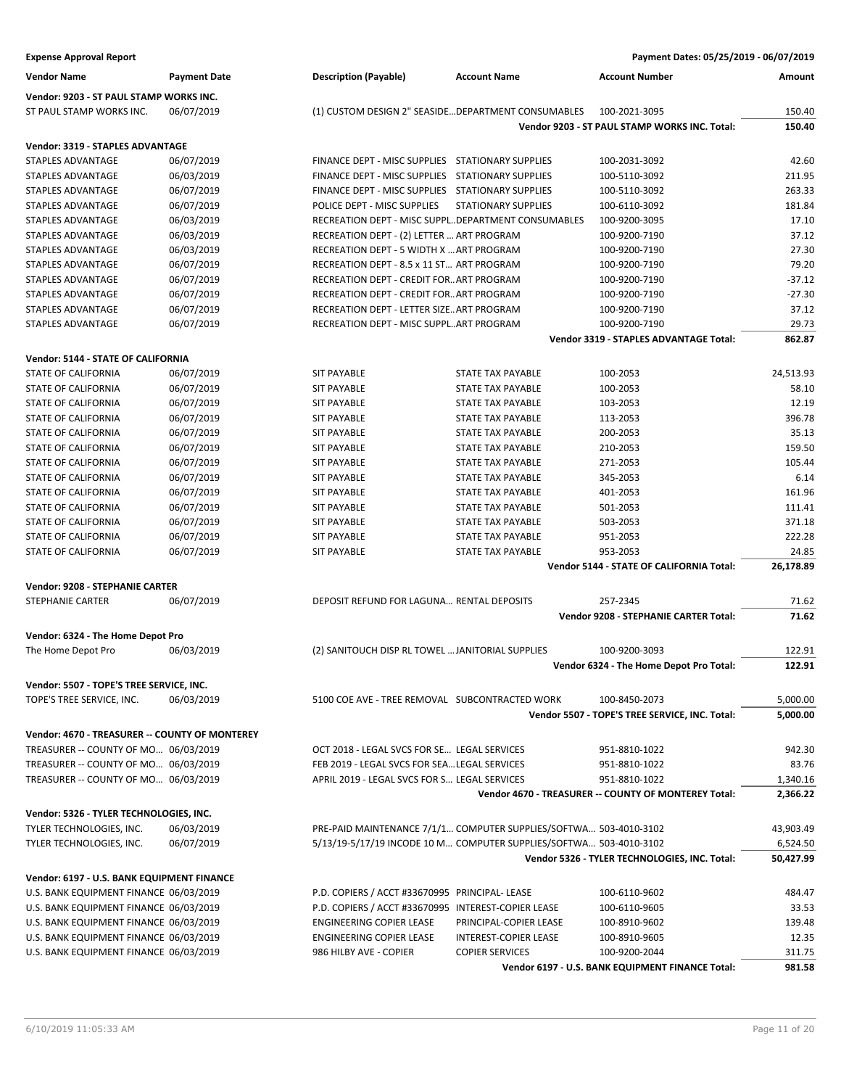| <b>Expense Approval Report</b>                 |                     |                                                     |                                                                    | Payment Dates: 05/25/2019 - 06/07/2019               |           |
|------------------------------------------------|---------------------|-----------------------------------------------------|--------------------------------------------------------------------|------------------------------------------------------|-----------|
| <b>Vendor Name</b>                             | <b>Payment Date</b> | <b>Description (Payable)</b>                        | <b>Account Name</b>                                                | <b>Account Number</b>                                | Amount    |
| Vendor: 9203 - ST PAUL STAMP WORKS INC.        |                     |                                                     |                                                                    |                                                      |           |
| ST PAUL STAMP WORKS INC.                       | 06/07/2019          |                                                     | (1) CUSTOM DESIGN 2" SEASIDE DEPARTMENT CONSUMABLES                | 100-2021-3095                                        | 150.40    |
|                                                |                     |                                                     |                                                                    | Vendor 9203 - ST PAUL STAMP WORKS INC. Total:        | 150.40    |
| Vendor: 3319 - STAPLES ADVANTAGE               |                     |                                                     |                                                                    |                                                      |           |
| <b>STAPLES ADVANTAGE</b>                       | 06/07/2019          | FINANCE DEPT - MISC SUPPLIES STATIONARY SUPPLIES    |                                                                    | 100-2031-3092                                        | 42.60     |
| <b>STAPLES ADVANTAGE</b>                       | 06/03/2019          | FINANCE DEPT - MISC SUPPLIES STATIONARY SUPPLIES    |                                                                    | 100-5110-3092                                        | 211.95    |
| <b>STAPLES ADVANTAGE</b>                       | 06/07/2019          | FINANCE DEPT - MISC SUPPLIES STATIONARY SUPPLIES    |                                                                    | 100-5110-3092                                        | 263.33    |
| <b>STAPLES ADVANTAGE</b>                       | 06/07/2019          | POLICE DEPT - MISC SUPPLIES                         | <b>STATIONARY SUPPLIES</b>                                         | 100-6110-3092                                        | 181.84    |
| <b>STAPLES ADVANTAGE</b>                       | 06/03/2019          | RECREATION DEPT - MISC SUPPLDEPARTMENT CONSUMABLES  |                                                                    | 100-9200-3095                                        | 17.10     |
| <b>STAPLES ADVANTAGE</b>                       | 06/03/2019          | RECREATION DEPT - (2) LETTER  ART PROGRAM           |                                                                    | 100-9200-7190                                        | 37.12     |
| STAPLES ADVANTAGE                              | 06/03/2019          | RECREATION DEPT - 5 WIDTH X  ART PROGRAM            |                                                                    | 100-9200-7190                                        | 27.30     |
| STAPLES ADVANTAGE                              | 06/07/2019          | RECREATION DEPT - 8.5 x 11 ST ART PROGRAM           |                                                                    | 100-9200-7190                                        | 79.20     |
| <b>STAPLES ADVANTAGE</b>                       | 06/07/2019          | RECREATION DEPT - CREDIT FOR ART PROGRAM            |                                                                    | 100-9200-7190                                        | $-37.12$  |
| STAPLES ADVANTAGE                              | 06/07/2019          | RECREATION DEPT - CREDIT FOR ART PROGRAM            |                                                                    | 100-9200-7190                                        | $-27.30$  |
| <b>STAPLES ADVANTAGE</b>                       | 06/07/2019          | RECREATION DEPT - LETTER SIZE ART PROGRAM           |                                                                    | 100-9200-7190                                        | 37.12     |
| <b>STAPLES ADVANTAGE</b>                       | 06/07/2019          | RECREATION DEPT - MISC SUPPLART PROGRAM             |                                                                    | 100-9200-7190                                        | 29.73     |
|                                                |                     |                                                     |                                                                    | <b>Vendor 3319 - STAPLES ADVANTAGE Total:</b>        | 862.87    |
| Vendor: 5144 - STATE OF CALIFORNIA             |                     |                                                     |                                                                    |                                                      |           |
| STATE OF CALIFORNIA                            | 06/07/2019          | <b>SIT PAYABLE</b>                                  | <b>STATE TAX PAYABLE</b>                                           | 100-2053                                             | 24,513.93 |
| STATE OF CALIFORNIA                            | 06/07/2019          | <b>SIT PAYABLE</b>                                  | STATE TAX PAYABLE                                                  | 100-2053                                             | 58.10     |
| STATE OF CALIFORNIA                            | 06/07/2019          | <b>SIT PAYABLE</b>                                  | <b>STATE TAX PAYABLE</b>                                           | 103-2053                                             | 12.19     |
| STATE OF CALIFORNIA                            | 06/07/2019          | <b>SIT PAYABLE</b>                                  | STATE TAX PAYABLE                                                  | 113-2053                                             | 396.78    |
| STATE OF CALIFORNIA                            | 06/07/2019          | <b>SIT PAYABLE</b>                                  | STATE TAX PAYABLE                                                  | 200-2053                                             | 35.13     |
| <b>STATE OF CALIFORNIA</b>                     | 06/07/2019          | <b>SIT PAYABLE</b>                                  | <b>STATE TAX PAYABLE</b>                                           | 210-2053                                             | 159.50    |
| STATE OF CALIFORNIA                            | 06/07/2019          | <b>SIT PAYABLE</b>                                  | STATE TAX PAYABLE                                                  | 271-2053                                             | 105.44    |
| STATE OF CALIFORNIA                            | 06/07/2019          | <b>SIT PAYABLE</b>                                  | <b>STATE TAX PAYABLE</b>                                           | 345-2053                                             | 6.14      |
| STATE OF CALIFORNIA                            | 06/07/2019          | <b>SIT PAYABLE</b>                                  | STATE TAX PAYABLE                                                  | 401-2053                                             | 161.96    |
| STATE OF CALIFORNIA                            | 06/07/2019          | <b>SIT PAYABLE</b>                                  | <b>STATE TAX PAYABLE</b>                                           | 501-2053                                             | 111.41    |
| STATE OF CALIFORNIA                            | 06/07/2019          | <b>SIT PAYABLE</b>                                  | <b>STATE TAX PAYABLE</b>                                           | 503-2053                                             | 371.18    |
| STATE OF CALIFORNIA                            | 06/07/2019          | <b>SIT PAYABLE</b>                                  | STATE TAX PAYABLE                                                  | 951-2053                                             | 222.28    |
| STATE OF CALIFORNIA                            | 06/07/2019          | <b>SIT PAYABLE</b>                                  | <b>STATE TAX PAYABLE</b>                                           | 953-2053                                             | 24.85     |
|                                                |                     |                                                     |                                                                    | Vendor 5144 - STATE OF CALIFORNIA Total:             | 26,178.89 |
| Vendor: 9208 - STEPHANIE CARTER                |                     |                                                     |                                                                    |                                                      |           |
| <b>STEPHANIE CARTER</b>                        | 06/07/2019          | DEPOSIT REFUND FOR LAGUNA RENTAL DEPOSITS           |                                                                    | 257-2345                                             | 71.62     |
|                                                |                     |                                                     |                                                                    | Vendor 9208 - STEPHANIE CARTER Total:                | 71.62     |
| Vendor: 6324 - The Home Depot Pro              |                     |                                                     |                                                                    |                                                      |           |
| The Home Depot Pro                             | 06/03/2019          | (2) SANITOUCH DISP RL TOWEL  JANITORIAL SUPPLIES    |                                                                    | 100-9200-3093                                        | 122.91    |
|                                                |                     |                                                     |                                                                    | Vendor 6324 - The Home Depot Pro Total:              | 122.91    |
| Vendor: 5507 - TOPE'S TREE SERVICE, INC.       |                     |                                                     |                                                                    |                                                      |           |
| TOPE'S TREE SERVICE, INC.                      | 06/03/2019          | 5100 COE AVE - TREE REMOVAL SUBCONTRACTED WORK      |                                                                    | 100-8450-2073                                        | 5,000.00  |
|                                                |                     |                                                     |                                                                    | Vendor 5507 - TOPE'S TREE SERVICE, INC. Total:       | 5,000.00  |
| Vendor: 4670 - TREASURER -- COUNTY OF MONTEREY |                     |                                                     |                                                                    |                                                      |           |
| TREASURER -- COUNTY OF MO 06/03/2019           |                     | OCT 2018 - LEGAL SVCS FOR SE LEGAL SERVICES         |                                                                    | 951-8810-1022                                        | 942.30    |
| TREASURER -- COUNTY OF MO 06/03/2019           |                     | FEB 2019 - LEGAL SVCS FOR SEA LEGAL SERVICES        |                                                                    | 951-8810-1022                                        | 83.76     |
| TREASURER -- COUNTY OF MO 06/03/2019           |                     | APRIL 2019 - LEGAL SVCS FOR S LEGAL SERVICES        |                                                                    | 951-8810-1022                                        | 1,340.16  |
|                                                |                     |                                                     |                                                                    | Vendor 4670 - TREASURER -- COUNTY OF MONTEREY Total: | 2,366.22  |
| Vendor: 5326 - TYLER TECHNOLOGIES, INC.        |                     |                                                     |                                                                    |                                                      |           |
| TYLER TECHNOLOGIES, INC.                       | 06/03/2019          |                                                     | PRE-PAID MAINTENANCE 7/1/1 COMPUTER SUPPLIES/SOFTWA 503-4010-3102  |                                                      | 43,903.49 |
| TYLER TECHNOLOGIES, INC.                       | 06/07/2019          |                                                     | 5/13/19-5/17/19 INCODE 10 M COMPUTER SUPPLIES/SOFTWA 503-4010-3102 |                                                      | 6,524.50  |
|                                                |                     |                                                     |                                                                    | Vendor 5326 - TYLER TECHNOLOGIES, INC. Total:        | 50,427.99 |
| Vendor: 6197 - U.S. BANK EQUIPMENT FINANCE     |                     |                                                     |                                                                    |                                                      |           |
| U.S. BANK EQUIPMENT FINANCE 06/03/2019         |                     | P.D. COPIERS / ACCT #33670995 PRINCIPAL-LEASE       |                                                                    | 100-6110-9602                                        | 484.47    |
| U.S. BANK EQUIPMENT FINANCE 06/03/2019         |                     | P.D. COPIERS / ACCT #33670995 INTEREST-COPIER LEASE |                                                                    | 100-6110-9605                                        | 33.53     |
| U.S. BANK EQUIPMENT FINANCE 06/03/2019         |                     | <b>ENGINEERING COPIER LEASE</b>                     | PRINCIPAL-COPIER LEASE                                             | 100-8910-9602                                        | 139.48    |
| U.S. BANK EQUIPMENT FINANCE 06/03/2019         |                     | <b>ENGINEERING COPIER LEASE</b>                     | INTEREST-COPIER LEASE                                              | 100-8910-9605                                        | 12.35     |
| U.S. BANK EQUIPMENT FINANCE 06/03/2019         |                     | 986 HILBY AVE - COPIER                              | <b>COPIER SERVICES</b>                                             | 100-9200-2044                                        | 311.75    |
|                                                |                     |                                                     |                                                                    | Vendor 6197 - U.S. BANK EQUIPMENT FINANCE Total:     | 981.58    |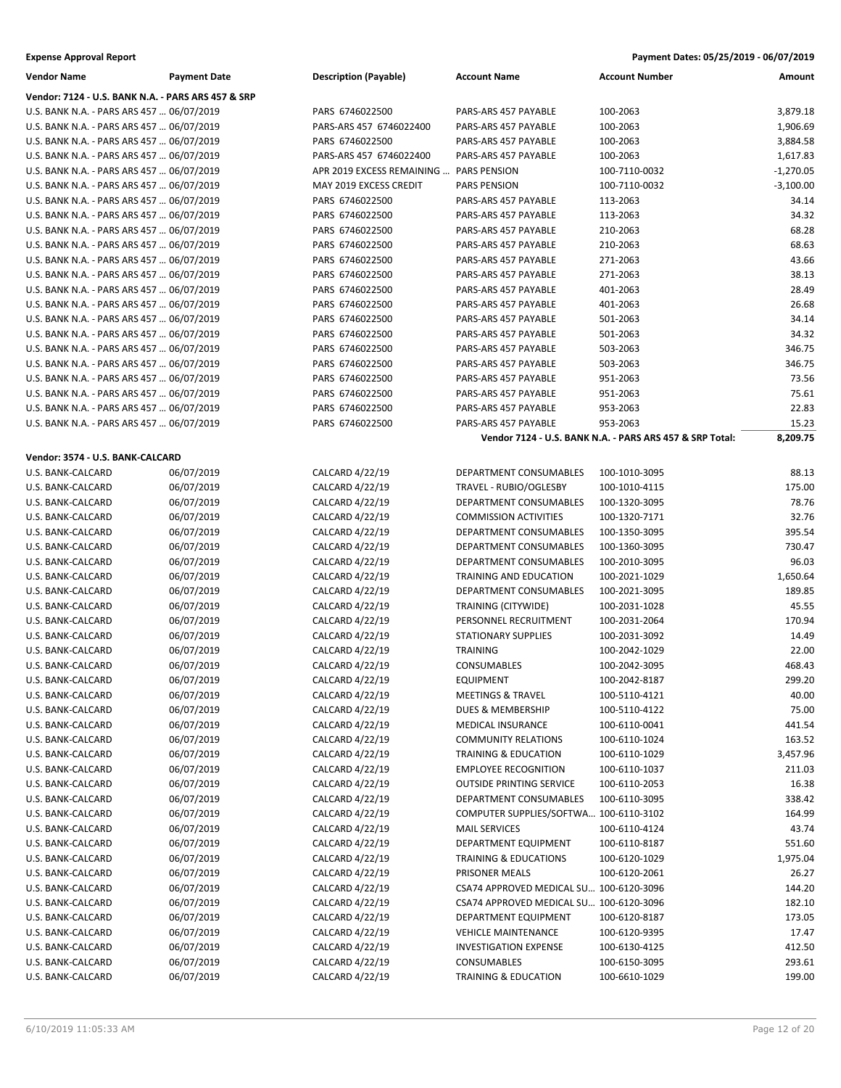| Vendor: 7124 - U.S. BANK N.A. - PARS ARS 457 & SRP<br>U.S. BANK N.A. - PARS ARS 457  06/07/2019<br>PARS 6746022500<br>PARS-ARS 457 PAYABLE<br>100-2063<br>3,879.18<br>1,906.69<br>U.S. BANK N.A. - PARS ARS 457  06/07/2019<br>PARS-ARS 457 6746022400<br>PARS-ARS 457 PAYABLE<br>100-2063<br>U.S. BANK N.A. - PARS ARS 457  06/07/2019<br>PARS 6746022500<br>PARS-ARS 457 PAYABLE<br>100-2063<br>3,884.58<br>U.S. BANK N.A. - PARS ARS 457  06/07/2019<br>PARS-ARS 457 6746022400<br>PARS-ARS 457 PAYABLE<br>100-2063<br>1,617.83<br>U.S. BANK N.A. - PARS ARS 457  06/07/2019<br>APR 2019 EXCESS REMAINING<br><b>PARS PENSION</b><br>100-7110-0032<br>$-1,270.05$<br>$-3,100.00$<br>U.S. BANK N.A. - PARS ARS 457  06/07/2019<br>MAY 2019 EXCESS CREDIT<br><b>PARS PENSION</b><br>100-7110-0032<br>34.14<br>U.S. BANK N.A. - PARS ARS 457  06/07/2019<br>PARS 6746022500<br>PARS-ARS 457 PAYABLE<br>113-2063<br>34.32<br>U.S. BANK N.A. - PARS ARS 457  06/07/2019<br>PARS 6746022500<br>PARS-ARS 457 PAYABLE<br>113-2063<br>68.28<br>U.S. BANK N.A. - PARS ARS 457  06/07/2019<br>PARS 6746022500<br>PARS-ARS 457 PAYABLE<br>210-2063<br>68.63<br>U.S. BANK N.A. - PARS ARS 457  06/07/2019<br>PARS 6746022500<br>PARS-ARS 457 PAYABLE<br>210-2063<br>43.66<br>U.S. BANK N.A. - PARS ARS 457  06/07/2019<br>PARS 6746022500<br>PARS-ARS 457 PAYABLE<br>271-2063<br>38.13<br>U.S. BANK N.A. - PARS ARS 457  06/07/2019<br>PARS 6746022500<br>PARS-ARS 457 PAYABLE<br>271-2063<br>28.49<br>U.S. BANK N.A. - PARS ARS 457  06/07/2019<br>PARS 6746022500<br>PARS-ARS 457 PAYABLE<br>401-2063<br>26.68<br>U.S. BANK N.A. - PARS ARS 457  06/07/2019<br>PARS 6746022500<br>PARS-ARS 457 PAYABLE<br>401-2063<br>34.14<br>U.S. BANK N.A. - PARS ARS 457  06/07/2019<br>PARS 6746022500<br>PARS-ARS 457 PAYABLE<br>501-2063<br>34.32<br>U.S. BANK N.A. - PARS ARS 457  06/07/2019<br>PARS 6746022500<br>PARS-ARS 457 PAYABLE<br>501-2063<br>346.75<br>U.S. BANK N.A. - PARS ARS 457  06/07/2019<br>PARS 6746022500<br>PARS-ARS 457 PAYABLE<br>503-2063<br>346.75<br>U.S. BANK N.A. - PARS ARS 457  06/07/2019<br>PARS 6746022500<br>PARS-ARS 457 PAYABLE<br>503-2063<br>73.56<br>U.S. BANK N.A. - PARS ARS 457  06/07/2019<br>PARS 6746022500<br>PARS-ARS 457 PAYABLE<br>951-2063<br>75.61<br>U.S. BANK N.A. - PARS ARS 457  06/07/2019<br>PARS 6746022500<br>PARS-ARS 457 PAYABLE<br>951-2063<br>22.83<br>U.S. BANK N.A. - PARS ARS 457  06/07/2019<br>PARS 6746022500<br>PARS-ARS 457 PAYABLE<br>953-2063<br>953-2063<br>U.S. BANK N.A. - PARS ARS 457  06/07/2019<br>PARS 6746022500<br>PARS-ARS 457 PAYABLE<br>15.23<br>8,209.75<br>Vendor 7124 - U.S. BANK N.A. - PARS ARS 457 & SRP Total:<br>Vendor: 3574 - U.S. BANK-CALCARD<br>U.S. BANK-CALCARD<br>06/07/2019<br>CALCARD 4/22/19<br>DEPARTMENT CONSUMABLES<br>100-1010-3095<br>88.13<br>U.S. BANK-CALCARD<br>06/07/2019<br>CALCARD 4/22/19<br>TRAVEL - RUBIO/OGLESBY<br>100-1010-4115<br>175.00<br>78.76<br>U.S. BANK-CALCARD<br>06/07/2019<br>CALCARD 4/22/19<br>DEPARTMENT CONSUMABLES<br>100-1320-3095 |
|----------------------------------------------------------------------------------------------------------------------------------------------------------------------------------------------------------------------------------------------------------------------------------------------------------------------------------------------------------------------------------------------------------------------------------------------------------------------------------------------------------------------------------------------------------------------------------------------------------------------------------------------------------------------------------------------------------------------------------------------------------------------------------------------------------------------------------------------------------------------------------------------------------------------------------------------------------------------------------------------------------------------------------------------------------------------------------------------------------------------------------------------------------------------------------------------------------------------------------------------------------------------------------------------------------------------------------------------------------------------------------------------------------------------------------------------------------------------------------------------------------------------------------------------------------------------------------------------------------------------------------------------------------------------------------------------------------------------------------------------------------------------------------------------------------------------------------------------------------------------------------------------------------------------------------------------------------------------------------------------------------------------------------------------------------------------------------------------------------------------------------------------------------------------------------------------------------------------------------------------------------------------------------------------------------------------------------------------------------------------------------------------------------------------------------------------------------------------------------------------------------------------------------------------------------------------------------------------------------------------------------------------------------------------------------------------------------------------------------------------------------------------------------------------------------------------------------------------------------------------------------------------------------------------------------------------------------------------------------------------------------------------------------------------------------------|
|                                                                                                                                                                                                                                                                                                                                                                                                                                                                                                                                                                                                                                                                                                                                                                                                                                                                                                                                                                                                                                                                                                                                                                                                                                                                                                                                                                                                                                                                                                                                                                                                                                                                                                                                                                                                                                                                                                                                                                                                                                                                                                                                                                                                                                                                                                                                                                                                                                                                                                                                                                                                                                                                                                                                                                                                                                                                                                                                                                                                                                                                |
|                                                                                                                                                                                                                                                                                                                                                                                                                                                                                                                                                                                                                                                                                                                                                                                                                                                                                                                                                                                                                                                                                                                                                                                                                                                                                                                                                                                                                                                                                                                                                                                                                                                                                                                                                                                                                                                                                                                                                                                                                                                                                                                                                                                                                                                                                                                                                                                                                                                                                                                                                                                                                                                                                                                                                                                                                                                                                                                                                                                                                                                                |
|                                                                                                                                                                                                                                                                                                                                                                                                                                                                                                                                                                                                                                                                                                                                                                                                                                                                                                                                                                                                                                                                                                                                                                                                                                                                                                                                                                                                                                                                                                                                                                                                                                                                                                                                                                                                                                                                                                                                                                                                                                                                                                                                                                                                                                                                                                                                                                                                                                                                                                                                                                                                                                                                                                                                                                                                                                                                                                                                                                                                                                                                |
|                                                                                                                                                                                                                                                                                                                                                                                                                                                                                                                                                                                                                                                                                                                                                                                                                                                                                                                                                                                                                                                                                                                                                                                                                                                                                                                                                                                                                                                                                                                                                                                                                                                                                                                                                                                                                                                                                                                                                                                                                                                                                                                                                                                                                                                                                                                                                                                                                                                                                                                                                                                                                                                                                                                                                                                                                                                                                                                                                                                                                                                                |
|                                                                                                                                                                                                                                                                                                                                                                                                                                                                                                                                                                                                                                                                                                                                                                                                                                                                                                                                                                                                                                                                                                                                                                                                                                                                                                                                                                                                                                                                                                                                                                                                                                                                                                                                                                                                                                                                                                                                                                                                                                                                                                                                                                                                                                                                                                                                                                                                                                                                                                                                                                                                                                                                                                                                                                                                                                                                                                                                                                                                                                                                |
|                                                                                                                                                                                                                                                                                                                                                                                                                                                                                                                                                                                                                                                                                                                                                                                                                                                                                                                                                                                                                                                                                                                                                                                                                                                                                                                                                                                                                                                                                                                                                                                                                                                                                                                                                                                                                                                                                                                                                                                                                                                                                                                                                                                                                                                                                                                                                                                                                                                                                                                                                                                                                                                                                                                                                                                                                                                                                                                                                                                                                                                                |
|                                                                                                                                                                                                                                                                                                                                                                                                                                                                                                                                                                                                                                                                                                                                                                                                                                                                                                                                                                                                                                                                                                                                                                                                                                                                                                                                                                                                                                                                                                                                                                                                                                                                                                                                                                                                                                                                                                                                                                                                                                                                                                                                                                                                                                                                                                                                                                                                                                                                                                                                                                                                                                                                                                                                                                                                                                                                                                                                                                                                                                                                |
|                                                                                                                                                                                                                                                                                                                                                                                                                                                                                                                                                                                                                                                                                                                                                                                                                                                                                                                                                                                                                                                                                                                                                                                                                                                                                                                                                                                                                                                                                                                                                                                                                                                                                                                                                                                                                                                                                                                                                                                                                                                                                                                                                                                                                                                                                                                                                                                                                                                                                                                                                                                                                                                                                                                                                                                                                                                                                                                                                                                                                                                                |
|                                                                                                                                                                                                                                                                                                                                                                                                                                                                                                                                                                                                                                                                                                                                                                                                                                                                                                                                                                                                                                                                                                                                                                                                                                                                                                                                                                                                                                                                                                                                                                                                                                                                                                                                                                                                                                                                                                                                                                                                                                                                                                                                                                                                                                                                                                                                                                                                                                                                                                                                                                                                                                                                                                                                                                                                                                                                                                                                                                                                                                                                |
|                                                                                                                                                                                                                                                                                                                                                                                                                                                                                                                                                                                                                                                                                                                                                                                                                                                                                                                                                                                                                                                                                                                                                                                                                                                                                                                                                                                                                                                                                                                                                                                                                                                                                                                                                                                                                                                                                                                                                                                                                                                                                                                                                                                                                                                                                                                                                                                                                                                                                                                                                                                                                                                                                                                                                                                                                                                                                                                                                                                                                                                                |
|                                                                                                                                                                                                                                                                                                                                                                                                                                                                                                                                                                                                                                                                                                                                                                                                                                                                                                                                                                                                                                                                                                                                                                                                                                                                                                                                                                                                                                                                                                                                                                                                                                                                                                                                                                                                                                                                                                                                                                                                                                                                                                                                                                                                                                                                                                                                                                                                                                                                                                                                                                                                                                                                                                                                                                                                                                                                                                                                                                                                                                                                |
|                                                                                                                                                                                                                                                                                                                                                                                                                                                                                                                                                                                                                                                                                                                                                                                                                                                                                                                                                                                                                                                                                                                                                                                                                                                                                                                                                                                                                                                                                                                                                                                                                                                                                                                                                                                                                                                                                                                                                                                                                                                                                                                                                                                                                                                                                                                                                                                                                                                                                                                                                                                                                                                                                                                                                                                                                                                                                                                                                                                                                                                                |
|                                                                                                                                                                                                                                                                                                                                                                                                                                                                                                                                                                                                                                                                                                                                                                                                                                                                                                                                                                                                                                                                                                                                                                                                                                                                                                                                                                                                                                                                                                                                                                                                                                                                                                                                                                                                                                                                                                                                                                                                                                                                                                                                                                                                                                                                                                                                                                                                                                                                                                                                                                                                                                                                                                                                                                                                                                                                                                                                                                                                                                                                |
|                                                                                                                                                                                                                                                                                                                                                                                                                                                                                                                                                                                                                                                                                                                                                                                                                                                                                                                                                                                                                                                                                                                                                                                                                                                                                                                                                                                                                                                                                                                                                                                                                                                                                                                                                                                                                                                                                                                                                                                                                                                                                                                                                                                                                                                                                                                                                                                                                                                                                                                                                                                                                                                                                                                                                                                                                                                                                                                                                                                                                                                                |
|                                                                                                                                                                                                                                                                                                                                                                                                                                                                                                                                                                                                                                                                                                                                                                                                                                                                                                                                                                                                                                                                                                                                                                                                                                                                                                                                                                                                                                                                                                                                                                                                                                                                                                                                                                                                                                                                                                                                                                                                                                                                                                                                                                                                                                                                                                                                                                                                                                                                                                                                                                                                                                                                                                                                                                                                                                                                                                                                                                                                                                                                |
|                                                                                                                                                                                                                                                                                                                                                                                                                                                                                                                                                                                                                                                                                                                                                                                                                                                                                                                                                                                                                                                                                                                                                                                                                                                                                                                                                                                                                                                                                                                                                                                                                                                                                                                                                                                                                                                                                                                                                                                                                                                                                                                                                                                                                                                                                                                                                                                                                                                                                                                                                                                                                                                                                                                                                                                                                                                                                                                                                                                                                                                                |
|                                                                                                                                                                                                                                                                                                                                                                                                                                                                                                                                                                                                                                                                                                                                                                                                                                                                                                                                                                                                                                                                                                                                                                                                                                                                                                                                                                                                                                                                                                                                                                                                                                                                                                                                                                                                                                                                                                                                                                                                                                                                                                                                                                                                                                                                                                                                                                                                                                                                                                                                                                                                                                                                                                                                                                                                                                                                                                                                                                                                                                                                |
|                                                                                                                                                                                                                                                                                                                                                                                                                                                                                                                                                                                                                                                                                                                                                                                                                                                                                                                                                                                                                                                                                                                                                                                                                                                                                                                                                                                                                                                                                                                                                                                                                                                                                                                                                                                                                                                                                                                                                                                                                                                                                                                                                                                                                                                                                                                                                                                                                                                                                                                                                                                                                                                                                                                                                                                                                                                                                                                                                                                                                                                                |
|                                                                                                                                                                                                                                                                                                                                                                                                                                                                                                                                                                                                                                                                                                                                                                                                                                                                                                                                                                                                                                                                                                                                                                                                                                                                                                                                                                                                                                                                                                                                                                                                                                                                                                                                                                                                                                                                                                                                                                                                                                                                                                                                                                                                                                                                                                                                                                                                                                                                                                                                                                                                                                                                                                                                                                                                                                                                                                                                                                                                                                                                |
|                                                                                                                                                                                                                                                                                                                                                                                                                                                                                                                                                                                                                                                                                                                                                                                                                                                                                                                                                                                                                                                                                                                                                                                                                                                                                                                                                                                                                                                                                                                                                                                                                                                                                                                                                                                                                                                                                                                                                                                                                                                                                                                                                                                                                                                                                                                                                                                                                                                                                                                                                                                                                                                                                                                                                                                                                                                                                                                                                                                                                                                                |
|                                                                                                                                                                                                                                                                                                                                                                                                                                                                                                                                                                                                                                                                                                                                                                                                                                                                                                                                                                                                                                                                                                                                                                                                                                                                                                                                                                                                                                                                                                                                                                                                                                                                                                                                                                                                                                                                                                                                                                                                                                                                                                                                                                                                                                                                                                                                                                                                                                                                                                                                                                                                                                                                                                                                                                                                                                                                                                                                                                                                                                                                |
|                                                                                                                                                                                                                                                                                                                                                                                                                                                                                                                                                                                                                                                                                                                                                                                                                                                                                                                                                                                                                                                                                                                                                                                                                                                                                                                                                                                                                                                                                                                                                                                                                                                                                                                                                                                                                                                                                                                                                                                                                                                                                                                                                                                                                                                                                                                                                                                                                                                                                                                                                                                                                                                                                                                                                                                                                                                                                                                                                                                                                                                                |
|                                                                                                                                                                                                                                                                                                                                                                                                                                                                                                                                                                                                                                                                                                                                                                                                                                                                                                                                                                                                                                                                                                                                                                                                                                                                                                                                                                                                                                                                                                                                                                                                                                                                                                                                                                                                                                                                                                                                                                                                                                                                                                                                                                                                                                                                                                                                                                                                                                                                                                                                                                                                                                                                                                                                                                                                                                                                                                                                                                                                                                                                |
|                                                                                                                                                                                                                                                                                                                                                                                                                                                                                                                                                                                                                                                                                                                                                                                                                                                                                                                                                                                                                                                                                                                                                                                                                                                                                                                                                                                                                                                                                                                                                                                                                                                                                                                                                                                                                                                                                                                                                                                                                                                                                                                                                                                                                                                                                                                                                                                                                                                                                                                                                                                                                                                                                                                                                                                                                                                                                                                                                                                                                                                                |
|                                                                                                                                                                                                                                                                                                                                                                                                                                                                                                                                                                                                                                                                                                                                                                                                                                                                                                                                                                                                                                                                                                                                                                                                                                                                                                                                                                                                                                                                                                                                                                                                                                                                                                                                                                                                                                                                                                                                                                                                                                                                                                                                                                                                                                                                                                                                                                                                                                                                                                                                                                                                                                                                                                                                                                                                                                                                                                                                                                                                                                                                |
|                                                                                                                                                                                                                                                                                                                                                                                                                                                                                                                                                                                                                                                                                                                                                                                                                                                                                                                                                                                                                                                                                                                                                                                                                                                                                                                                                                                                                                                                                                                                                                                                                                                                                                                                                                                                                                                                                                                                                                                                                                                                                                                                                                                                                                                                                                                                                                                                                                                                                                                                                                                                                                                                                                                                                                                                                                                                                                                                                                                                                                                                |
|                                                                                                                                                                                                                                                                                                                                                                                                                                                                                                                                                                                                                                                                                                                                                                                                                                                                                                                                                                                                                                                                                                                                                                                                                                                                                                                                                                                                                                                                                                                                                                                                                                                                                                                                                                                                                                                                                                                                                                                                                                                                                                                                                                                                                                                                                                                                                                                                                                                                                                                                                                                                                                                                                                                                                                                                                                                                                                                                                                                                                                                                |
|                                                                                                                                                                                                                                                                                                                                                                                                                                                                                                                                                                                                                                                                                                                                                                                                                                                                                                                                                                                                                                                                                                                                                                                                                                                                                                                                                                                                                                                                                                                                                                                                                                                                                                                                                                                                                                                                                                                                                                                                                                                                                                                                                                                                                                                                                                                                                                                                                                                                                                                                                                                                                                                                                                                                                                                                                                                                                                                                                                                                                                                                |
| U.S. BANK-CALCARD<br>06/07/2019<br>CALCARD 4/22/19<br><b>COMMISSION ACTIVITIES</b><br>100-1320-7171<br>32.76                                                                                                                                                                                                                                                                                                                                                                                                                                                                                                                                                                                                                                                                                                                                                                                                                                                                                                                                                                                                                                                                                                                                                                                                                                                                                                                                                                                                                                                                                                                                                                                                                                                                                                                                                                                                                                                                                                                                                                                                                                                                                                                                                                                                                                                                                                                                                                                                                                                                                                                                                                                                                                                                                                                                                                                                                                                                                                                                                   |
| U.S. BANK-CALCARD<br>06/07/2019<br>CALCARD 4/22/19<br>100-1350-3095<br>395.54<br>DEPARTMENT CONSUMABLES                                                                                                                                                                                                                                                                                                                                                                                                                                                                                                                                                                                                                                                                                                                                                                                                                                                                                                                                                                                                                                                                                                                                                                                                                                                                                                                                                                                                                                                                                                                                                                                                                                                                                                                                                                                                                                                                                                                                                                                                                                                                                                                                                                                                                                                                                                                                                                                                                                                                                                                                                                                                                                                                                                                                                                                                                                                                                                                                                        |
| 06/07/2019<br>CALCARD 4/22/19<br>730.47<br>U.S. BANK-CALCARD<br>DEPARTMENT CONSUMABLES<br>100-1360-3095                                                                                                                                                                                                                                                                                                                                                                                                                                                                                                                                                                                                                                                                                                                                                                                                                                                                                                                                                                                                                                                                                                                                                                                                                                                                                                                                                                                                                                                                                                                                                                                                                                                                                                                                                                                                                                                                                                                                                                                                                                                                                                                                                                                                                                                                                                                                                                                                                                                                                                                                                                                                                                                                                                                                                                                                                                                                                                                                                        |
| DEPARTMENT CONSUMABLES<br>96.03<br>U.S. BANK-CALCARD<br>06/07/2019<br>CALCARD 4/22/19<br>100-2010-3095                                                                                                                                                                                                                                                                                                                                                                                                                                                                                                                                                                                                                                                                                                                                                                                                                                                                                                                                                                                                                                                                                                                                                                                                                                                                                                                                                                                                                                                                                                                                                                                                                                                                                                                                                                                                                                                                                                                                                                                                                                                                                                                                                                                                                                                                                                                                                                                                                                                                                                                                                                                                                                                                                                                                                                                                                                                                                                                                                         |
| U.S. BANK-CALCARD<br>06/07/2019<br>CALCARD 4/22/19<br>TRAINING AND EDUCATION<br>100-2021-1029<br>1,650.64                                                                                                                                                                                                                                                                                                                                                                                                                                                                                                                                                                                                                                                                                                                                                                                                                                                                                                                                                                                                                                                                                                                                                                                                                                                                                                                                                                                                                                                                                                                                                                                                                                                                                                                                                                                                                                                                                                                                                                                                                                                                                                                                                                                                                                                                                                                                                                                                                                                                                                                                                                                                                                                                                                                                                                                                                                                                                                                                                      |
| U.S. BANK-CALCARD<br>06/07/2019<br>CALCARD 4/22/19<br>DEPARTMENT CONSUMABLES<br>100-2021-3095<br>189.85                                                                                                                                                                                                                                                                                                                                                                                                                                                                                                                                                                                                                                                                                                                                                                                                                                                                                                                                                                                                                                                                                                                                                                                                                                                                                                                                                                                                                                                                                                                                                                                                                                                                                                                                                                                                                                                                                                                                                                                                                                                                                                                                                                                                                                                                                                                                                                                                                                                                                                                                                                                                                                                                                                                                                                                                                                                                                                                                                        |
| U.S. BANK-CALCARD<br>06/07/2019<br>CALCARD 4/22/19<br>TRAINING (CITYWIDE)<br>45.55<br>100-2031-1028                                                                                                                                                                                                                                                                                                                                                                                                                                                                                                                                                                                                                                                                                                                                                                                                                                                                                                                                                                                                                                                                                                                                                                                                                                                                                                                                                                                                                                                                                                                                                                                                                                                                                                                                                                                                                                                                                                                                                                                                                                                                                                                                                                                                                                                                                                                                                                                                                                                                                                                                                                                                                                                                                                                                                                                                                                                                                                                                                            |
| 170.94<br>U.S. BANK-CALCARD<br>06/07/2019<br>CALCARD 4/22/19<br>PERSONNEL RECRUITMENT<br>100-2031-2064                                                                                                                                                                                                                                                                                                                                                                                                                                                                                                                                                                                                                                                                                                                                                                                                                                                                                                                                                                                                                                                                                                                                                                                                                                                                                                                                                                                                                                                                                                                                                                                                                                                                                                                                                                                                                                                                                                                                                                                                                                                                                                                                                                                                                                                                                                                                                                                                                                                                                                                                                                                                                                                                                                                                                                                                                                                                                                                                                         |
| U.S. BANK-CALCARD<br>06/07/2019<br>CALCARD 4/22/19<br><b>STATIONARY SUPPLIES</b><br>100-2031-3092<br>14.49                                                                                                                                                                                                                                                                                                                                                                                                                                                                                                                                                                                                                                                                                                                                                                                                                                                                                                                                                                                                                                                                                                                                                                                                                                                                                                                                                                                                                                                                                                                                                                                                                                                                                                                                                                                                                                                                                                                                                                                                                                                                                                                                                                                                                                                                                                                                                                                                                                                                                                                                                                                                                                                                                                                                                                                                                                                                                                                                                     |
| U.S. BANK-CALCARD<br>06/07/2019<br>CALCARD 4/22/19<br><b>TRAINING</b><br>100-2042-1029<br>22.00                                                                                                                                                                                                                                                                                                                                                                                                                                                                                                                                                                                                                                                                                                                                                                                                                                                                                                                                                                                                                                                                                                                                                                                                                                                                                                                                                                                                                                                                                                                                                                                                                                                                                                                                                                                                                                                                                                                                                                                                                                                                                                                                                                                                                                                                                                                                                                                                                                                                                                                                                                                                                                                                                                                                                                                                                                                                                                                                                                |
| 06/07/2019<br>CALCARD 4/22/19<br>CONSUMABLES<br>100-2042-3095<br>468.43<br>U.S. BANK-CALCARD                                                                                                                                                                                                                                                                                                                                                                                                                                                                                                                                                                                                                                                                                                                                                                                                                                                                                                                                                                                                                                                                                                                                                                                                                                                                                                                                                                                                                                                                                                                                                                                                                                                                                                                                                                                                                                                                                                                                                                                                                                                                                                                                                                                                                                                                                                                                                                                                                                                                                                                                                                                                                                                                                                                                                                                                                                                                                                                                                                   |
| 06/07/2019<br><b>EQUIPMENT</b><br>299.20<br>U.S. BANK-CALCARD<br>CALCARD 4/22/19<br>100-2042-8187                                                                                                                                                                                                                                                                                                                                                                                                                                                                                                                                                                                                                                                                                                                                                                                                                                                                                                                                                                                                                                                                                                                                                                                                                                                                                                                                                                                                                                                                                                                                                                                                                                                                                                                                                                                                                                                                                                                                                                                                                                                                                                                                                                                                                                                                                                                                                                                                                                                                                                                                                                                                                                                                                                                                                                                                                                                                                                                                                              |
| 06/07/2019<br>CALCARD 4/22/19<br>40.00<br>U.S. BANK-CALCARD<br><b>MEETINGS &amp; TRAVEL</b><br>100-5110-4121                                                                                                                                                                                                                                                                                                                                                                                                                                                                                                                                                                                                                                                                                                                                                                                                                                                                                                                                                                                                                                                                                                                                                                                                                                                                                                                                                                                                                                                                                                                                                                                                                                                                                                                                                                                                                                                                                                                                                                                                                                                                                                                                                                                                                                                                                                                                                                                                                                                                                                                                                                                                                                                                                                                                                                                                                                                                                                                                                   |
| 75.00<br>U.S. BANK-CALCARD<br>06/07/2019<br>CALCARD 4/22/19<br>DUES & MEMBERSHIP<br>100-5110-4122                                                                                                                                                                                                                                                                                                                                                                                                                                                                                                                                                                                                                                                                                                                                                                                                                                                                                                                                                                                                                                                                                                                                                                                                                                                                                                                                                                                                                                                                                                                                                                                                                                                                                                                                                                                                                                                                                                                                                                                                                                                                                                                                                                                                                                                                                                                                                                                                                                                                                                                                                                                                                                                                                                                                                                                                                                                                                                                                                              |
| U.S. BANK-CALCARD<br>06/07/2019<br>CALCARD 4/22/19<br><b>MEDICAL INSURANCE</b><br>100-6110-0041<br>441.54                                                                                                                                                                                                                                                                                                                                                                                                                                                                                                                                                                                                                                                                                                                                                                                                                                                                                                                                                                                                                                                                                                                                                                                                                                                                                                                                                                                                                                                                                                                                                                                                                                                                                                                                                                                                                                                                                                                                                                                                                                                                                                                                                                                                                                                                                                                                                                                                                                                                                                                                                                                                                                                                                                                                                                                                                                                                                                                                                      |
| U.S. BANK-CALCARD<br>06/07/2019<br>CALCARD 4/22/19<br><b>COMMUNITY RELATIONS</b><br>100-6110-1024<br>163.52<br><b>TRAINING &amp; EDUCATION</b>                                                                                                                                                                                                                                                                                                                                                                                                                                                                                                                                                                                                                                                                                                                                                                                                                                                                                                                                                                                                                                                                                                                                                                                                                                                                                                                                                                                                                                                                                                                                                                                                                                                                                                                                                                                                                                                                                                                                                                                                                                                                                                                                                                                                                                                                                                                                                                                                                                                                                                                                                                                                                                                                                                                                                                                                                                                                                                                 |
| U.S. BANK-CALCARD<br>06/07/2019<br>CALCARD 4/22/19<br>100-6110-1029<br>3,457.96<br>CALCARD 4/22/19<br>100-6110-1037                                                                                                                                                                                                                                                                                                                                                                                                                                                                                                                                                                                                                                                                                                                                                                                                                                                                                                                                                                                                                                                                                                                                                                                                                                                                                                                                                                                                                                                                                                                                                                                                                                                                                                                                                                                                                                                                                                                                                                                                                                                                                                                                                                                                                                                                                                                                                                                                                                                                                                                                                                                                                                                                                                                                                                                                                                                                                                                                            |
| U.S. BANK-CALCARD<br>06/07/2019<br><b>EMPLOYEE RECOGNITION</b><br>211.03<br>U.S. BANK-CALCARD<br>06/07/2019<br>CALCARD 4/22/19<br><b>OUTSIDE PRINTING SERVICE</b><br>100-6110-2053<br>16.38                                                                                                                                                                                                                                                                                                                                                                                                                                                                                                                                                                                                                                                                                                                                                                                                                                                                                                                                                                                                                                                                                                                                                                                                                                                                                                                                                                                                                                                                                                                                                                                                                                                                                                                                                                                                                                                                                                                                                                                                                                                                                                                                                                                                                                                                                                                                                                                                                                                                                                                                                                                                                                                                                                                                                                                                                                                                    |
| U.S. BANK-CALCARD<br>06/07/2019<br>CALCARD 4/22/19<br>DEPARTMENT CONSUMABLES<br>100-6110-3095<br>338.42                                                                                                                                                                                                                                                                                                                                                                                                                                                                                                                                                                                                                                                                                                                                                                                                                                                                                                                                                                                                                                                                                                                                                                                                                                                                                                                                                                                                                                                                                                                                                                                                                                                                                                                                                                                                                                                                                                                                                                                                                                                                                                                                                                                                                                                                                                                                                                                                                                                                                                                                                                                                                                                                                                                                                                                                                                                                                                                                                        |
| U.S. BANK-CALCARD<br>06/07/2019<br>CALCARD 4/22/19<br>COMPUTER SUPPLIES/SOFTWA 100-6110-3102<br>164.99                                                                                                                                                                                                                                                                                                                                                                                                                                                                                                                                                                                                                                                                                                                                                                                                                                                                                                                                                                                                                                                                                                                                                                                                                                                                                                                                                                                                                                                                                                                                                                                                                                                                                                                                                                                                                                                                                                                                                                                                                                                                                                                                                                                                                                                                                                                                                                                                                                                                                                                                                                                                                                                                                                                                                                                                                                                                                                                                                         |
| U.S. BANK-CALCARD<br>06/07/2019<br>CALCARD 4/22/19<br>43.74<br><b>MAIL SERVICES</b><br>100-6110-4124                                                                                                                                                                                                                                                                                                                                                                                                                                                                                                                                                                                                                                                                                                                                                                                                                                                                                                                                                                                                                                                                                                                                                                                                                                                                                                                                                                                                                                                                                                                                                                                                                                                                                                                                                                                                                                                                                                                                                                                                                                                                                                                                                                                                                                                                                                                                                                                                                                                                                                                                                                                                                                                                                                                                                                                                                                                                                                                                                           |
| CALCARD 4/22/19<br>U.S. BANK-CALCARD<br>06/07/2019<br>DEPARTMENT EQUIPMENT<br>100-6110-8187<br>551.60                                                                                                                                                                                                                                                                                                                                                                                                                                                                                                                                                                                                                                                                                                                                                                                                                                                                                                                                                                                                                                                                                                                                                                                                                                                                                                                                                                                                                                                                                                                                                                                                                                                                                                                                                                                                                                                                                                                                                                                                                                                                                                                                                                                                                                                                                                                                                                                                                                                                                                                                                                                                                                                                                                                                                                                                                                                                                                                                                          |
| U.S. BANK-CALCARD<br>06/07/2019<br>CALCARD 4/22/19<br>TRAINING & EDUCATIONS<br>100-6120-1029<br>1,975.04                                                                                                                                                                                                                                                                                                                                                                                                                                                                                                                                                                                                                                                                                                                                                                                                                                                                                                                                                                                                                                                                                                                                                                                                                                                                                                                                                                                                                                                                                                                                                                                                                                                                                                                                                                                                                                                                                                                                                                                                                                                                                                                                                                                                                                                                                                                                                                                                                                                                                                                                                                                                                                                                                                                                                                                                                                                                                                                                                       |
| U.S. BANK-CALCARD<br>06/07/2019<br>CALCARD 4/22/19<br>PRISONER MEALS<br>100-6120-2061<br>26.27                                                                                                                                                                                                                                                                                                                                                                                                                                                                                                                                                                                                                                                                                                                                                                                                                                                                                                                                                                                                                                                                                                                                                                                                                                                                                                                                                                                                                                                                                                                                                                                                                                                                                                                                                                                                                                                                                                                                                                                                                                                                                                                                                                                                                                                                                                                                                                                                                                                                                                                                                                                                                                                                                                                                                                                                                                                                                                                                                                 |
| U.S. BANK-CALCARD<br>06/07/2019<br>CALCARD 4/22/19<br>CSA74 APPROVED MEDICAL SU 100-6120-3096<br>144.20                                                                                                                                                                                                                                                                                                                                                                                                                                                                                                                                                                                                                                                                                                                                                                                                                                                                                                                                                                                                                                                                                                                                                                                                                                                                                                                                                                                                                                                                                                                                                                                                                                                                                                                                                                                                                                                                                                                                                                                                                                                                                                                                                                                                                                                                                                                                                                                                                                                                                                                                                                                                                                                                                                                                                                                                                                                                                                                                                        |
| U.S. BANK-CALCARD<br>06/07/2019<br>CALCARD 4/22/19<br>CSA74 APPROVED MEDICAL SU 100-6120-3096<br>182.10                                                                                                                                                                                                                                                                                                                                                                                                                                                                                                                                                                                                                                                                                                                                                                                                                                                                                                                                                                                                                                                                                                                                                                                                                                                                                                                                                                                                                                                                                                                                                                                                                                                                                                                                                                                                                                                                                                                                                                                                                                                                                                                                                                                                                                                                                                                                                                                                                                                                                                                                                                                                                                                                                                                                                                                                                                                                                                                                                        |
| CALCARD 4/22/19<br>173.05<br>U.S. BANK-CALCARD<br>06/07/2019<br>DEPARTMENT EQUIPMENT<br>100-6120-8187                                                                                                                                                                                                                                                                                                                                                                                                                                                                                                                                                                                                                                                                                                                                                                                                                                                                                                                                                                                                                                                                                                                                                                                                                                                                                                                                                                                                                                                                                                                                                                                                                                                                                                                                                                                                                                                                                                                                                                                                                                                                                                                                                                                                                                                                                                                                                                                                                                                                                                                                                                                                                                                                                                                                                                                                                                                                                                                                                          |
| U.S. BANK-CALCARD<br>06/07/2019<br>CALCARD 4/22/19<br><b>VEHICLE MAINTENANCE</b><br>100-6120-9395<br>17.47                                                                                                                                                                                                                                                                                                                                                                                                                                                                                                                                                                                                                                                                                                                                                                                                                                                                                                                                                                                                                                                                                                                                                                                                                                                                                                                                                                                                                                                                                                                                                                                                                                                                                                                                                                                                                                                                                                                                                                                                                                                                                                                                                                                                                                                                                                                                                                                                                                                                                                                                                                                                                                                                                                                                                                                                                                                                                                                                                     |
|                                                                                                                                                                                                                                                                                                                                                                                                                                                                                                                                                                                                                                                                                                                                                                                                                                                                                                                                                                                                                                                                                                                                                                                                                                                                                                                                                                                                                                                                                                                                                                                                                                                                                                                                                                                                                                                                                                                                                                                                                                                                                                                                                                                                                                                                                                                                                                                                                                                                                                                                                                                                                                                                                                                                                                                                                                                                                                                                                                                                                                                                |
| U.S. BANK-CALCARD<br>06/07/2019<br><b>INVESTIGATION EXPENSE</b><br>100-6130-4125                                                                                                                                                                                                                                                                                                                                                                                                                                                                                                                                                                                                                                                                                                                                                                                                                                                                                                                                                                                                                                                                                                                                                                                                                                                                                                                                                                                                                                                                                                                                                                                                                                                                                                                                                                                                                                                                                                                                                                                                                                                                                                                                                                                                                                                                                                                                                                                                                                                                                                                                                                                                                                                                                                                                                                                                                                                                                                                                                                               |
| CALCARD 4/22/19<br>412.50<br>U.S. BANK-CALCARD<br>06/07/2019<br>CALCARD 4/22/19<br>CONSUMABLES<br>100-6150-3095<br>293.61                                                                                                                                                                                                                                                                                                                                                                                                                                                                                                                                                                                                                                                                                                                                                                                                                                                                                                                                                                                                                                                                                                                                                                                                                                                                                                                                                                                                                                                                                                                                                                                                                                                                                                                                                                                                                                                                                                                                                                                                                                                                                                                                                                                                                                                                                                                                                                                                                                                                                                                                                                                                                                                                                                                                                                                                                                                                                                                                      |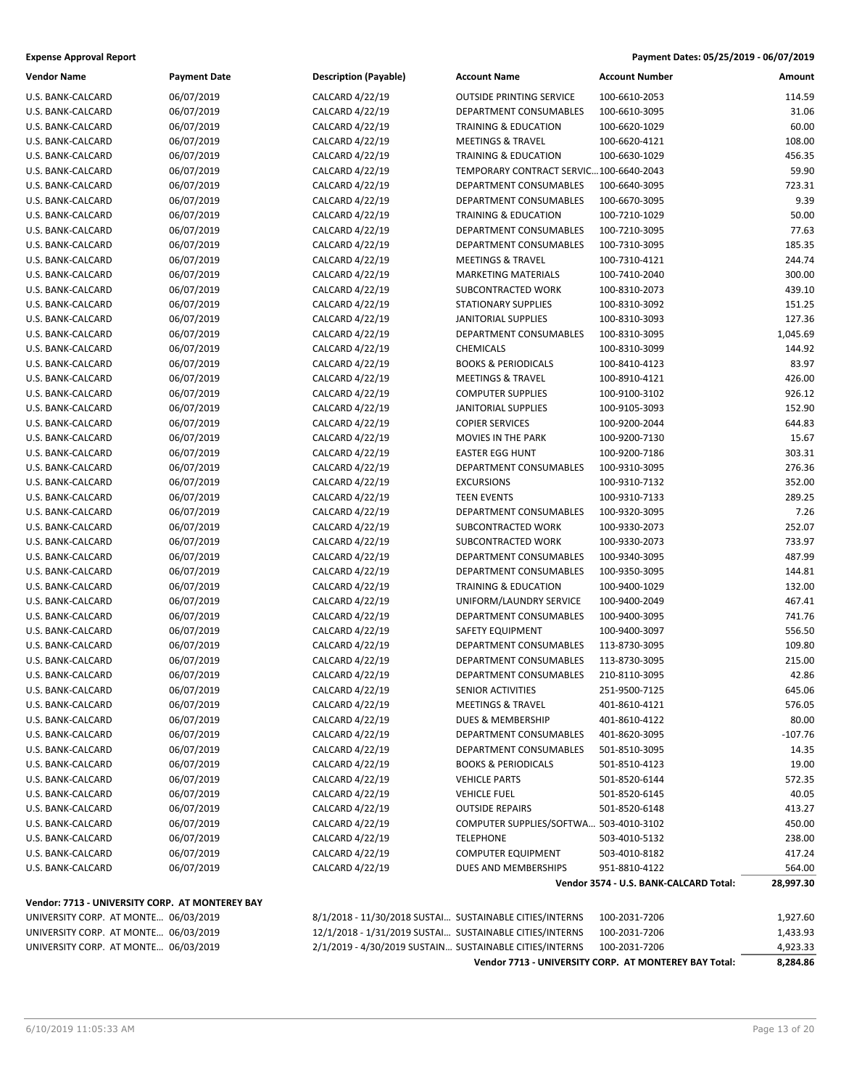| Payment Dates: 05/25/2019 - 06/07/2019 |
|----------------------------------------|
|                                        |

| <b>Vendor Name</b>                              | <b>Payment Date</b> | <b>Description (Payable)</b>                            | <b>Account Name</b>                    | <b>Account Number</b>                  | Amount    |
|-------------------------------------------------|---------------------|---------------------------------------------------------|----------------------------------------|----------------------------------------|-----------|
| U.S. BANK-CALCARD                               | 06/07/2019          | CALCARD 4/22/19                                         | <b>OUTSIDE PRINTING SERVICE</b>        | 100-6610-2053                          | 114.59    |
| U.S. BANK-CALCARD                               | 06/07/2019          | CALCARD 4/22/19                                         | DEPARTMENT CONSUMABLES                 | 100-6610-3095                          | 31.06     |
| U.S. BANK-CALCARD                               | 06/07/2019          | CALCARD 4/22/19                                         | <b>TRAINING &amp; EDUCATION</b>        | 100-6620-1029                          | 60.00     |
| U.S. BANK-CALCARD                               | 06/07/2019          | CALCARD 4/22/19                                         | <b>MEETINGS &amp; TRAVEL</b>           | 100-6620-4121                          | 108.00    |
| U.S. BANK-CALCARD                               | 06/07/2019          | CALCARD 4/22/19                                         | <b>TRAINING &amp; EDUCATION</b>        | 100-6630-1029                          | 456.35    |
| U.S. BANK-CALCARD                               | 06/07/2019          | CALCARD 4/22/19                                         | TEMPORARY CONTRACT SERVIC100-6640-2043 |                                        | 59.90     |
| U.S. BANK-CALCARD                               | 06/07/2019          | CALCARD 4/22/19                                         | DEPARTMENT CONSUMABLES                 | 100-6640-3095                          | 723.31    |
| U.S. BANK-CALCARD                               | 06/07/2019          | CALCARD 4/22/19                                         | DEPARTMENT CONSUMABLES                 | 100-6670-3095                          | 9.39      |
| U.S. BANK-CALCARD                               | 06/07/2019          | CALCARD 4/22/19                                         | <b>TRAINING &amp; EDUCATION</b>        | 100-7210-1029                          | 50.00     |
| U.S. BANK-CALCARD                               | 06/07/2019          | CALCARD 4/22/19                                         | DEPARTMENT CONSUMABLES                 | 100-7210-3095                          | 77.63     |
| U.S. BANK-CALCARD                               | 06/07/2019          | CALCARD 4/22/19                                         | DEPARTMENT CONSUMABLES                 | 100-7310-3095                          | 185.35    |
| U.S. BANK-CALCARD                               | 06/07/2019          | CALCARD 4/22/19                                         | <b>MEETINGS &amp; TRAVEL</b>           | 100-7310-4121                          | 244.74    |
| U.S. BANK-CALCARD                               | 06/07/2019          | CALCARD 4/22/19                                         | <b>MARKETING MATERIALS</b>             | 100-7410-2040                          | 300.00    |
| U.S. BANK-CALCARD                               | 06/07/2019          | CALCARD 4/22/19                                         | SUBCONTRACTED WORK                     | 100-8310-2073                          | 439.10    |
| U.S. BANK-CALCARD                               | 06/07/2019          | CALCARD 4/22/19                                         | <b>STATIONARY SUPPLIES</b>             | 100-8310-3092                          | 151.25    |
| U.S. BANK-CALCARD                               | 06/07/2019          | CALCARD 4/22/19                                         | JANITORIAL SUPPLIES                    | 100-8310-3093                          | 127.36    |
| U.S. BANK-CALCARD                               | 06/07/2019          | CALCARD 4/22/19                                         | DEPARTMENT CONSUMABLES                 | 100-8310-3095                          | 1,045.69  |
| U.S. BANK-CALCARD                               | 06/07/2019          | CALCARD 4/22/19                                         | <b>CHEMICALS</b>                       | 100-8310-3099                          | 144.92    |
| U.S. BANK-CALCARD                               | 06/07/2019          | CALCARD 4/22/19                                         | <b>BOOKS &amp; PERIODICALS</b>         | 100-8410-4123                          | 83.97     |
| U.S. BANK-CALCARD                               | 06/07/2019          | CALCARD 4/22/19                                         | <b>MEETINGS &amp; TRAVEL</b>           | 100-8910-4121                          | 426.00    |
| U.S. BANK-CALCARD                               | 06/07/2019          | CALCARD 4/22/19                                         | <b>COMPUTER SUPPLIES</b>               | 100-9100-3102                          | 926.12    |
| U.S. BANK-CALCARD                               | 06/07/2019          | CALCARD 4/22/19                                         | JANITORIAL SUPPLIES                    | 100-9105-3093                          | 152.90    |
| U.S. BANK-CALCARD                               | 06/07/2019          | CALCARD 4/22/19                                         | <b>COPIER SERVICES</b>                 | 100-9200-2044                          | 644.83    |
| U.S. BANK-CALCARD                               | 06/07/2019          | CALCARD 4/22/19                                         | <b>MOVIES IN THE PARK</b>              | 100-9200-7130                          | 15.67     |
| U.S. BANK-CALCARD                               | 06/07/2019          | CALCARD 4/22/19                                         | <b>EASTER EGG HUNT</b>                 | 100-9200-7186                          | 303.31    |
| U.S. BANK-CALCARD                               | 06/07/2019          | CALCARD 4/22/19                                         | DEPARTMENT CONSUMABLES                 | 100-9310-3095                          | 276.36    |
| U.S. BANK-CALCARD                               | 06/07/2019          | CALCARD 4/22/19                                         | <b>EXCURSIONS</b>                      | 100-9310-7132                          | 352.00    |
| U.S. BANK-CALCARD                               | 06/07/2019          | CALCARD 4/22/19                                         | <b>TEEN EVENTS</b>                     | 100-9310-7133                          | 289.25    |
| U.S. BANK-CALCARD                               | 06/07/2019          | CALCARD 4/22/19                                         | DEPARTMENT CONSUMABLES                 | 100-9320-3095                          | 7.26      |
| U.S. BANK-CALCARD                               | 06/07/2019          | CALCARD 4/22/19                                         | SUBCONTRACTED WORK                     | 100-9330-2073                          | 252.07    |
| U.S. BANK-CALCARD                               | 06/07/2019          | CALCARD 4/22/19                                         | SUBCONTRACTED WORK                     | 100-9330-2073                          | 733.97    |
| U.S. BANK-CALCARD                               | 06/07/2019          | CALCARD 4/22/19                                         | DEPARTMENT CONSUMABLES                 | 100-9340-3095                          | 487.99    |
| U.S. BANK-CALCARD                               | 06/07/2019          | CALCARD 4/22/19                                         | DEPARTMENT CONSUMABLES                 | 100-9350-3095                          | 144.81    |
| U.S. BANK-CALCARD                               | 06/07/2019          | CALCARD 4/22/19                                         | <b>TRAINING &amp; EDUCATION</b>        | 100-9400-1029                          | 132.00    |
| U.S. BANK-CALCARD                               | 06/07/2019          | CALCARD 4/22/19                                         | UNIFORM/LAUNDRY SERVICE                | 100-9400-2049                          | 467.41    |
| U.S. BANK-CALCARD                               | 06/07/2019          | CALCARD 4/22/19                                         | DEPARTMENT CONSUMABLES                 | 100-9400-3095                          | 741.76    |
| U.S. BANK-CALCARD                               | 06/07/2019          | CALCARD 4/22/19                                         | SAFETY EQUIPMENT                       | 100-9400-3097                          | 556.50    |
| U.S. BANK-CALCARD                               | 06/07/2019          | CALCARD 4/22/19                                         | DEPARTMENT CONSUMABLES                 | 113-8730-3095                          | 109.80    |
| U.S. BANK-CALCARD                               | 06/07/2019          | CALCARD 4/22/19                                         | DEPARTMENT CONSUMABLES                 | 113-8730-3095                          | 215.00    |
| U.S. BANK-CALCARD                               | 06/07/2019          | CALCARD 4/22/19                                         | DEPARTMENT CONSUMABLES                 | 210-8110-3095                          | 42.86     |
| U.S. BANK-CALCARD                               | 06/07/2019          | CALCARD 4/22/19                                         | SENIOR ACTIVITIES                      | 251-9500-7125                          | 645.06    |
| U.S. BANK-CALCARD                               | 06/07/2019          | CALCARD 4/22/19                                         | <b>MEETINGS &amp; TRAVEL</b>           | 401-8610-4121                          | 576.05    |
| U.S. BANK-CALCARD                               | 06/07/2019          | CALCARD 4/22/19                                         | DUES & MEMBERSHIP                      | 401-8610-4122                          | 80.00     |
| U.S. BANK-CALCARD                               | 06/07/2019          | CALCARD 4/22/19                                         | DEPARTMENT CONSUMABLES                 | 401-8620-3095                          | $-107.76$ |
| U.S. BANK-CALCARD                               | 06/07/2019          | CALCARD 4/22/19                                         | DEPARTMENT CONSUMABLES                 | 501-8510-3095                          | 14.35     |
| U.S. BANK-CALCARD                               | 06/07/2019          | CALCARD 4/22/19                                         | <b>BOOKS &amp; PERIODICALS</b>         | 501-8510-4123                          | 19.00     |
| U.S. BANK-CALCARD                               | 06/07/2019          | CALCARD 4/22/19                                         | <b>VEHICLE PARTS</b>                   | 501-8520-6144                          | 572.35    |
| U.S. BANK-CALCARD                               | 06/07/2019          | CALCARD 4/22/19                                         | <b>VEHICLE FUEL</b>                    | 501-8520-6145                          | 40.05     |
| U.S. BANK-CALCARD                               | 06/07/2019          | CALCARD 4/22/19                                         | <b>OUTSIDE REPAIRS</b>                 | 501-8520-6148                          | 413.27    |
| U.S. BANK-CALCARD                               | 06/07/2019          | CALCARD 4/22/19                                         | COMPUTER SUPPLIES/SOFTWA 503-4010-3102 |                                        | 450.00    |
| U.S. BANK-CALCARD                               | 06/07/2019          | CALCARD 4/22/19                                         | <b>TELEPHONE</b>                       | 503-4010-5132                          | 238.00    |
| U.S. BANK-CALCARD                               | 06/07/2019          | CALCARD 4/22/19                                         | <b>COMPUTER EQUIPMENT</b>              | 503-4010-8182                          | 417.24    |
| U.S. BANK-CALCARD                               | 06/07/2019          | CALCARD 4/22/19                                         | DUES AND MEMBERSHIPS                   | 951-8810-4122                          | 564.00    |
|                                                 |                     |                                                         |                                        | Vendor 3574 - U.S. BANK-CALCARD Total: | 28,997.30 |
| Vendor: 7713 - UNIVERSITY CORP. AT MONTEREY BAY |                     |                                                         |                                        |                                        |           |
| UNIVERSITY CORP. AT MONTE 06/03/2019            |                     | 8/1/2018 - 11/30/2018 SUSTAI SUSTAINABLE CITIES/INTERNS |                                        | 100-2031-7206                          | 1,927.60  |
| UNIVERSITY CORP. AT MONTE 06/03/2019            |                     | 12/1/2018 - 1/31/2019 SUSTAI SUSTAINABLE CITIES/INTERNS |                                        | 100-2031-7206                          | 1,433.93  |

|  | UNIVERSITY CORP. AT MONTE 06/03/20 |  |
|--|------------------------------------|--|

UNIVERSITY CORP. AT MONTE… 06/03/2019 2/1/2019 - 4/30/2019 SUSTAIN… SUSTAINABLE CITIES/INTERNS 100-2031-7206 4,923.33 **Vendor 7713 - UNIVERSITY CORP. AT MONTEREY BAY Total: 8,284.86**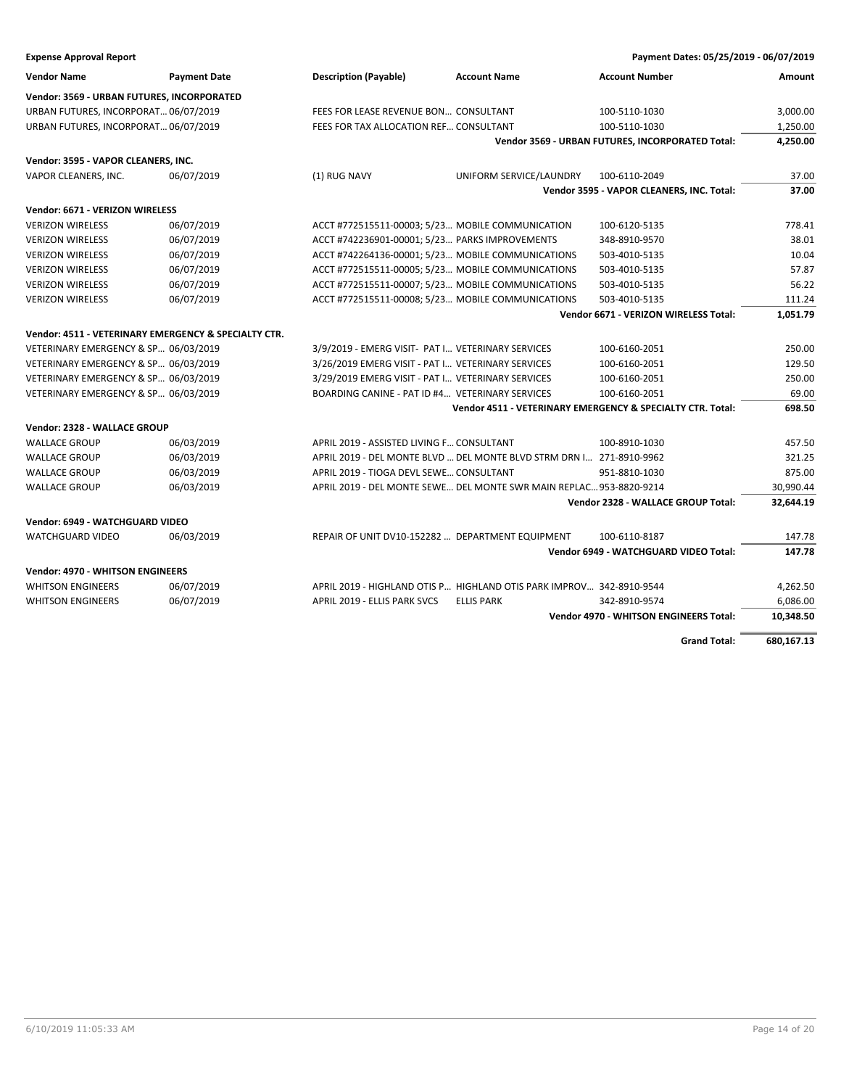| <b>Expense Approval Report</b>                       |                     |                                                   |                                                                      | Payment Dates: 05/25/2019 - 06/07/2019                     |                       |
|------------------------------------------------------|---------------------|---------------------------------------------------|----------------------------------------------------------------------|------------------------------------------------------------|-----------------------|
| <b>Vendor Name</b>                                   | <b>Payment Date</b> | <b>Description (Payable)</b>                      | <b>Account Name</b>                                                  | <b>Account Number</b>                                      | Amount                |
| Vendor: 3569 - URBAN FUTURES, INCORPORATED           |                     |                                                   |                                                                      |                                                            |                       |
| URBAN FUTURES, INCORPORAT 06/07/2019                 |                     | FEES FOR LEASE REVENUE BON CONSULTANT             |                                                                      | 100-5110-1030                                              | 3,000.00              |
| URBAN FUTURES, INCORPORAT 06/07/2019                 |                     | FEES FOR TAX ALLOCATION REF CONSULTANT            |                                                                      | 100-5110-1030                                              | 1,250.00              |
|                                                      |                     |                                                   |                                                                      | Vendor 3569 - URBAN FUTURES, INCORPORATED Total:           | 4,250.00              |
| Vendor: 3595 - VAPOR CLEANERS, INC.                  |                     |                                                   |                                                                      |                                                            |                       |
| VAPOR CLEANERS, INC.                                 | 06/07/2019          | (1) RUG NAVY                                      | UNIFORM SERVICE/LAUNDRY                                              | 100-6110-2049                                              | 37.00                 |
|                                                      |                     |                                                   |                                                                      | Vendor 3595 - VAPOR CLEANERS, INC. Total:                  | 37.00                 |
| Vendor: 6671 - VERIZON WIRELESS                      |                     |                                                   |                                                                      |                                                            |                       |
| <b>VERIZON WIRELESS</b>                              | 06/07/2019          | ACCT #772515511-00003; 5/23 MOBILE COMMUNICATION  |                                                                      | 100-6120-5135                                              | 778.41                |
| <b>VERIZON WIRELESS</b>                              | 06/07/2019          | ACCT #742236901-00001; 5/23 PARKS IMPROVEMENTS    |                                                                      | 348-8910-9570                                              | 38.01                 |
| <b>VERIZON WIRELESS</b>                              | 06/07/2019          | ACCT #742264136-00001; 5/23 MOBILE COMMUNICATIONS |                                                                      | 503-4010-5135                                              | 10.04                 |
| <b>VERIZON WIRELESS</b>                              | 06/07/2019          | ACCT #772515511-00005; 5/23 MOBILE COMMUNICATIONS |                                                                      | 503-4010-5135                                              | 57.87                 |
| <b>VERIZON WIRELESS</b>                              | 06/07/2019          | ACCT #772515511-00007; 5/23 MOBILE COMMUNICATIONS |                                                                      | 503-4010-5135                                              | 56.22                 |
| <b>VERIZON WIRELESS</b>                              | 06/07/2019          | ACCT #772515511-00008; 5/23 MOBILE COMMUNICATIONS |                                                                      | 503-4010-5135                                              | 111.24                |
|                                                      |                     |                                                   |                                                                      | Vendor 6671 - VERIZON WIRELESS Total:                      | 1,051.79              |
| Vendor: 4511 - VETERINARY EMERGENCY & SPECIALTY CTR. |                     |                                                   |                                                                      |                                                            |                       |
| VETERINARY EMERGENCY & SP 06/03/2019                 |                     | 3/9/2019 - EMERG VISIT- PAT I VETERINARY SERVICES |                                                                      | 100-6160-2051                                              | 250.00                |
| VETERINARY EMERGENCY & SP 06/03/2019                 |                     | 3/26/2019 EMERG VISIT - PAT I VETERINARY SERVICES |                                                                      | 100-6160-2051                                              | 129.50                |
| VETERINARY EMERGENCY & SP 06/03/2019                 |                     | 3/29/2019 EMERG VISIT - PAT I VETERINARY SERVICES |                                                                      | 100-6160-2051                                              | 250.00                |
| VETERINARY EMERGENCY & SP 06/03/2019                 |                     | BOARDING CANINE - PAT ID #4 VETERINARY SERVICES   |                                                                      | 100-6160-2051                                              | 69.00                 |
|                                                      |                     |                                                   |                                                                      | Vendor 4511 - VETERINARY EMERGENCY & SPECIALTY CTR. Total: | 698.50                |
| Vendor: 2328 - WALLACE GROUP                         |                     |                                                   |                                                                      |                                                            |                       |
| <b>WALLACE GROUP</b>                                 | 06/03/2019          | APRIL 2019 - ASSISTED LIVING F CONSULTANT         |                                                                      | 100-8910-1030                                              | 457.50                |
| <b>WALLACE GROUP</b>                                 | 06/03/2019          |                                                   | APRIL 2019 - DEL MONTE BLVD  DEL MONTE BLVD STRM DRN I 271-8910-9962 |                                                            | 321.25                |
| <b>WALLACE GROUP</b>                                 | 06/03/2019          | APRIL 2019 - TIOGA DEVL SEWE CONSULTANT           |                                                                      | 951-8810-1030                                              | 875.00                |
| <b>WALLACE GROUP</b>                                 | 06/03/2019          |                                                   | APRIL 2019 - DEL MONTE SEWE DEL MONTE SWR MAIN REPLAC 953-8820-9214  |                                                            | 30,990.44             |
|                                                      |                     |                                                   |                                                                      | Vendor 2328 - WALLACE GROUP Total:                         | 32,644.19             |
| Vendor: 6949 - WATCHGUARD VIDEO                      |                     |                                                   |                                                                      |                                                            |                       |
| <b>WATCHGUARD VIDEO</b>                              | 06/03/2019          | REPAIR OF UNIT DV10-152282  DEPARTMENT EQUIPMENT  |                                                                      | 100-6110-8187                                              | 147.78                |
|                                                      |                     |                                                   |                                                                      | Vendor 6949 - WATCHGUARD VIDEO Total:                      | 147.78                |
| Vendor: 4970 - WHITSON ENGINEERS                     |                     |                                                   |                                                                      |                                                            |                       |
| <b>WHITSON ENGINEERS</b>                             | 06/07/2019          |                                                   | APRIL 2019 - HIGHLAND OTIS P HIGHLAND OTIS PARK IMPROV 342-8910-9544 |                                                            | 4,262.50              |
| <b>WHITSON ENGINEERS</b>                             | 06/07/2019          | APRIL 2019 - ELLIS PARK SVCS                      | <b>ELLIS PARK</b>                                                    | 342-8910-9574                                              |                       |
|                                                      |                     |                                                   |                                                                      | <b>Vendor 4970 - WHITSON ENGINEERS Total:</b>              | 6,086.00<br>10,348.50 |
|                                                      |                     |                                                   |                                                                      |                                                            |                       |
|                                                      |                     |                                                   |                                                                      | <b>Grand Total:</b>                                        | 680,167.13            |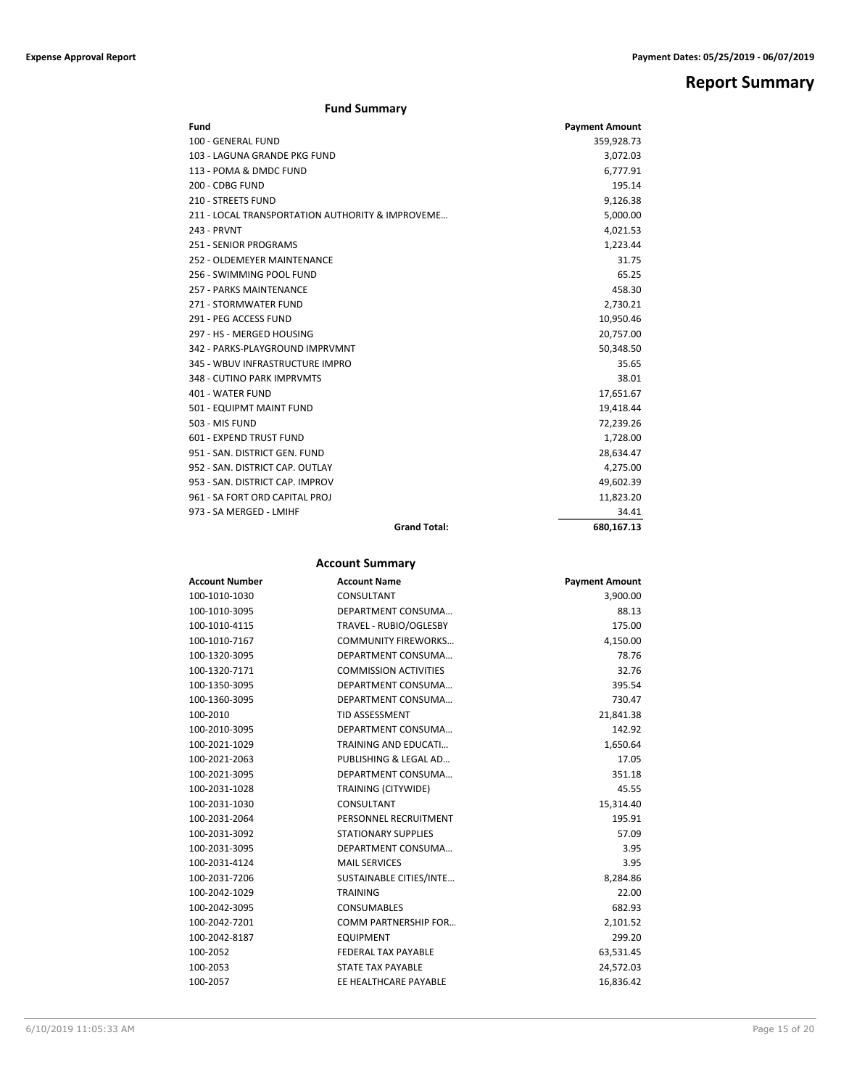## **Report Summary**

#### **Fund Summary**

| Fund                                             | <b>Payment Amount</b> |
|--------------------------------------------------|-----------------------|
| 100 - GENERAL FUND                               | 359,928.73            |
| 103 - LAGUNA GRANDE PKG FUND                     | 3,072.03              |
| 113 - POMA & DMDC FUND                           | 6,777.91              |
| 200 - CDBG FUND                                  | 195.14                |
| <b>210 - STREETS FUND</b>                        | 9,126.38              |
| 211 - LOCAL TRANSPORTATION AUTHORITY & IMPROVEME | 5,000.00              |
| 243 - PRVNT                                      | 4,021.53              |
| 251 - SENIOR PROGRAMS                            | 1,223.44              |
| 252 - OLDEMEYER MAINTENANCE                      | 31.75                 |
| 256 - SWIMMING POOL FUND                         | 65.25                 |
| 257 - PARKS MAINTENANCE                          | 458.30                |
| 271 - STORMWATER FUND                            | 2,730.21              |
| 291 - PEG ACCESS FUND                            | 10,950.46             |
| 297 - HS - MERGED HOUSING                        | 20,757.00             |
| 342 - PARKS-PLAYGROUND IMPRVMNT                  | 50,348.50             |
| 345 - WBUV INFRASTRUCTURE IMPRO                  | 35.65                 |
| 348 - CUTINO PARK IMPRVMTS                       | 38.01                 |
| 401 - WATER FUND                                 | 17,651.67             |
| 501 - EQUIPMT MAINT FUND                         | 19,418.44             |
| 503 - MIS FUND                                   | 72,239.26             |
| 601 - EXPEND TRUST FUND                          | 1,728.00              |
| 951 - SAN, DISTRICT GEN, FUND                    | 28,634.47             |
| 952 - SAN. DISTRICT CAP. OUTLAY                  | 4,275.00              |
| 953 - SAN, DISTRICT CAP, IMPROV                  | 49,602.39             |
| 961 - SA FORT ORD CAPITAL PROJ                   | 11,823.20             |
| 973 - SA MERGED - LMIHF                          | 34.41                 |
| <b>Grand Total:</b>                              | 680,167.13            |

#### **Account Summary**

| <b>Account Number</b> | <b>Account Name</b>          | <b>Payment Amount</b> |
|-----------------------|------------------------------|-----------------------|
| 100-1010-1030         | CONSULTANT                   | 3,900.00              |
| 100-1010-3095         | DEPARTMENT CONSUMA           | 88.13                 |
| 100-1010-4115         | TRAVEL - RUBIO/OGLESBY       | 175.00                |
| 100-1010-7167         | <b>COMMUNITY FIREWORKS</b>   | 4,150.00              |
| 100-1320-3095         | DEPARTMENT CONSUMA           | 78.76                 |
| 100-1320-7171         | <b>COMMISSION ACTIVITIES</b> | 32.76                 |
| 100-1350-3095         | DEPARTMENT CONSUMA           | 395.54                |
| 100-1360-3095         | DEPARTMENT CONSUMA           | 730.47                |
| 100-2010              | <b>TID ASSESSMENT</b>        | 21,841.38             |
| 100-2010-3095         | DEPARTMENT CONSUMA           | 142.92                |
| 100-2021-1029         | <b>TRAINING AND EDUCATI</b>  | 1,650.64              |
| 100-2021-2063         | PUBLISHING & LEGAL AD        | 17.05                 |
| 100-2021-3095         | DEPARTMENT CONSUMA           | 351.18                |
| 100-2031-1028         | TRAINING (CITYWIDE)          | 45.55                 |
| 100-2031-1030         | CONSULTANT                   | 15,314.40             |
| 100-2031-2064         | PERSONNEL RECRUITMENT        | 195.91                |
| 100-2031-3092         | <b>STATIONARY SUPPLIES</b>   | 57.09                 |
| 100-2031-3095         | DEPARTMENT CONSUMA           | 3.95                  |
| 100-2031-4124         | <b>MAIL SERVICES</b>         | 3.95                  |
| 100-2031-7206         | SUSTAINABLE CITIES/INTE      | 8,284.86              |
| 100-2042-1029         | <b>TRAINING</b>              | 22.00                 |
| 100-2042-3095         | <b>CONSUMABLES</b>           | 682.93                |
| 100-2042-7201         | <b>COMM PARTNERSHIP FOR</b>  | 2,101.52              |
| 100-2042-8187         | <b>EQUIPMENT</b>             | 299.20                |
| 100-2052              | <b>FEDERAL TAX PAYABLE</b>   | 63,531.45             |
| 100-2053              | <b>STATE TAX PAYABLE</b>     | 24,572.03             |
| 100-2057              | EE HEALTHCARE PAYABLE        | 16,836.42             |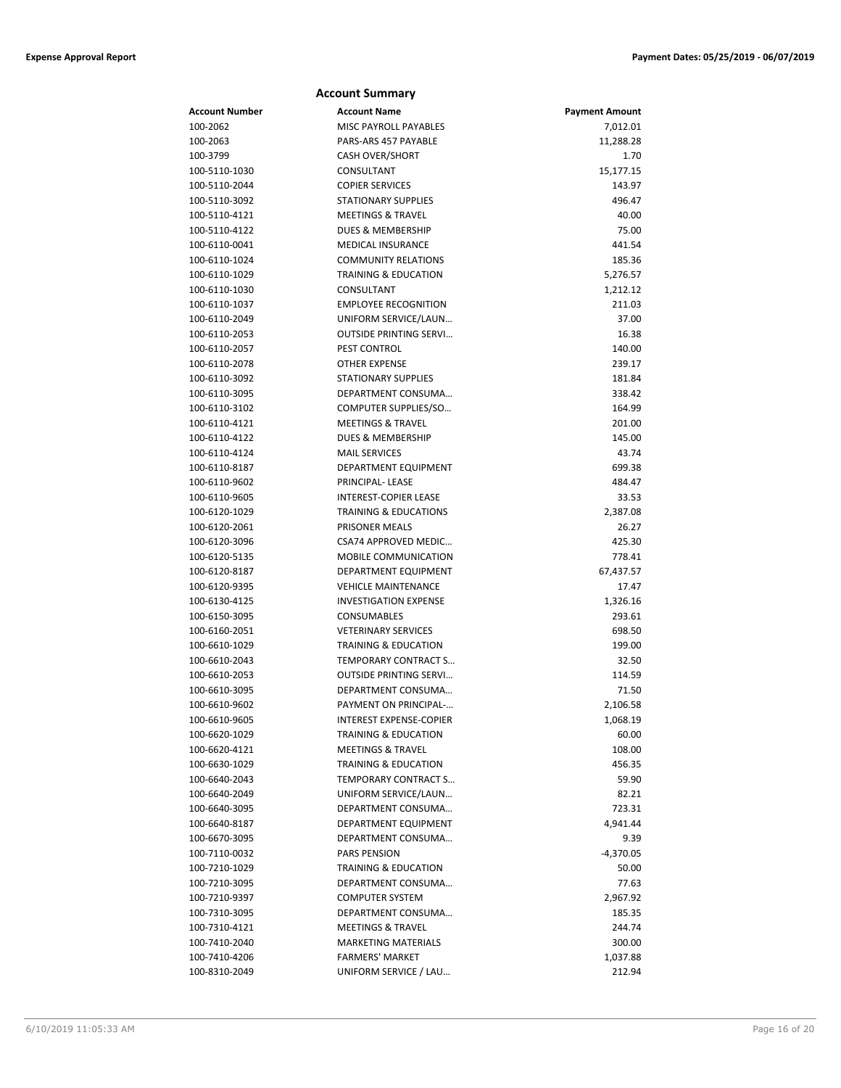|                                | <b>Account Summary</b>                                        |                       |
|--------------------------------|---------------------------------------------------------------|-----------------------|
| Account Number                 | <b>Account Name</b>                                           | <b>Payment Amount</b> |
| 100-2062                       | MISC PAYROLL PAYABLES                                         | 7,012.01              |
| 100-2063                       | PARS-ARS 457 PAYABLE                                          | 11,288.28             |
| 100-3799                       | <b>CASH OVER/SHORT</b>                                        | 1.70                  |
| 100-5110-1030                  | CONSULTANT                                                    | 15,177.15             |
| 100-5110-2044                  | <b>COPIER SERVICES</b>                                        | 143.97                |
| 100-5110-3092                  | <b>STATIONARY SUPPLIES</b>                                    | 496.47                |
| 100-5110-4121                  | <b>MEETINGS &amp; TRAVEL</b>                                  | 40.00                 |
| 100-5110-4122                  | <b>DUES &amp; MEMBERSHIP</b>                                  | 75.00                 |
| 100-6110-0041                  | <b>MEDICAL INSURANCE</b>                                      | 441.54                |
| 100-6110-1024                  | <b>COMMUNITY RELATIONS</b>                                    | 185.36                |
| 100-6110-1029                  | <b>TRAINING &amp; EDUCATION</b>                               | 5,276.57              |
| 100-6110-1030                  | CONSULTANT                                                    | 1,212.12              |
| 100-6110-1037                  | <b>EMPLOYEE RECOGNITION</b>                                   | 211.03                |
| 100-6110-2049                  | UNIFORM SERVICE/LAUN                                          | 37.00                 |
| 100-6110-2053                  | <b>OUTSIDE PRINTING SERVI</b>                                 | 16.38                 |
| 100-6110-2057                  | PEST CONTROL                                                  | 140.00                |
| 100-6110-2078                  | <b>OTHER EXPENSE</b>                                          | 239.17                |
| 100-6110-3092                  | <b>STATIONARY SUPPLIES</b>                                    | 181.84                |
| 100-6110-3095                  | DEPARTMENT CONSUMA                                            | 338.42                |
| 100-6110-3102                  | COMPUTER SUPPLIES/SO                                          | 164.99                |
| 100-6110-4121                  | <b>MEETINGS &amp; TRAVEL</b>                                  | 201.00                |
| 100-6110-4122                  | <b>DUES &amp; MEMBERSHIP</b>                                  | 145.00                |
| 100-6110-4124                  | <b>MAIL SERVICES</b>                                          | 43.74                 |
| 100-6110-8187                  | DEPARTMENT EQUIPMENT                                          | 699.38                |
| 100-6110-9602                  | PRINCIPAL-LEASE                                               | 484.47                |
| 100-6110-9605                  | <b>INTEREST-COPIER LEASE</b>                                  | 33.53                 |
| 100-6120-1029                  | <b>TRAINING &amp; EDUCATIONS</b>                              | 2,387.08              |
| 100-6120-2061                  | <b>PRISONER MEALS</b>                                         | 26.27                 |
| 100-6120-3096                  | CSA74 APPROVED MEDIC                                          | 425.30                |
| 100-6120-5135                  | <b>MOBILE COMMUNICATION</b>                                   | 778.41                |
| 100-6120-8187                  | DEPARTMENT EQUIPMENT                                          | 67,437.57             |
| 100-6120-9395                  | <b>VEHICLE MAINTENANCE</b>                                    | 17.47                 |
| 100-6130-4125<br>100-6150-3095 | <b>INVESTIGATION EXPENSE</b><br><b>CONSUMABLES</b>            | 1,326.16<br>293.61    |
|                                |                                                               |                       |
| 100-6160-2051<br>100-6610-1029 | <b>VETERINARY SERVICES</b><br><b>TRAINING &amp; EDUCATION</b> | 698.50<br>199.00      |
| 100-6610-2043                  | <b>TEMPORARY CONTRACT S</b>                                   | 32.50                 |
| 100-6610-2053                  | <b>OUTSIDE PRINTING SERVI</b>                                 | 114.59                |
| 100-6610-3095                  | DEPARTMENT CONSUMA                                            | 71.50                 |
| 100-6610-9602                  | PAYMENT ON PRINCIPAL-                                         | 2,106.58              |
| 100-6610-9605                  | INTEREST EXPENSE-COPIER                                       | 1,068.19              |
| 100-6620-1029                  | <b>TRAINING &amp; EDUCATION</b>                               | 60.00                 |
| 100-6620-4121                  | <b>MEETINGS &amp; TRAVEL</b>                                  | 108.00                |
| 100-6630-1029                  | <b>TRAINING &amp; EDUCATION</b>                               | 456.35                |
| 100-6640-2043                  | TEMPORARY CONTRACT S                                          | 59.90                 |
| 100-6640-2049                  | UNIFORM SERVICE/LAUN                                          | 82.21                 |
| 100-6640-3095                  | DEPARTMENT CONSUMA                                            | 723.31                |
| 100-6640-8187                  | DEPARTMENT EQUIPMENT                                          | 4,941.44              |
| 100-6670-3095                  | DEPARTMENT CONSUMA                                            | 9.39                  |
| 100-7110-0032                  | PARS PENSION                                                  | $-4,370.05$           |
| 100-7210-1029                  | <b>TRAINING &amp; EDUCATION</b>                               | 50.00                 |
| 100-7210-3095                  | DEPARTMENT CONSUMA                                            | 77.63                 |
| 100-7210-9397                  | <b>COMPUTER SYSTEM</b>                                        | 2,967.92              |
| 100-7310-3095                  | DEPARTMENT CONSUMA                                            | 185.35                |
| 100-7310-4121                  | <b>MEETINGS &amp; TRAVEL</b>                                  | 244.74                |
| 100-7410-2040                  | <b>MARKETING MATERIALS</b>                                    | 300.00                |
| 100-7410-4206                  | <b>FARMERS' MARKET</b>                                        | 1,037.88              |
| 100-8310-2049                  | UNIFORM SERVICE / LAU                                         | 212.94                |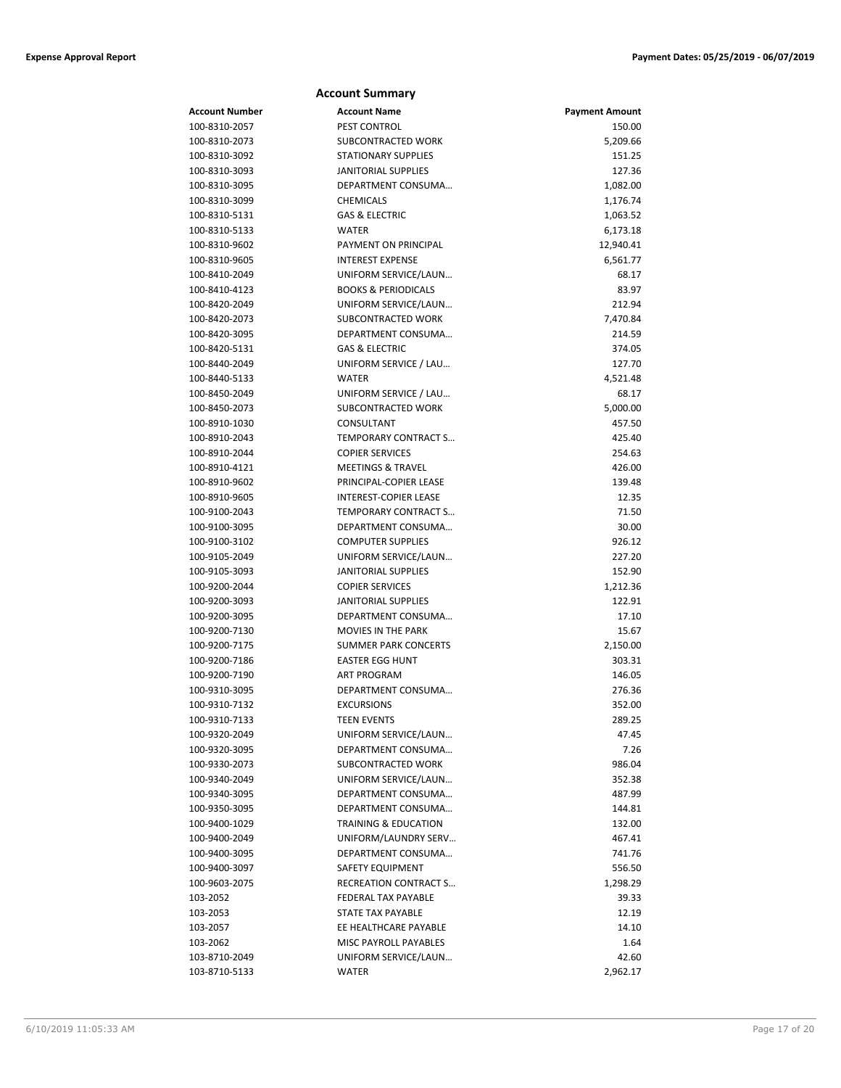| <b>Account Summary</b>         |                                                                                                                                                                                                                                                                                                                                                                                                                                                                                                                                                                                                                                                                                            |
|--------------------------------|--------------------------------------------------------------------------------------------------------------------------------------------------------------------------------------------------------------------------------------------------------------------------------------------------------------------------------------------------------------------------------------------------------------------------------------------------------------------------------------------------------------------------------------------------------------------------------------------------------------------------------------------------------------------------------------------|
| <b>Account Name</b>            | <b>Payment Amount</b>                                                                                                                                                                                                                                                                                                                                                                                                                                                                                                                                                                                                                                                                      |
| <b>PEST CONTROL</b>            | 150.00                                                                                                                                                                                                                                                                                                                                                                                                                                                                                                                                                                                                                                                                                     |
| SUBCONTRACTED WORK             | 5,209.66                                                                                                                                                                                                                                                                                                                                                                                                                                                                                                                                                                                                                                                                                   |
| <b>STATIONARY SUPPLIES</b>     | 151.25                                                                                                                                                                                                                                                                                                                                                                                                                                                                                                                                                                                                                                                                                     |
| <b>JANITORIAL SUPPLIES</b>     | 127.36                                                                                                                                                                                                                                                                                                                                                                                                                                                                                                                                                                                                                                                                                     |
| DEPARTMENT CONSUMA             | 1,082.00                                                                                                                                                                                                                                                                                                                                                                                                                                                                                                                                                                                                                                                                                   |
| <b>CHEMICALS</b>               | 1,176.74                                                                                                                                                                                                                                                                                                                                                                                                                                                                                                                                                                                                                                                                                   |
| <b>GAS &amp; ELECTRIC</b>      | 1,063.52                                                                                                                                                                                                                                                                                                                                                                                                                                                                                                                                                                                                                                                                                   |
| <b>WATER</b>                   | 6,173.18                                                                                                                                                                                                                                                                                                                                                                                                                                                                                                                                                                                                                                                                                   |
| PAYMENT ON PRINCIPAL           | 12,940.41                                                                                                                                                                                                                                                                                                                                                                                                                                                                                                                                                                                                                                                                                  |
| <b>INTEREST EXPENSE</b>        | 6,561.77                                                                                                                                                                                                                                                                                                                                                                                                                                                                                                                                                                                                                                                                                   |
| UNIFORM SERVICE/LAUN           | 68.17                                                                                                                                                                                                                                                                                                                                                                                                                                                                                                                                                                                                                                                                                      |
| <b>BOOKS &amp; PERIODICALS</b> | 83.97                                                                                                                                                                                                                                                                                                                                                                                                                                                                                                                                                                                                                                                                                      |
| UNIFORM SERVICE/LAUN           | 212.94                                                                                                                                                                                                                                                                                                                                                                                                                                                                                                                                                                                                                                                                                     |
| SUBCONTRACTED WORK             | 7,470.84                                                                                                                                                                                                                                                                                                                                                                                                                                                                                                                                                                                                                                                                                   |
| DEPARTMENT CONSUMA             | 214.59                                                                                                                                                                                                                                                                                                                                                                                                                                                                                                                                                                                                                                                                                     |
| <b>GAS &amp; ELECTRIC</b>      | 374.05                                                                                                                                                                                                                                                                                                                                                                                                                                                                                                                                                                                                                                                                                     |
| UNIFORM SERVICE / LAU          | 127.70                                                                                                                                                                                                                                                                                                                                                                                                                                                                                                                                                                                                                                                                                     |
| WATER                          | 4,521.48                                                                                                                                                                                                                                                                                                                                                                                                                                                                                                                                                                                                                                                                                   |
| UNIFORM SERVICE / LAU          | 68.17                                                                                                                                                                                                                                                                                                                                                                                                                                                                                                                                                                                                                                                                                      |
| SUBCONTRACTED WORK             | 5,000.00                                                                                                                                                                                                                                                                                                                                                                                                                                                                                                                                                                                                                                                                                   |
| CONSULTANT                     | 457.50                                                                                                                                                                                                                                                                                                                                                                                                                                                                                                                                                                                                                                                                                     |
| TEMPORARY CONTRACT S           | 425.40                                                                                                                                                                                                                                                                                                                                                                                                                                                                                                                                                                                                                                                                                     |
| <b>COPIER SERVICES</b>         | 254.63                                                                                                                                                                                                                                                                                                                                                                                                                                                                                                                                                                                                                                                                                     |
|                                | 426.00                                                                                                                                                                                                                                                                                                                                                                                                                                                                                                                                                                                                                                                                                     |
|                                | 139.48                                                                                                                                                                                                                                                                                                                                                                                                                                                                                                                                                                                                                                                                                     |
|                                | 12.35                                                                                                                                                                                                                                                                                                                                                                                                                                                                                                                                                                                                                                                                                      |
|                                | 71.50                                                                                                                                                                                                                                                                                                                                                                                                                                                                                                                                                                                                                                                                                      |
|                                | 30.00                                                                                                                                                                                                                                                                                                                                                                                                                                                                                                                                                                                                                                                                                      |
|                                | 926.12                                                                                                                                                                                                                                                                                                                                                                                                                                                                                                                                                                                                                                                                                     |
|                                | 227.20                                                                                                                                                                                                                                                                                                                                                                                                                                                                                                                                                                                                                                                                                     |
|                                | 152.90                                                                                                                                                                                                                                                                                                                                                                                                                                                                                                                                                                                                                                                                                     |
|                                | 1,212.36                                                                                                                                                                                                                                                                                                                                                                                                                                                                                                                                                                                                                                                                                   |
|                                | 122.91<br>17.10                                                                                                                                                                                                                                                                                                                                                                                                                                                                                                                                                                                                                                                                            |
|                                |                                                                                                                                                                                                                                                                                                                                                                                                                                                                                                                                                                                                                                                                                            |
|                                | 15.67                                                                                                                                                                                                                                                                                                                                                                                                                                                                                                                                                                                                                                                                                      |
|                                | 2,150.00<br>303.31                                                                                                                                                                                                                                                                                                                                                                                                                                                                                                                                                                                                                                                                         |
|                                | 146.05                                                                                                                                                                                                                                                                                                                                                                                                                                                                                                                                                                                                                                                                                     |
|                                | 276.36                                                                                                                                                                                                                                                                                                                                                                                                                                                                                                                                                                                                                                                                                     |
|                                | 352.00                                                                                                                                                                                                                                                                                                                                                                                                                                                                                                                                                                                                                                                                                     |
|                                | 289.25                                                                                                                                                                                                                                                                                                                                                                                                                                                                                                                                                                                                                                                                                     |
|                                | 47.45                                                                                                                                                                                                                                                                                                                                                                                                                                                                                                                                                                                                                                                                                      |
|                                | 7.26                                                                                                                                                                                                                                                                                                                                                                                                                                                                                                                                                                                                                                                                                       |
|                                | 986.04                                                                                                                                                                                                                                                                                                                                                                                                                                                                                                                                                                                                                                                                                     |
|                                | 352.38                                                                                                                                                                                                                                                                                                                                                                                                                                                                                                                                                                                                                                                                                     |
|                                | 487.99                                                                                                                                                                                                                                                                                                                                                                                                                                                                                                                                                                                                                                                                                     |
|                                | 144.81                                                                                                                                                                                                                                                                                                                                                                                                                                                                                                                                                                                                                                                                                     |
|                                | 132.00                                                                                                                                                                                                                                                                                                                                                                                                                                                                                                                                                                                                                                                                                     |
|                                | 467.41                                                                                                                                                                                                                                                                                                                                                                                                                                                                                                                                                                                                                                                                                     |
| DEPARTMENT CONSUMA             | 741.76                                                                                                                                                                                                                                                                                                                                                                                                                                                                                                                                                                                                                                                                                     |
|                                | 556.50                                                                                                                                                                                                                                                                                                                                                                                                                                                                                                                                                                                                                                                                                     |
| RECREATION CONTRACT S          | 1,298.29                                                                                                                                                                                                                                                                                                                                                                                                                                                                                                                                                                                                                                                                                   |
| FEDERAL TAX PAYABLE            | 39.33                                                                                                                                                                                                                                                                                                                                                                                                                                                                                                                                                                                                                                                                                      |
| STATE TAX PAYABLE              | 12.19                                                                                                                                                                                                                                                                                                                                                                                                                                                                                                                                                                                                                                                                                      |
| EE HEALTHCARE PAYABLE          | 14.10                                                                                                                                                                                                                                                                                                                                                                                                                                                                                                                                                                                                                                                                                      |
| MISC PAYROLL PAYABLES          | 1.64                                                                                                                                                                                                                                                                                                                                                                                                                                                                                                                                                                                                                                                                                       |
| UNIFORM SERVICE/LAUN           | 42.60                                                                                                                                                                                                                                                                                                                                                                                                                                                                                                                                                                                                                                                                                      |
| <b>WATER</b>                   | 2,962.17                                                                                                                                                                                                                                                                                                                                                                                                                                                                                                                                                                                                                                                                                   |
|                                | <b>MEETINGS &amp; TRAVEL</b><br>PRINCIPAL-COPIER LEASE<br>INTEREST-COPIER LEASE<br>TEMPORARY CONTRACT S<br>DEPARTMENT CONSUMA<br><b>COMPUTER SUPPLIES</b><br>UNIFORM SERVICE/LAUN<br><b>JANITORIAL SUPPLIES</b><br><b>COPIER SERVICES</b><br><b>JANITORIAL SUPPLIES</b><br>DEPARTMENT CONSUMA<br><b>MOVIES IN THE PARK</b><br><b>SUMMER PARK CONCERTS</b><br><b>EASTER EGG HUNT</b><br><b>ART PROGRAM</b><br>DEPARTMENT CONSUMA<br><b>EXCURSIONS</b><br>TEEN EVENTS<br>UNIFORM SERVICE/LAUN<br>DEPARTMENT CONSUMA<br>SUBCONTRACTED WORK<br>UNIFORM SERVICE/LAUN<br>DEPARTMENT CONSUMA<br>DEPARTMENT CONSUMA<br><b>TRAINING &amp; EDUCATION</b><br>UNIFORM/LAUNDRY SERV<br>SAFETY EQUIPMENT |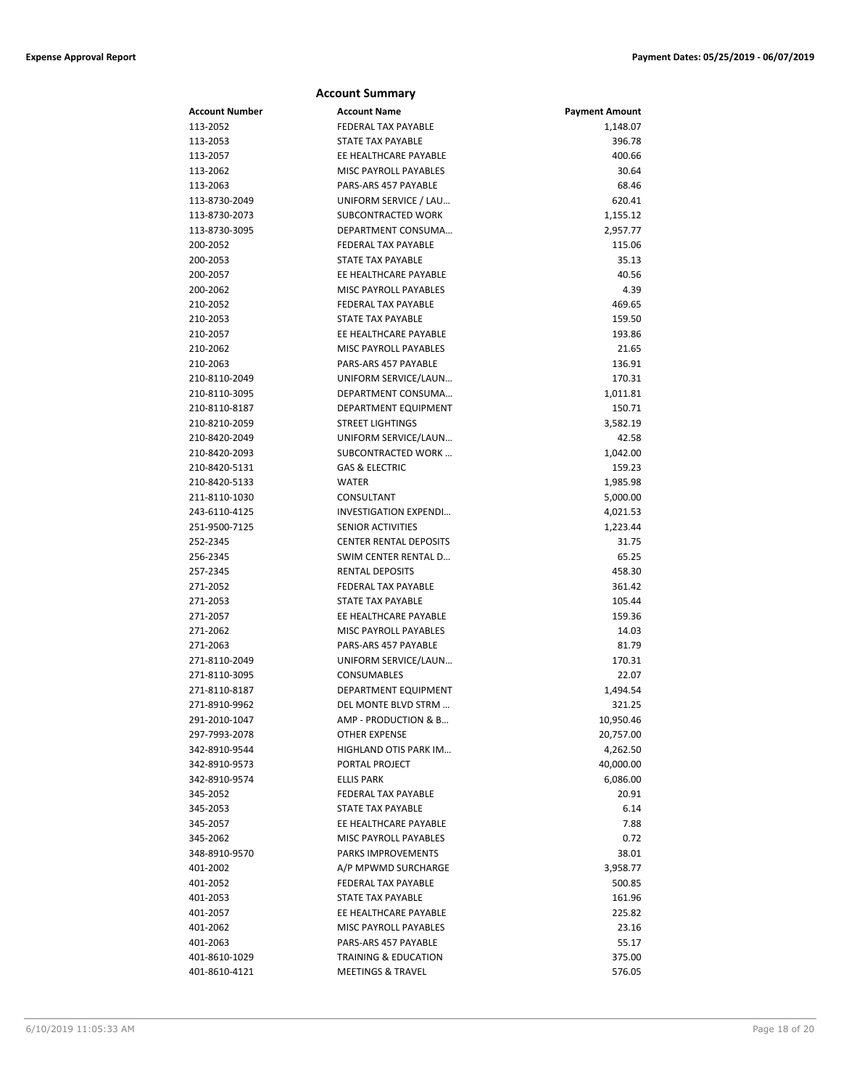|                           | <b>Account Summary</b>                      |                       |
|---------------------------|---------------------------------------------|-----------------------|
| Account Number            | <b>Account Name</b>                         | <b>Payment Amount</b> |
| 113-2052                  | <b>FEDERAL TAX PAYABLE</b>                  | 1,148.07              |
| 113-2053                  | STATE TAX PAYABLE                           | 396.78                |
| 113-2057                  | EE HEALTHCARE PAYABLE                       | 400.66                |
| 113-2062                  | MISC PAYROLL PAYABLES                       | 30.64                 |
| 113-2063                  | PARS-ARS 457 PAYABLE                        | 68.46                 |
| 113-8730-2049             | UNIFORM SERVICE / LAU                       | 620.41                |
| 113-8730-2073             | SUBCONTRACTED WORK                          | 1,155.12              |
| 113-8730-3095             | DEPARTMENT CONSUMA                          | 2,957.77              |
| 200-2052                  | FEDERAL TAX PAYABLE                         | 115.06                |
| 200-2053                  | <b>STATE TAX PAYABLE</b>                    | 35.13                 |
| 200-2057                  | EE HEALTHCARE PAYABLE                       | 40.56                 |
| 200-2062                  | <b>MISC PAYROLL PAYABLES</b>                | 4.39                  |
| 210-2052                  | <b>FEDERAL TAX PAYABLE</b>                  | 469.65                |
| 210-2053                  | STATE TAX PAYABLE                           | 159.50                |
| 210-2057                  | EE HEALTHCARE PAYABLE                       | 193.86                |
| 210-2062                  | MISC PAYROLL PAYABLES                       | 21.65                 |
| 210-2063                  | PARS-ARS 457 PAYABLE                        | 136.91                |
| 210-8110-2049             | UNIFORM SERVICE/LAUN                        | 170.31                |
| 210-8110-3095             | DEPARTMENT CONSUMA                          | 1,011.81              |
| 210-8110-8187             | <b>DEPARTMENT EQUIPMENT</b>                 | 150.71                |
| 210-8210-2059             | <b>STREET LIGHTINGS</b>                     | 3,582.19              |
| 210-8420-2049             | UNIFORM SERVICE/LAUN                        | 42.58                 |
| 210-8420-2093             | SUBCONTRACTED WORK                          | 1,042.00              |
| 210-8420-5131             | <b>GAS &amp; ELECTRIC</b>                   | 159.23                |
| 210-8420-5133             | WATER                                       | 1,985.98              |
| 211-8110-1030             | CONSULTANT                                  | 5,000.00              |
| 243-6110-4125             | INVESTIGATION EXPENDI                       | 4,021.53              |
| 251-9500-7125             | <b>SENIOR ACTIVITIES</b>                    | 1,223.44              |
| 252-2345                  | <b>CENTER RENTAL DEPOSITS</b>               | 31.75                 |
| 256-2345                  | SWIM CENTER RENTAL D                        | 65.25                 |
| 257-2345                  | <b>RENTAL DEPOSITS</b>                      | 458.30                |
| 271-2052                  | <b>FEDERAL TAX PAYABLE</b>                  | 361.42                |
| 271-2053                  | STATE TAX PAYABLE                           | 105.44                |
| 271-2057                  | EE HEALTHCARE PAYABLE                       | 159.36                |
| 271-2062                  | MISC PAYROLL PAYABLES                       | 14.03                 |
| 271-2063                  | PARS-ARS 457 PAYABLE                        | 81.79                 |
| 271-8110-2049             | UNIFORM SERVICE/LAUN                        | 170.31                |
| 271-8110-3095             | CONSUMABLES                                 | 22.07                 |
| 271-8110-8187             | DEPARTMENT EQUIPMENT                        | 1,494.54              |
| 271-8910-9962             | DEL MONTE BLVD STRM                         | 321.25                |
| 291-2010-1047             | AMP - PRODUCTION & B                        | 10,950.46             |
| 297-7993-2078             | OTHER EXPENSE                               | 20,757.00             |
| 342-8910-9544             | HIGHLAND OTIS PARK IM<br>PORTAL PROJECT     | 4,262.50              |
| 342-8910-9573             |                                             | 40,000.00             |
| 342-8910-9574             | <b>ELLIS PARK</b>                           | 6,086.00              |
| 345-2052                  | FEDERAL TAX PAYABLE                         | 20.91                 |
| 345-2053                  | <b>STATE TAX PAYABLE</b>                    | 6.14                  |
| 345-2057                  | EE HEALTHCARE PAYABLE                       | 7.88                  |
| 345-2062<br>348-8910-9570 | MISC PAYROLL PAYABLES<br>PARKS IMPROVEMENTS | 0.72                  |
|                           |                                             | 38.01                 |
| 401-2002<br>401-2052      | A/P MPWMD SURCHARGE<br>FEDERAL TAX PAYABLE  | 3,958.77              |
|                           | <b>STATE TAX PAYABLE</b>                    | 500.85                |
| 401-2053<br>401-2057      | EE HEALTHCARE PAYABLE                       | 161.96<br>225.82      |
|                           | MISC PAYROLL PAYABLES                       |                       |
| 401-2062<br>401-2063      | PARS-ARS 457 PAYABLE                        | 23.16                 |
|                           |                                             | 55.17                 |
| 401-8610-1029             | <b>TRAINING &amp; EDUCATION</b>             | 375.00                |
| 401-8610-4121             | <b>MEETINGS &amp; TRAVEL</b>                | 576.05                |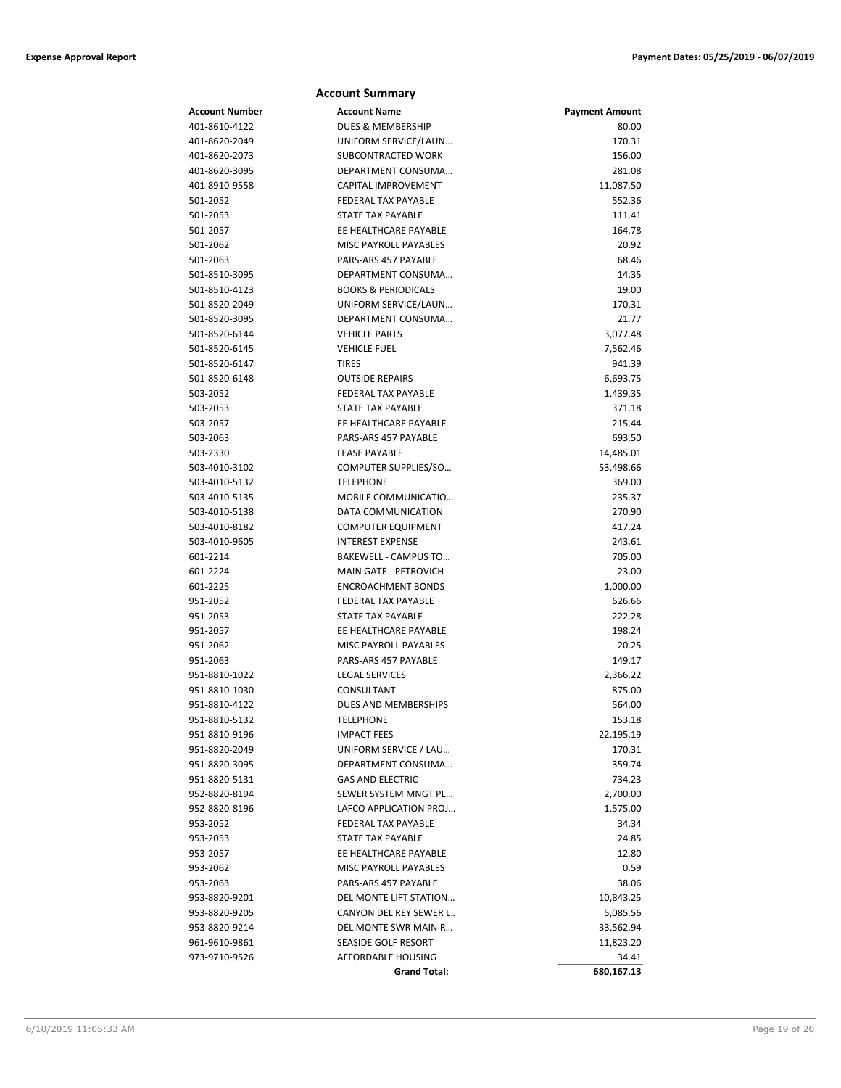|                | <b>Account Summary</b>         |                       |
|----------------|--------------------------------|-----------------------|
| Account Number | <b>Account Name</b>            | <b>Payment Amount</b> |
| 401-8610-4122  | DUES & MEMBERSHIP              | 80.00                 |
| 401-8620-2049  | UNIFORM SERVICE/LAUN           | 170.31                |
| 401-8620-2073  | SUBCONTRACTED WORK             | 156.00                |
| 401-8620-3095  | DEPARTMENT CONSUMA             | 281.08                |
| 401-8910-9558  | CAPITAL IMPROVEMENT            | 11,087.50             |
| 501-2052       | <b>FEDERAL TAX PAYABLE</b>     | 552.36                |
| 501-2053       | STATE TAX PAYABLE              | 111.41                |
| 501-2057       | EE HEALTHCARE PAYABLE          | 164.78                |
| 501-2062       | MISC PAYROLL PAYABLES          | 20.92                 |
| 501-2063       | PARS-ARS 457 PAYABLE           | 68.46                 |
| 501-8510-3095  | DEPARTMENT CONSUMA             | 14.35                 |
| 501-8510-4123  | <b>BOOKS &amp; PERIODICALS</b> | 19.00                 |
| 501-8520-2049  | UNIFORM SERVICE/LAUN           | 170.31                |
| 501-8520-3095  | DEPARTMENT CONSUMA             | 21.77                 |
| 501-8520-6144  | <b>VEHICLE PARTS</b>           | 3,077.48              |
| 501-8520-6145  | <b>VEHICLE FUEL</b>            | 7,562.46              |
| 501-8520-6147  | <b>TIRES</b>                   | 941.39                |
| 501-8520-6148  | <b>OUTSIDE REPAIRS</b>         | 6,693.75              |
| 503-2052       | FEDERAL TAX PAYABLE            | 1,439.35              |
| 503-2053       | <b>STATE TAX PAYABLE</b>       | 371.18                |
| 503-2057       | EE HEALTHCARE PAYABLE          | 215.44                |
| 503-2063       | PARS-ARS 457 PAYABLE           | 693.50                |
| 503-2330       | <b>LEASE PAYABLE</b>           | 14,485.01             |
| 503-4010-3102  | COMPUTER SUPPLIES/SO           | 53,498.66             |
| 503-4010-5132  | <b>TELEPHONE</b>               | 369.00                |
| 503-4010-5135  | MOBILE COMMUNICATIO            | 235.37                |
| 503-4010-5138  | DATA COMMUNICATION             | 270.90                |
| 503-4010-8182  | <b>COMPUTER EQUIPMENT</b>      | 417.24                |
| 503-4010-9605  | <b>INTEREST EXPENSE</b>        | 243.61                |
| 601-2214       | BAKEWELL - CAMPUS TO           | 705.00                |
| 601-2224       | <b>MAIN GATE - PETROVICH</b>   | 23.00                 |
| 601-2225       | <b>ENCROACHMENT BONDS</b>      | 1,000.00              |
| 951-2052       | FEDERAL TAX PAYABLE            | 626.66                |
| 951-2053       | STATE TAX PAYABLE              | 222.28                |
| 951-2057       | EE HEALTHCARE PAYABLE          | 198.24                |
| 951-2062       | MISC PAYROLL PAYABLES          | 20.25                 |
| 951-2063       | PARS-ARS 457 PAYABLE           | 149.17                |
| 951-8810-1022  | <b>LEGAL SERVICES</b>          | 2,366.22              |
| 951-8810-1030  | CONSULTANT                     | 875.00                |
| 951-8810-4122  | DUES AND MEMBERSHIPS           | 564.00                |
| 951-8810-5132  | <b>TELEPHONE</b>               | 153.18                |
| 951-8810-9196  | <b>IMPACT FEES</b>             | 22,195.19             |
| 951-8820-2049  | UNIFORM SERVICE / LAU          | 170.31                |
| 951-8820-3095  | DEPARTMENT CONSUMA             | 359.74                |
| 951-8820-5131  | <b>GAS AND ELECTRIC</b>        | 734.23                |
| 952-8820-8194  | SEWER SYSTEM MNGT PL           | 2,700.00              |
| 952-8820-8196  | LAFCO APPLICATION PROJ         | 1,575.00              |
| 953-2052       | FEDERAL TAX PAYABLE            | 34.34                 |
| 953-2053       | STATE TAX PAYABLE              | 24.85                 |
| 953-2057       | EE HEALTHCARE PAYABLE          | 12.80                 |
| 953-2062       | MISC PAYROLL PAYABLES          | 0.59                  |
| 953-2063       | PARS-ARS 457 PAYABLE           | 38.06                 |
| 953-8820-9201  | DEL MONTE LIFT STATION         | 10,843.25             |
| 953-8820-9205  | CANYON DEL REY SEWER L         | 5,085.56              |
| 953-8820-9214  | DEL MONTE SWR MAIN R           | 33,562.94             |
| 961-9610-9861  | SEASIDE GOLF RESORT            | 11,823.20             |
| 973-9710-9526  | AFFORDABLE HOUSING             | 34.41                 |
|                | <b>Grand Total:</b>            | 680,167.13            |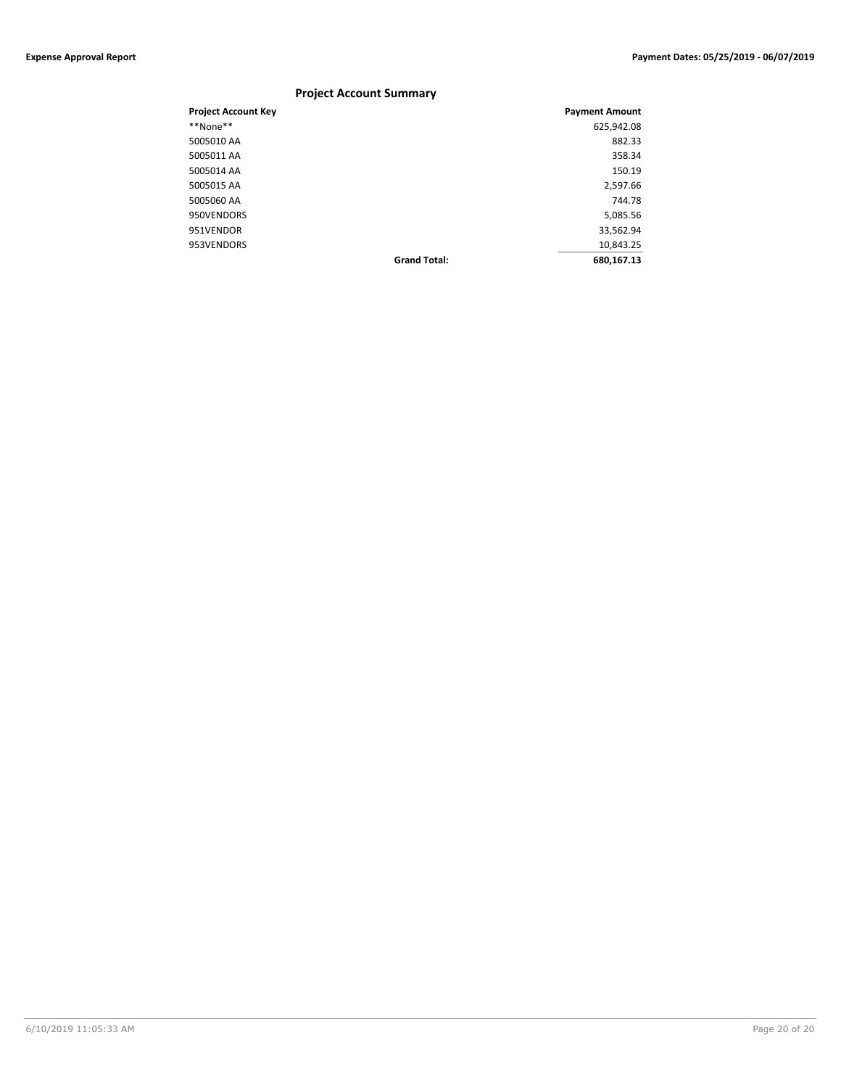### **Project Account Summary**

| <b>Project Account Key</b> |                     | <b>Payment Amount</b> |
|----------------------------|---------------------|-----------------------|
| **None**                   |                     | 625,942.08            |
| 5005010 AA                 |                     | 882.33                |
| 5005011 AA                 |                     | 358.34                |
| 5005014 AA                 |                     | 150.19                |
| 5005015 AA                 |                     | 2,597.66              |
| 5005060 AA                 |                     | 744.78                |
| 950VENDORS                 |                     | 5,085.56              |
| 951VENDOR                  |                     | 33,562.94             |
| 953VENDORS                 |                     | 10,843.25             |
|                            | <b>Grand Total:</b> | 680,167.13            |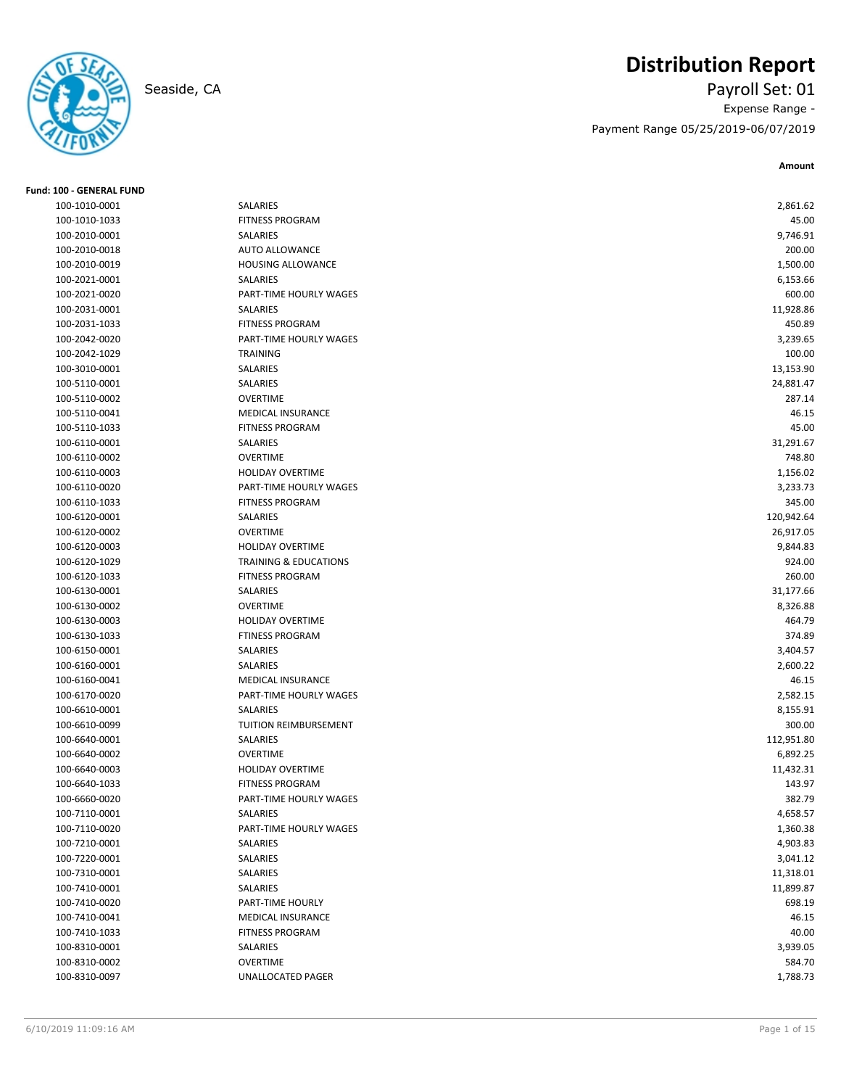

**Fund: 100 - GENERAL FUND**

## **Distribution Report**

Seaside, CA Payroll Set: 01 Expense Range - Payment Range 05/25/2019-06/07/2019

**Amount**

| 100-1010-0001 | SALARIES                         | 2,861.62   |
|---------------|----------------------------------|------------|
| 100-1010-1033 | <b>FITNESS PROGRAM</b>           | 45.00      |
| 100-2010-0001 | SALARIES                         | 9,746.91   |
| 100-2010-0018 | <b>AUTO ALLOWANCE</b>            | 200.00     |
| 100-2010-0019 | HOUSING ALLOWANCE                | 1,500.00   |
| 100-2021-0001 | <b>SALARIES</b>                  | 6,153.66   |
| 100-2021-0020 | PART-TIME HOURLY WAGES           | 600.00     |
| 100-2031-0001 | SALARIES                         | 11,928.86  |
| 100-2031-1033 | <b>FITNESS PROGRAM</b>           | 450.89     |
| 100-2042-0020 | PART-TIME HOURLY WAGES           | 3,239.65   |
| 100-2042-1029 | <b>TRAINING</b>                  | 100.00     |
| 100-3010-0001 | SALARIES                         | 13,153.90  |
| 100-5110-0001 | SALARIES                         | 24,881.47  |
| 100-5110-0002 | <b>OVERTIME</b>                  | 287.14     |
| 100-5110-0041 | <b>MEDICAL INSURANCE</b>         | 46.15      |
| 100-5110-1033 | <b>FITNESS PROGRAM</b>           | 45.00      |
| 100-6110-0001 | SALARIES                         | 31,291.67  |
| 100-6110-0002 | <b>OVERTIME</b>                  | 748.80     |
| 100-6110-0003 | <b>HOLIDAY OVERTIME</b>          | 1,156.02   |
| 100-6110-0020 | PART-TIME HOURLY WAGES           | 3,233.73   |
| 100-6110-1033 | <b>FITNESS PROGRAM</b>           | 345.00     |
| 100-6120-0001 | SALARIES                         | 120,942.64 |
| 100-6120-0002 | <b>OVERTIME</b>                  | 26,917.05  |
| 100-6120-0003 | <b>HOLIDAY OVERTIME</b>          | 9,844.83   |
| 100-6120-1029 | <b>TRAINING &amp; EDUCATIONS</b> | 924.00     |
| 100-6120-1033 | <b>FITNESS PROGRAM</b>           | 260.00     |
| 100-6130-0001 | SALARIES                         | 31,177.66  |
| 100-6130-0002 | <b>OVERTIME</b>                  | 8,326.88   |
| 100-6130-0003 | <b>HOLIDAY OVERTIME</b>          | 464.79     |
| 100-6130-1033 | <b>FTINESS PROGRAM</b>           | 374.89     |
| 100-6150-0001 | SALARIES                         | 3,404.57   |
| 100-6160-0001 | SALARIES                         | 2,600.22   |
| 100-6160-0041 | <b>MEDICAL INSURANCE</b>         | 46.15      |
| 100-6170-0020 | PART-TIME HOURLY WAGES           | 2,582.15   |
| 100-6610-0001 | SALARIES                         | 8,155.91   |
| 100-6610-0099 | TUITION REIMBURSEMENT            | 300.00     |
| 100-6640-0001 | SALARIES                         | 112,951.80 |
| 100-6640-0002 | <b>OVERTIME</b>                  | 6,892.25   |
| 100-6640-0003 | <b>HOLIDAY OVERTIME</b>          | 11,432.31  |
| 100-6640-1033 | <b>FITNESS PROGRAM</b>           | 143.97     |
| 100-6660-0020 | PART-TIME HOURLY WAGES           | 382.79     |
| 100-7110-0001 | SALARIES                         | 4,658.57   |
| 100-7110-0020 | PART-TIME HOURLY WAGES           | 1,360.38   |
| 100-7210-0001 | SALARIES                         | 4,903.83   |
| 100-7220-0001 | SALARIES                         | 3,041.12   |
| 100-7310-0001 | SALARIES                         | 11,318.01  |
| 100-7410-0001 | SALARIES                         | 11,899.87  |
| 100-7410-0020 | PART-TIME HOURLY                 | 698.19     |
| 100-7410-0041 | <b>MEDICAL INSURANCE</b>         | 46.15      |
| 100-7410-1033 | <b>FITNESS PROGRAM</b>           | 40.00      |
| 100-8310-0001 | SALARIES                         | 3,939.05   |
| 100-8310-0002 | OVERTIME                         | 584.70     |
| 100-8310-0097 | UNALLOCATED PAGER                | 1,788.73   |
|               |                                  |            |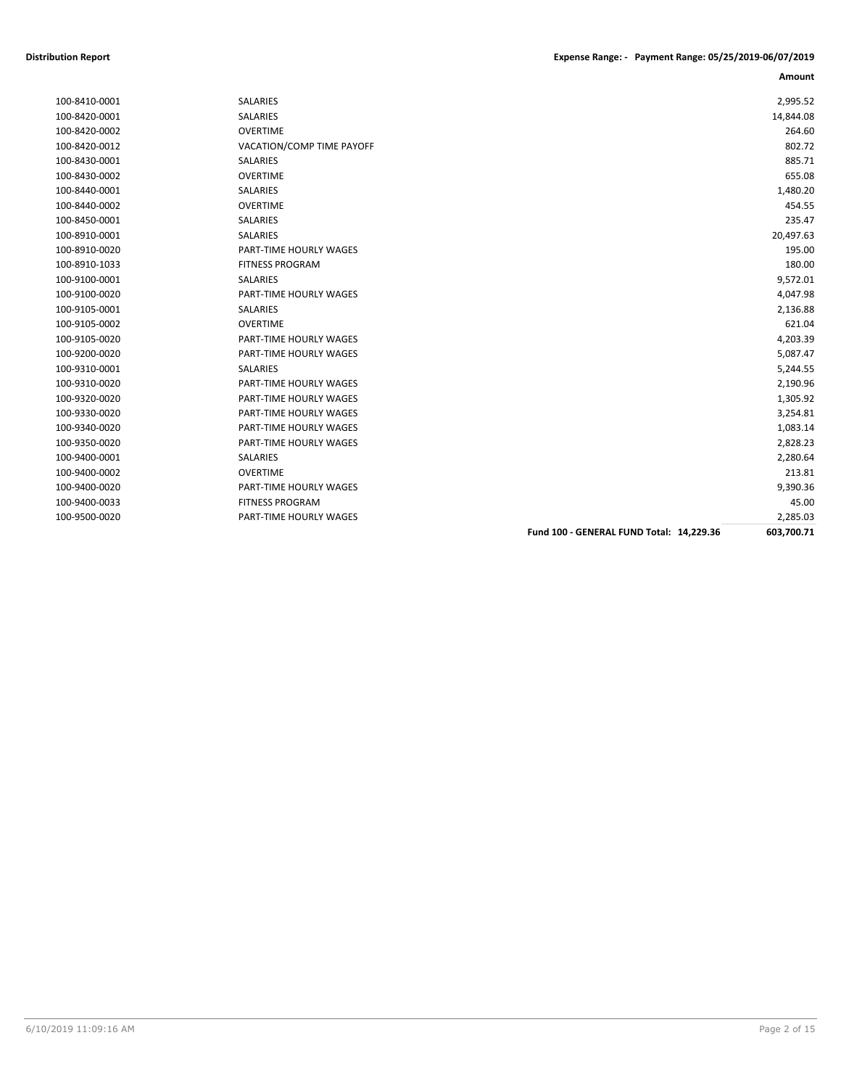|               |                           |                                          | Amount     |
|---------------|---------------------------|------------------------------------------|------------|
| 100-8410-0001 | SALARIES                  |                                          | 2,995.52   |
| 100-8420-0001 | <b>SALARIES</b>           |                                          | 14,844.08  |
| 100-8420-0002 | <b>OVERTIME</b>           |                                          | 264.60     |
| 100-8420-0012 | VACATION/COMP TIME PAYOFF |                                          | 802.72     |
| 100-8430-0001 | <b>SALARIES</b>           |                                          | 885.71     |
| 100-8430-0002 | <b>OVERTIME</b>           |                                          | 655.08     |
| 100-8440-0001 | <b>SALARIES</b>           |                                          | 1,480.20   |
| 100-8440-0002 | <b>OVERTIME</b>           |                                          | 454.55     |
| 100-8450-0001 | SALARIES                  |                                          | 235.47     |
| 100-8910-0001 | <b>SALARIES</b>           |                                          | 20,497.63  |
| 100-8910-0020 | PART-TIME HOURLY WAGES    |                                          | 195.00     |
| 100-8910-1033 | <b>FITNESS PROGRAM</b>    |                                          | 180.00     |
| 100-9100-0001 | <b>SALARIES</b>           |                                          | 9,572.01   |
| 100-9100-0020 | PART-TIME HOURLY WAGES    |                                          | 4,047.98   |
| 100-9105-0001 | <b>SALARIES</b>           |                                          | 2,136.88   |
| 100-9105-0002 | <b>OVERTIME</b>           |                                          | 621.04     |
| 100-9105-0020 | PART-TIME HOURLY WAGES    |                                          | 4,203.39   |
| 100-9200-0020 | PART-TIME HOURLY WAGES    |                                          | 5,087.47   |
| 100-9310-0001 | <b>SALARIES</b>           |                                          | 5,244.55   |
| 100-9310-0020 | PART-TIME HOURLY WAGES    |                                          | 2,190.96   |
| 100-9320-0020 | PART-TIME HOURLY WAGES    |                                          | 1,305.92   |
| 100-9330-0020 | PART-TIME HOURLY WAGES    |                                          | 3,254.81   |
| 100-9340-0020 | PART-TIME HOURLY WAGES    |                                          | 1,083.14   |
| 100-9350-0020 | PART-TIME HOURLY WAGES    |                                          | 2,828.23   |
| 100-9400-0001 | SALARIES                  |                                          | 2,280.64   |
| 100-9400-0002 | <b>OVERTIME</b>           |                                          | 213.81     |
| 100-9400-0020 | PART-TIME HOURLY WAGES    |                                          | 9,390.36   |
| 100-9400-0033 | <b>FITNESS PROGRAM</b>    |                                          | 45.00      |
| 100-9500-0020 | PART-TIME HOURLY WAGES    |                                          | 2,285.03   |
|               |                           | Fund 100 - GENERAL FUND Total: 14,229.36 | 603,700.71 |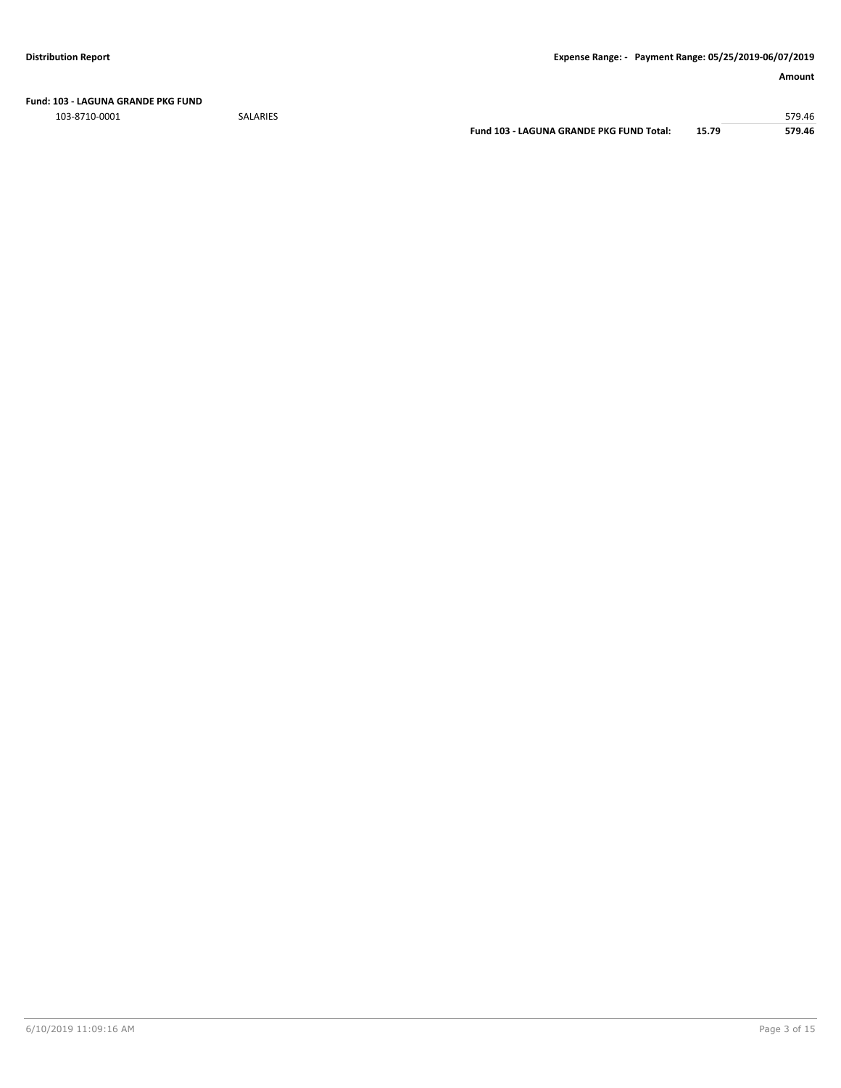**Fund: 103 - LAGUNA GRANDE PKG FUND**

103-8710-0001 SALARIES 579.46

**Fund 103 - LAGUNA GRANDE PKG FUND Total: 15.79 579.46**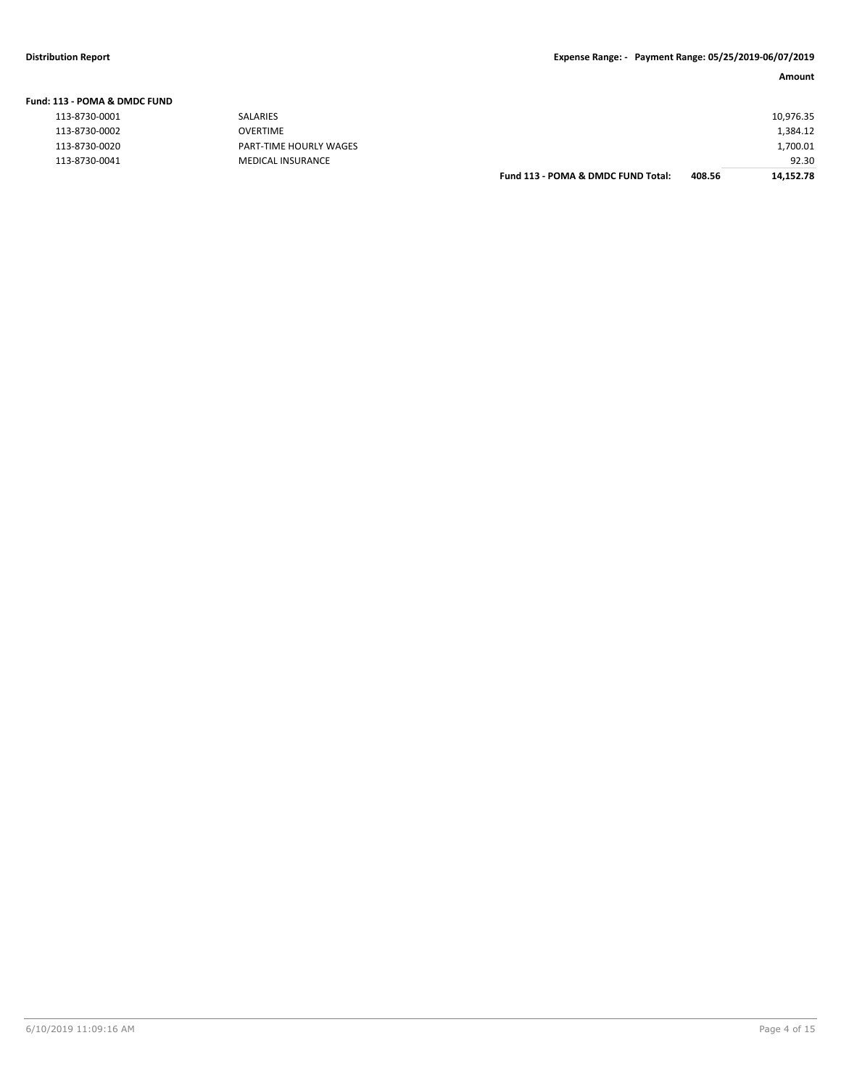| <b>Fund: 113 - POMA &amp; DMDC FUND</b> |    |
|-----------------------------------------|----|
| 113-8730-0001                           | S۵ |

| 113-8730-0002 |  |
|---------------|--|
| 113-8730-0020 |  |
| 113-8730-0041 |  |

| 113-8730-0001 | SALARIES                 |                                    |        | 10,976.35 |
|---------------|--------------------------|------------------------------------|--------|-----------|
| 113-8730-0002 | <b>OVERTIME</b>          |                                    |        | 1,384.12  |
| 113-8730-0020 | PART-TIME HOURLY WAGES   |                                    |        | 1,700.01  |
| 113-8730-0041 | <b>MEDICAL INSURANCE</b> |                                    |        | 92.30     |
|               |                          | Fund 113 - POMA & DMDC FUND Total: | 408.56 | 14,152.78 |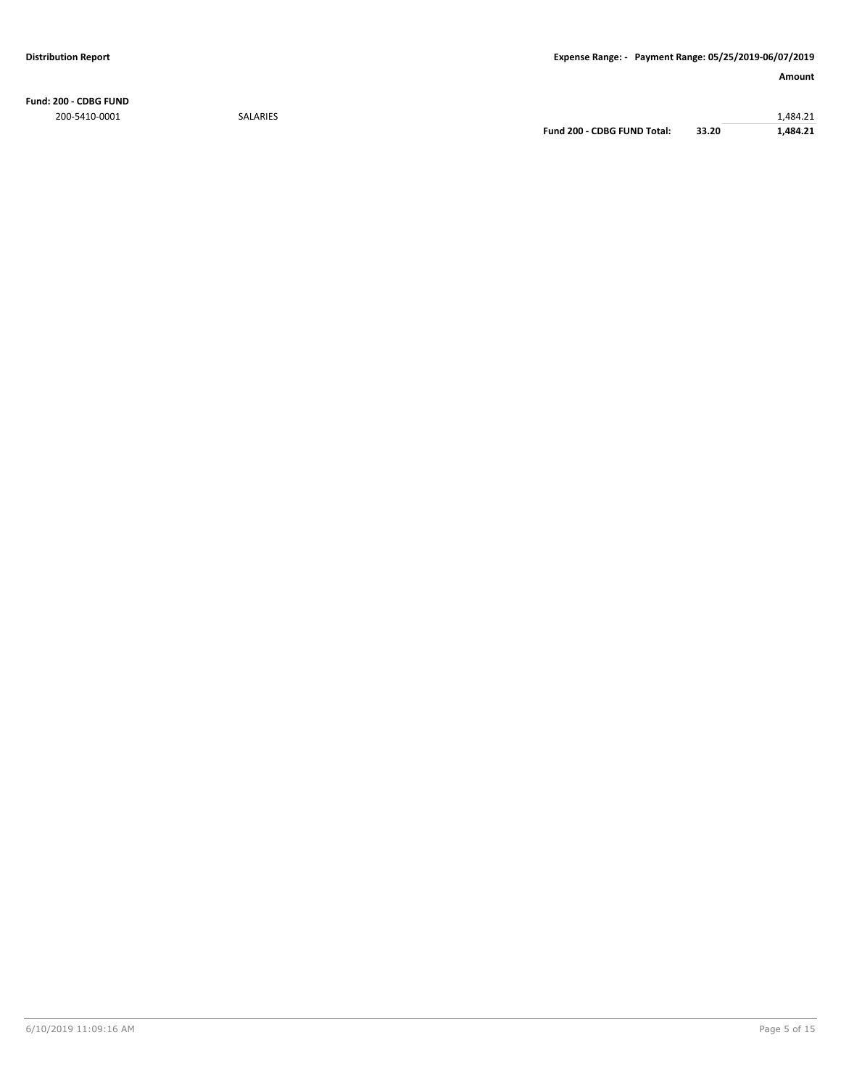**Fund: 200 - CDBG FUND** 200-5410-0001 SALARIES 1,484.21

**Fund 200 - CDBG FUND Total: 33.20 1,484.21**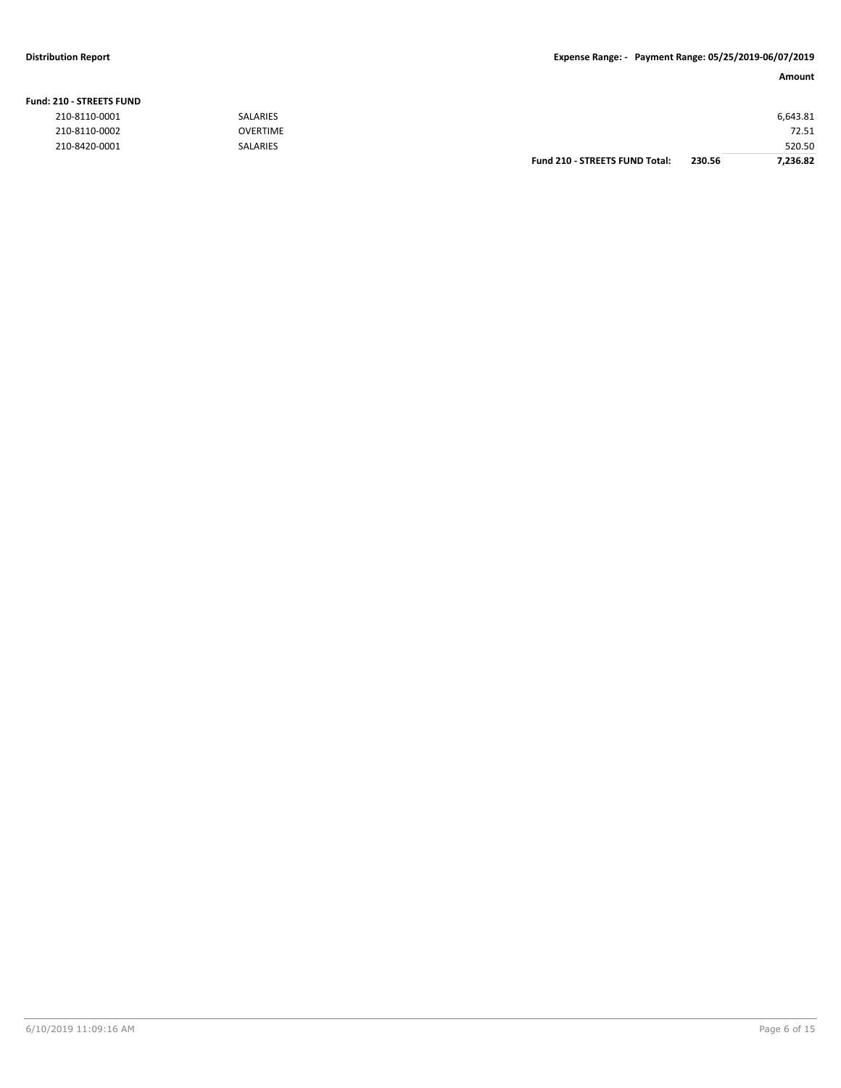#### **Fund: 210 - STREETS FUND**

| 210-8110-0001 | <b>SALARIES</b> |                                       |        | 6,643.81 |
|---------------|-----------------|---------------------------------------|--------|----------|
| 210-8110-0002 | <b>OVERTIME</b> |                                       |        | 72.51    |
| 210-8420-0001 | <b>SALARIES</b> |                                       |        | 520.50   |
|               |                 | <b>Fund 210 - STREETS FUND Total:</b> | 230.56 | 7.236.82 |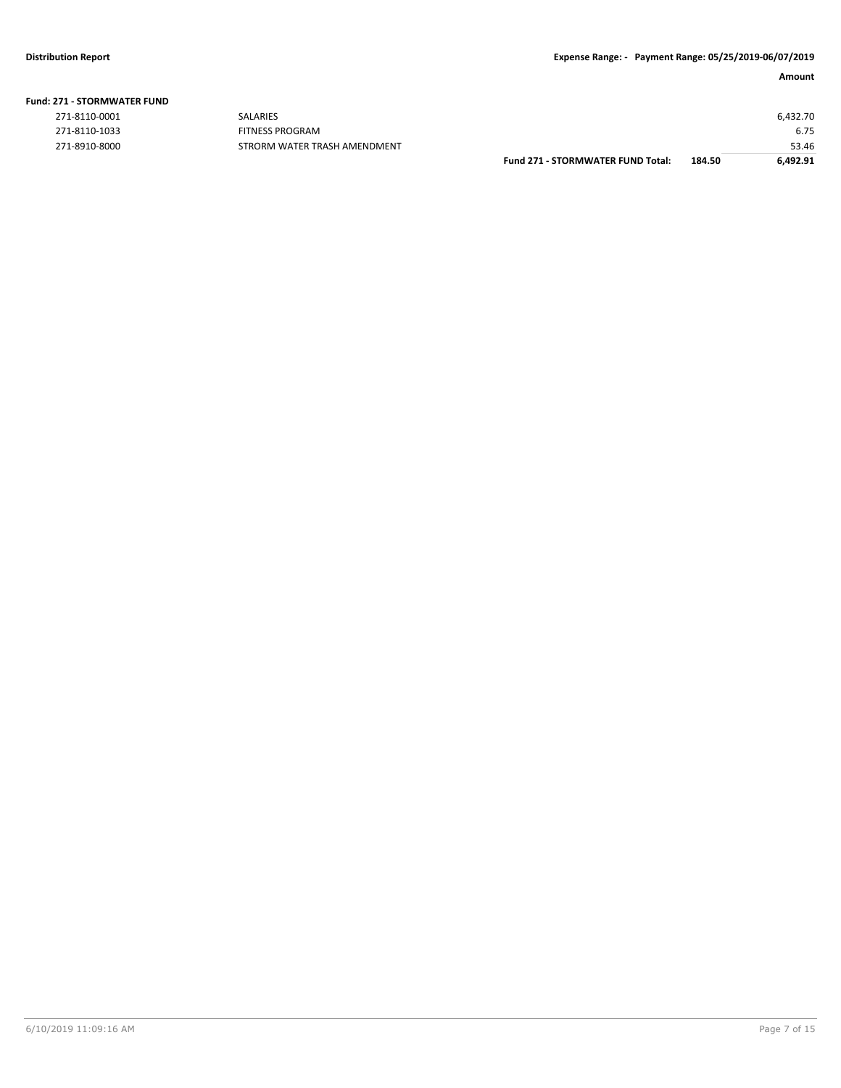| <b>Fund: 271 - STORMWATER FUND</b> |  |  |  |  |  |
|------------------------------------|--|--|--|--|--|
|------------------------------------|--|--|--|--|--|

| 271-8110-0001 |
|---------------|
| 271-8110-1033 |
| 271-8910-8000 |

|               |                              | <b>Fund 271 - STORMWATER FUND Total:</b> | 184.50 | 6.492.91 |
|---------------|------------------------------|------------------------------------------|--------|----------|
| 271-8910-8000 | STRORM WATER TRASH AMENDMENT |                                          |        | 53.46    |
| 271-8110-1033 | <b>FITNESS PROGRAM</b>       |                                          |        | 6.75     |
| 271-8110-0001 | <b>SALARIES</b>              |                                          |        | 6,432.70 |
|               |                              |                                          |        |          |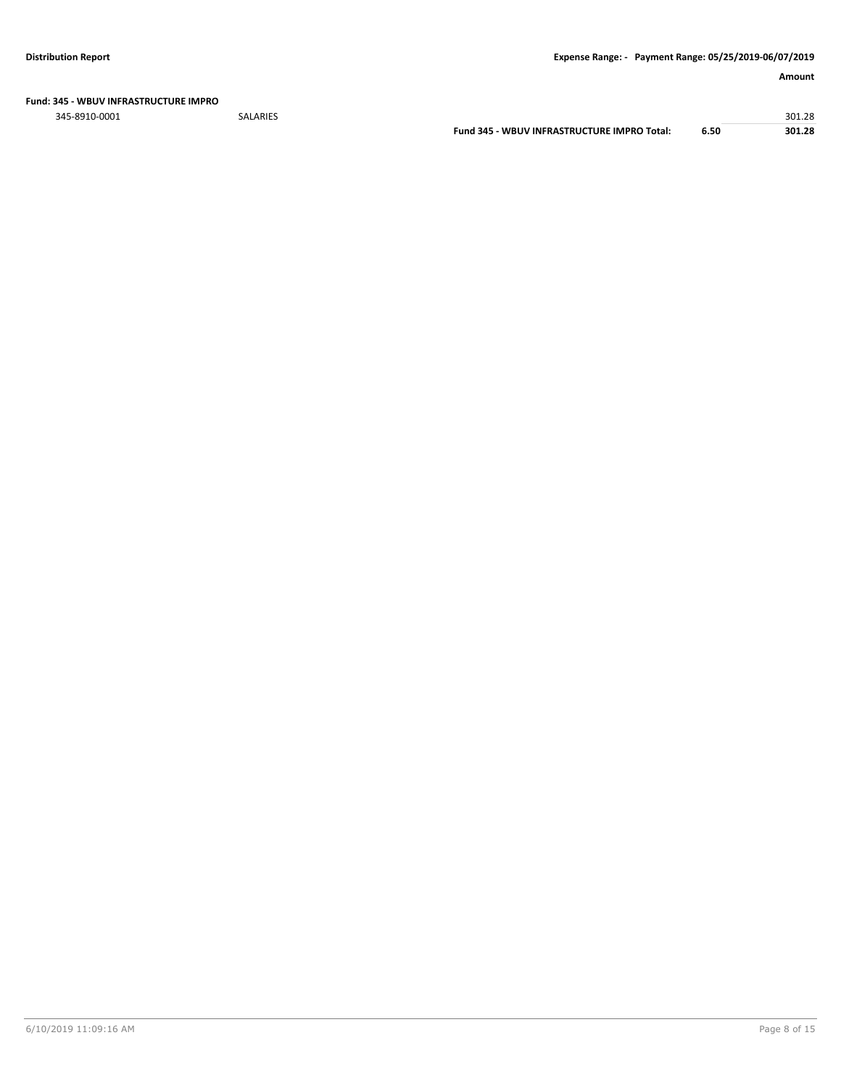#### **Fund: 345 - WBUV INFRASTRUCTURE IMPRO**

345-8910-0001 SALARIES 301.28

**Fund 345 - WBUV INFRASTRUCTURE IMPRO Total: 6.50 301.28**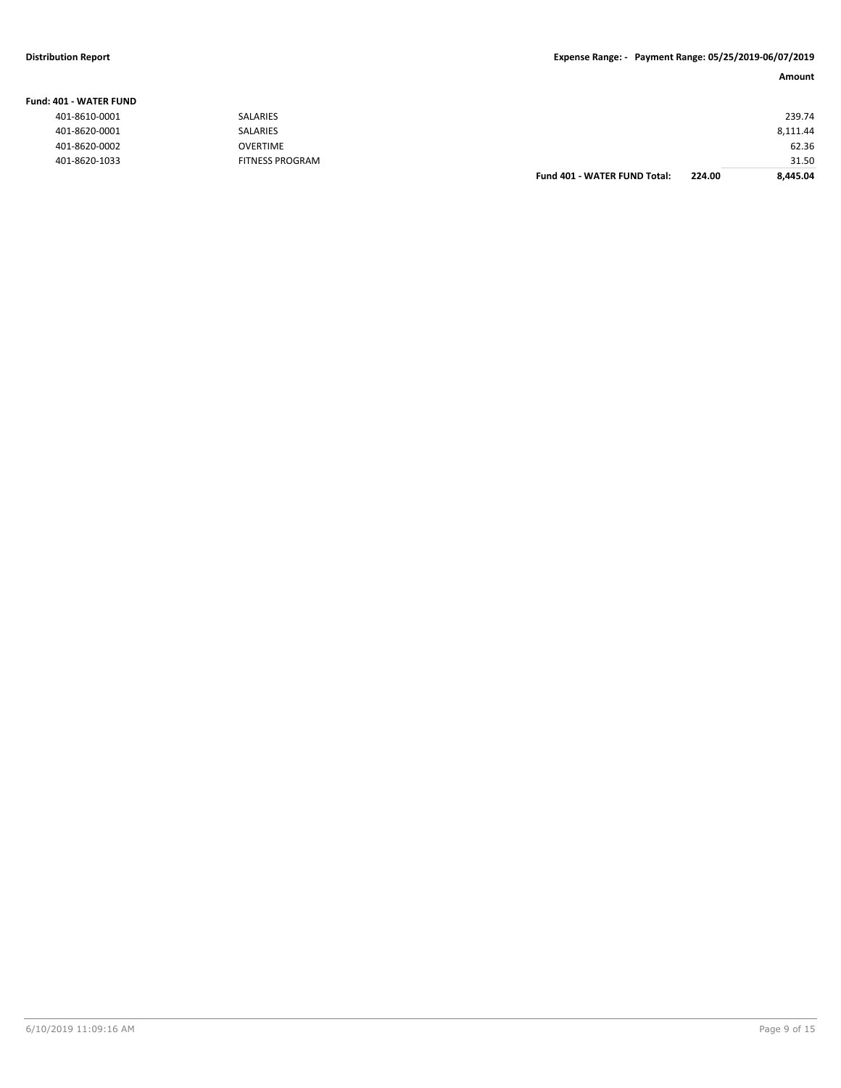### **Distribution Report Expense Range: - Payment Range: 05/25/2019-06/07/2019**

| Amount |  |
|--------|--|

| <b>Fund: 401 - WATER FUND</b> |                        |                                     |        |          |
|-------------------------------|------------------------|-------------------------------------|--------|----------|
| 401-8610-0001                 | SALARIES               |                                     |        | 239.74   |
| 401-8620-0001                 | SALARIES               |                                     |        | 8,111.44 |
| 401-8620-0002                 | <b>OVERTIME</b>        |                                     |        | 62.36    |
| 401-8620-1033                 | <b>FITNESS PROGRAM</b> |                                     |        | 31.50    |
|                               |                        | <b>Fund 401 - WATER FUND Total:</b> | 224.00 | 8,445.04 |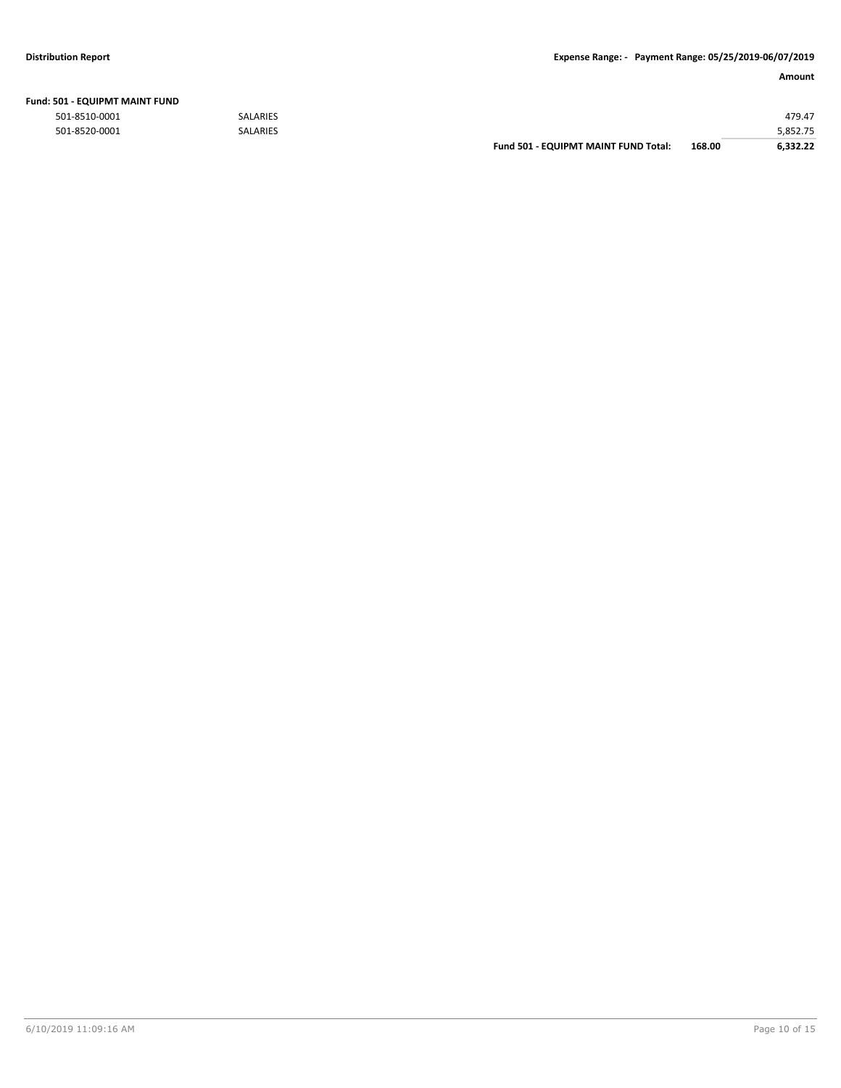| Fund: 501 - EQUIPMT MAINT FUND |  |
|--------------------------------|--|
|--------------------------------|--|

|               |                 | <b>Fund 501 - EQUIPMT MAINT FUND Total:</b> | 168.00 | 6.332.22 |
|---------------|-----------------|---------------------------------------------|--------|----------|
| 501-8520-0001 | <b>SALARIES</b> |                                             |        | 5,852.75 |
| 501-8510-0001 | <b>SALARIES</b> |                                             |        | 479.47   |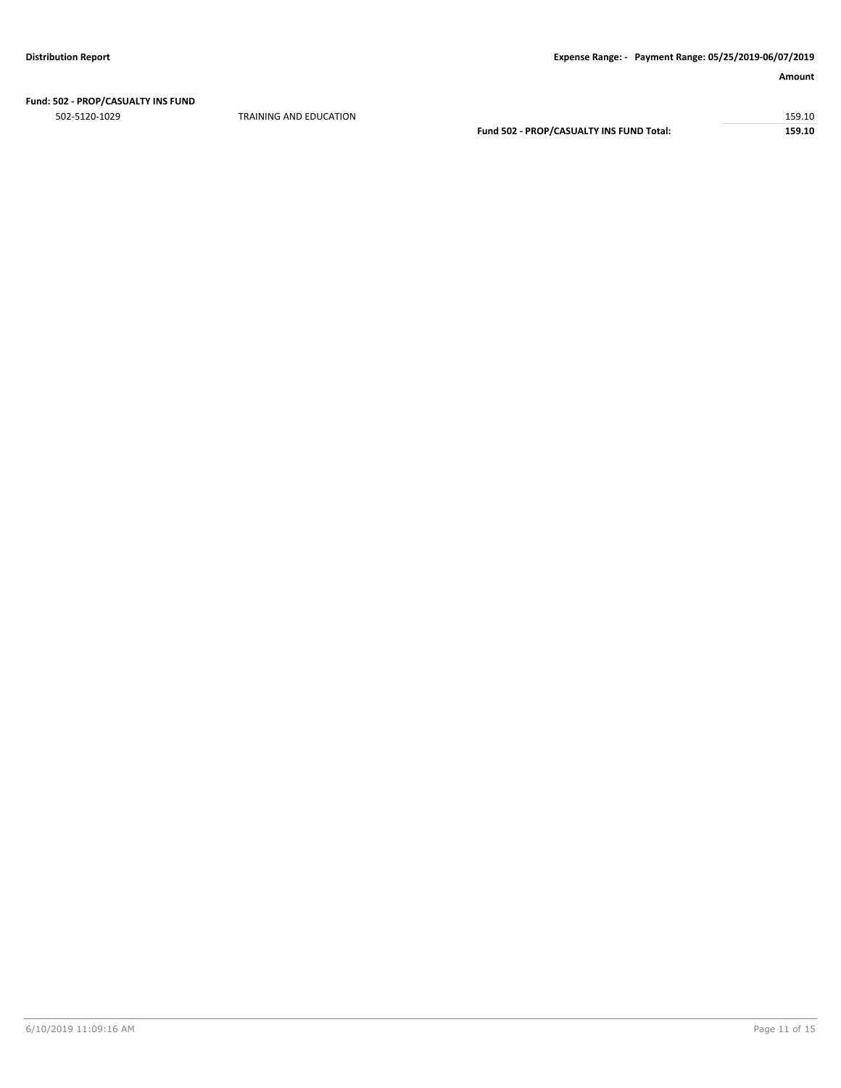## **Fund: 502 - PROP/CASUALTY INS FUND**

TRAINING AND EDUCATION 159.10 Fund 502 - PROP/CASUALTY INS FUND Total: 159.10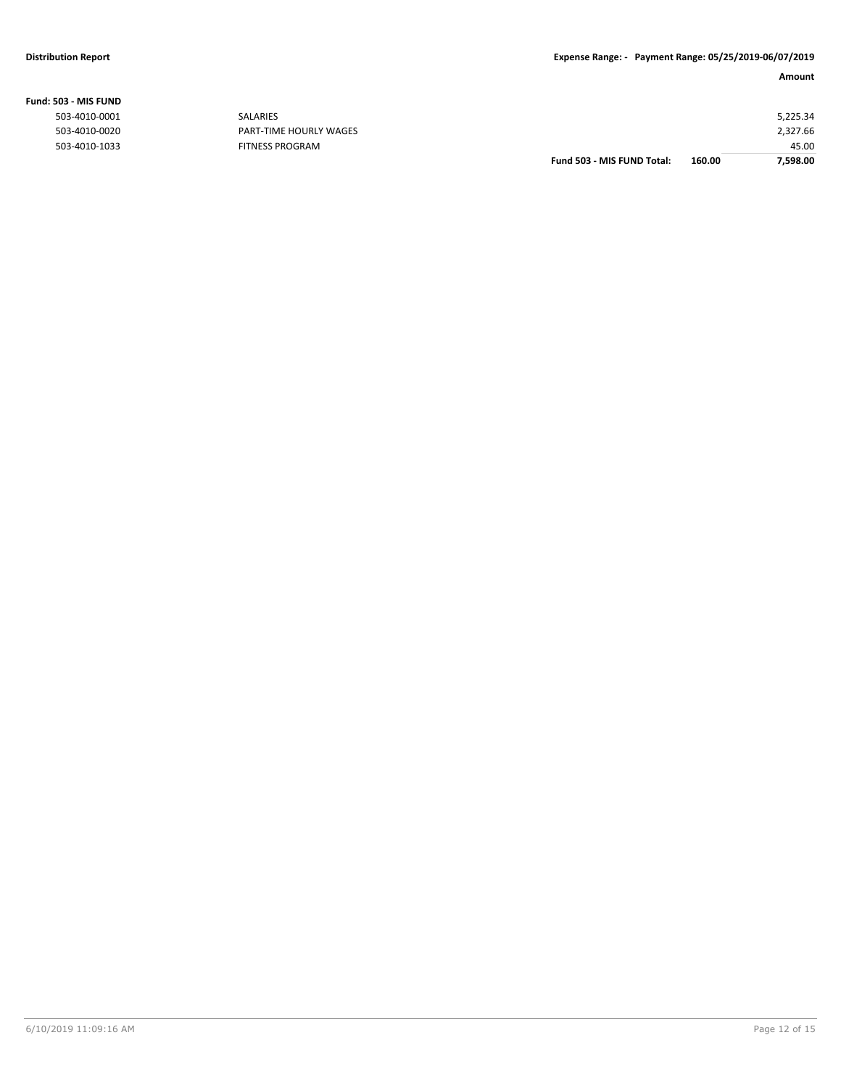|                |                        | Fund 503 - MIS FUND Total: | 160.00 | 7,598.00 |
|----------------|------------------------|----------------------------|--------|----------|
| 503-4010-1033  | <b>FITNESS PROGRAM</b> |                            |        | 45.00    |
| 503-4010-0020  | PART-TIME HOURLY WAGES |                            |        | 2,327.66 |
| 503-4010-0001  | SALARIES               |                            |        | 5,225.34 |
| 603 - MIS FUND |                        |                            |        |          |

### **Fund: 503 - MIS FUND**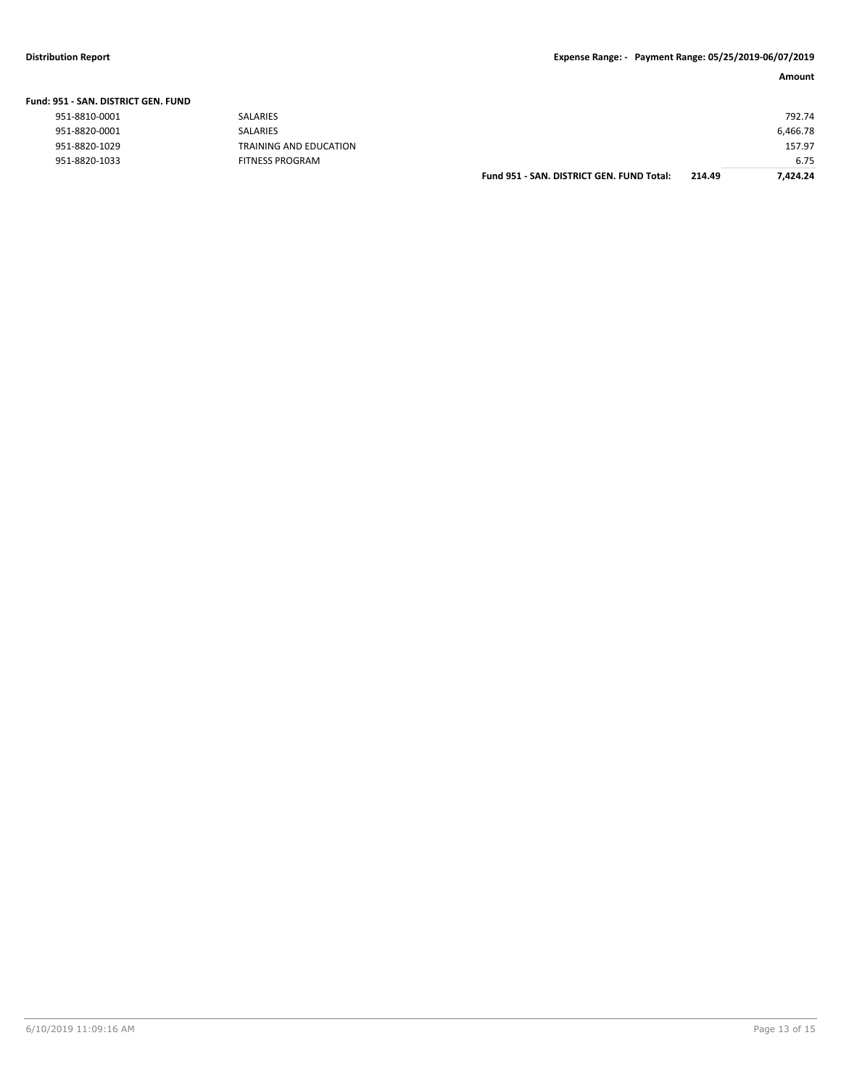| Fund: 951 - SAN. DISTRICT GEN. FUND |                        |                                           |        |          |
|-------------------------------------|------------------------|-------------------------------------------|--------|----------|
| 951-8810-0001                       | <b>SALARIES</b>        |                                           |        | 792.74   |
| 951-8820-0001                       | SALARIES               |                                           |        | 6,466.78 |
| 951-8820-1029                       | TRAINING AND EDUCATION |                                           |        | 157.97   |
| 951-8820-1033                       | <b>FITNESS PROGRAM</b> |                                           |        | 6.75     |
|                                     |                        | Fund 951 - SAN, DISTRICT GEN, FUND Total: | 214.49 | 7.424.24 |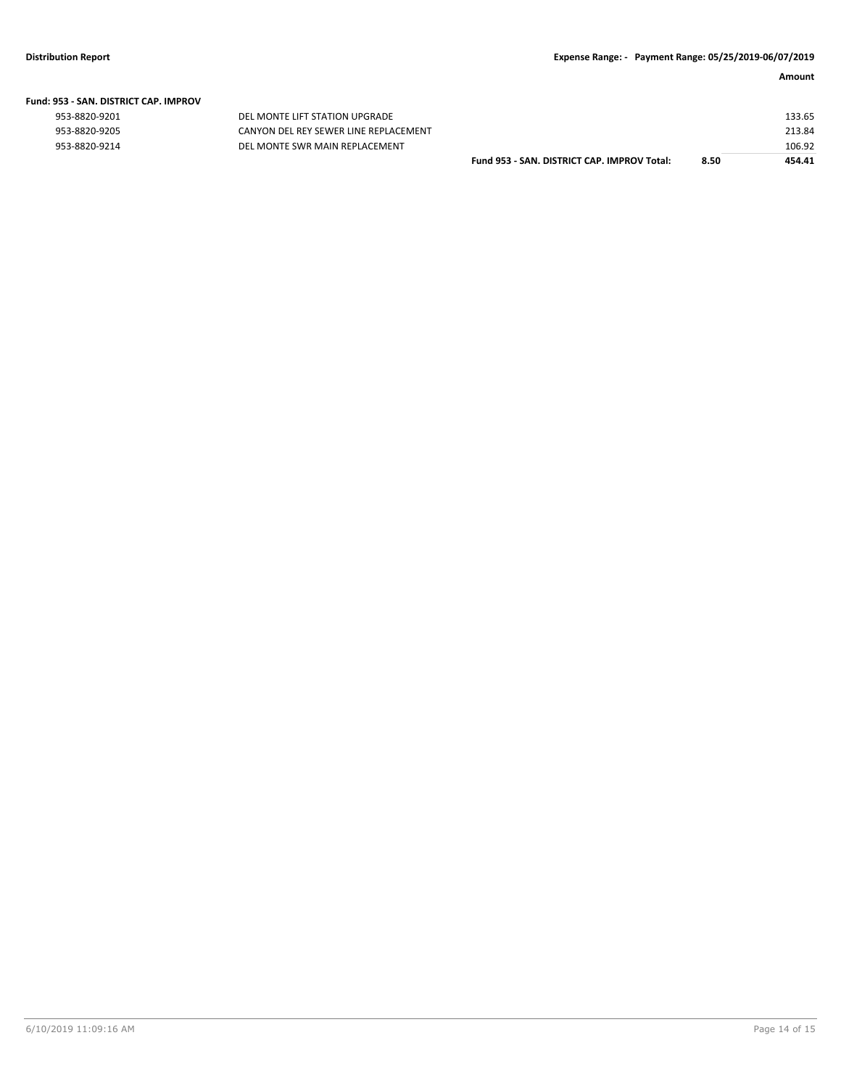|  | Fund: 953 - SAN. DISTRICT CAP. IMPROV |  |
|--|---------------------------------------|--|
|  |                                       |  |

| 953-8820-9201 |  |
|---------------|--|
| 953-8820-9205 |  |
| 953-8820-9214 |  |

DEL MONTE LIFT STATION UPGRADE CANYON DEL REY SEWER LINE REPLACEMENT 953-8820-9214 DEL MONTE SWR MAIN REPLACEMENT

| Fund 953 - SAN. DISTRICT CAP. IMPROV Total: | 8.50 | 454.41 |
|---------------------------------------------|------|--------|
|                                             |      | 106.92 |
|                                             |      | 213.84 |
|                                             |      | 133.65 |